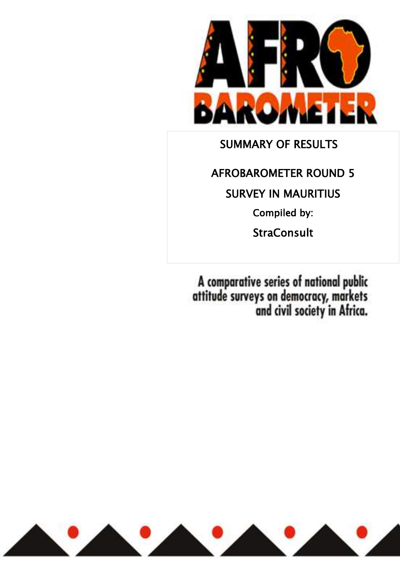

SUMMARY OF RESULTS

AFROBAROMETER ROUND 5 SURVEY IN MAURITIUS Compiled by: **StraConsult** 

A comparative series of national public<br>attitude surveys on democracy, markets<br>and civil society in Africa.

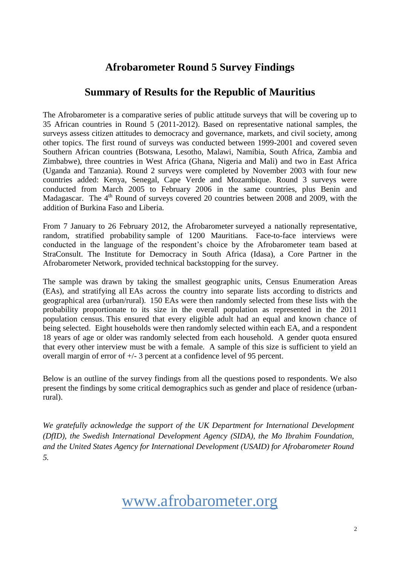## **Afrobarometer Round 5 Survey Findings**

## **Summary of Results for the Republic of Mauritius**

The Afrobarometer is a comparative series of public attitude surveys that will be covering up to 35 African countries in Round 5 (2011-2012). Based on representative national samples, the surveys assess citizen attitudes to democracy and governance, markets, and civil society, among other topics. The first round of surveys was conducted between 1999-2001 and covered seven Southern African countries (Botswana, Lesotho, Malawi, Namibia, South Africa, Zambia and Zimbabwe), three countries in West Africa (Ghana, Nigeria and Mali) and two in East Africa (Uganda and Tanzania). Round 2 surveys were completed by November 2003 with four new countries added: Kenya, Senegal, Cape Verde and Mozambique. Round 3 surveys were conducted from March 2005 to February 2006 in the same countries, plus Benin and Madagascar. The  $4<sup>th</sup>$  Round of surveys covered 20 countries between 2008 and 2009, with the addition of Burkina Faso and Liberia.

From 7 January to 26 February 2012, the Afrobarometer surveyed a nationally representative, random, stratified probability sample of 1200 Mauritians. Face-to-face interviews were conducted in the language of the respondent's choice by the Afrobarometer team based at StraConsult. The Institute for Democracy in South Africa (Idasa), a Core Partner in the Afrobarometer Network, provided technical backstopping for the survey.

The sample was drawn by taking the smallest geographic units, Census Enumeration Areas (EAs), and stratifying all EAs across the country into separate lists according to districts and geographical area (urban/rural). 150 EAs were then randomly selected from these lists with the probability proportionate to its size in the overall population as represented in the 2011 population census. This ensured that every eligible adult had an equal and known chance of being selected. Eight households were then randomly selected within each EA, and a respondent 18 years of age or older was randomly selected from each household. A gender quota ensured that every other interview must be with a female. A sample of this size is sufficient to yield an overall margin of error of +/- 3 percent at a confidence level of 95 percent.

Below is an outline of the survey findings from all the questions posed to respondents. We also present the findings by some critical demographics such as gender and place of residence (urbanrural).

*We gratefully acknowledge the support of the UK Department for International Development (DfID), the Swedish International Development Agency (SIDA), the Mo Ibrahim Foundation, and the United States Agency for International Development (USAID) for Afrobarometer Round 5.*

# www.afrobarometer.org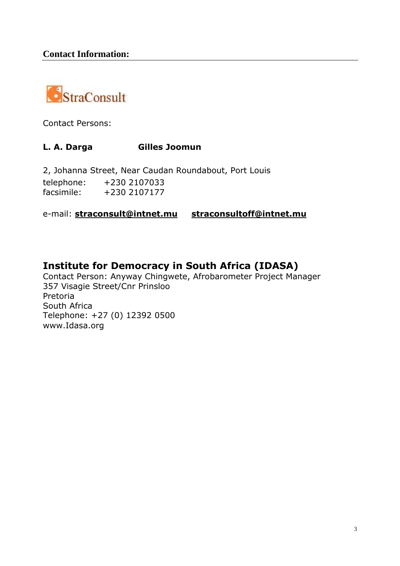

Contact Persons:

## **L. A. Darga Gilles Joomun**

2, Johanna Street, Near Caudan Roundabout, Port Louis telephone: +230 2107033 facsimile: +230 2107177

e-mail: **[straconsult@intnet.mu](mailto:straconsult@intnet.mu) [straconsultoff@intnet.mu](mailto:straconsultoff@intnet.mu)**

## **Institute for Democracy in South Africa (IDASA)**

Contact Person: Anyway Chingwete, Afrobarometer Project Manager 357 Visagie Street/Cnr Prinsloo Pretoria South Africa Telephone: +27 (0) 12392 0500 www.Idasa.org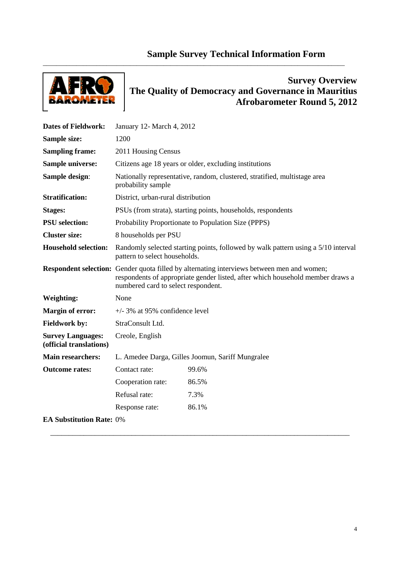## **Sample Survey Technical Information Form**

\_\_\_\_\_\_\_\_\_\_\_\_\_\_\_\_\_\_\_\_\_\_\_\_\_\_\_\_\_\_\_\_\_\_\_\_\_\_\_\_\_\_\_\_\_\_\_\_\_\_\_\_\_\_\_\_\_\_\_\_\_\_\_\_\_\_\_\_\_\_\_\_\_\_\_\_\_\_\_\_\_\_\_\_\_\_\_\_\_\_



## **Survey Overview The Quality of Democracy and Governance in Mauritius Afrobarometer Round 5, 2012**

| <b>Dates of Fieldwork:</b>                          | January 12- March 4, 2012                                                                       |                                                                                                                                                                                     |  |  |  |  |  |  |
|-----------------------------------------------------|-------------------------------------------------------------------------------------------------|-------------------------------------------------------------------------------------------------------------------------------------------------------------------------------------|--|--|--|--|--|--|
| Sample size:                                        | 1200                                                                                            |                                                                                                                                                                                     |  |  |  |  |  |  |
| <b>Sampling frame:</b>                              | 2011 Housing Census                                                                             |                                                                                                                                                                                     |  |  |  |  |  |  |
| <b>Sample universe:</b>                             |                                                                                                 | Citizens age 18 years or older, excluding institutions                                                                                                                              |  |  |  |  |  |  |
| Sample design:                                      | Nationally representative, random, clustered, stratified, multistage area<br>probability sample |                                                                                                                                                                                     |  |  |  |  |  |  |
| <b>Stratification:</b>                              | District, urban-rural distribution                                                              |                                                                                                                                                                                     |  |  |  |  |  |  |
| <b>Stages:</b>                                      |                                                                                                 | PSUs (from strata), starting points, households, respondents                                                                                                                        |  |  |  |  |  |  |
| <b>PSU</b> selection:                               |                                                                                                 | Probability Proportionate to Population Size (PPPS)                                                                                                                                 |  |  |  |  |  |  |
| <b>Cluster size:</b>                                | 8 households per PSU                                                                            |                                                                                                                                                                                     |  |  |  |  |  |  |
| <b>Household selection:</b>                         | pattern to select households.                                                                   | Randomly selected starting points, followed by walk pattern using a 5/10 interval                                                                                                   |  |  |  |  |  |  |
|                                                     | numbered card to select respondent.                                                             | <b>Respondent selection:</b> Gender quota filled by alternating interviews between men and women;<br>respondents of appropriate gender listed, after which household member draws a |  |  |  |  |  |  |
| <b>Weighting:</b>                                   | None                                                                                            |                                                                                                                                                                                     |  |  |  |  |  |  |
| <b>Margin of error:</b>                             | $+/-$ 3% at 95% confidence level                                                                |                                                                                                                                                                                     |  |  |  |  |  |  |
| <b>Fieldwork by:</b>                                | StraConsult Ltd.                                                                                |                                                                                                                                                                                     |  |  |  |  |  |  |
| <b>Survey Languages:</b><br>(official translations) | Creole, English                                                                                 |                                                                                                                                                                                     |  |  |  |  |  |  |
| <b>Main researchers:</b>                            |                                                                                                 | L. Amedee Darga, Gilles Joomun, Sariff Mungralee                                                                                                                                    |  |  |  |  |  |  |
| <b>Outcome rates:</b>                               | Contact rate:                                                                                   | 99.6%                                                                                                                                                                               |  |  |  |  |  |  |
|                                                     | Cooperation rate:                                                                               | 86.5%                                                                                                                                                                               |  |  |  |  |  |  |
|                                                     | Refusal rate:                                                                                   | 7.3%                                                                                                                                                                                |  |  |  |  |  |  |
|                                                     | Response rate:                                                                                  | 86.1%                                                                                                                                                                               |  |  |  |  |  |  |
| <b>EA Substitution Rate: 0%</b>                     |                                                                                                 |                                                                                                                                                                                     |  |  |  |  |  |  |

\_\_\_\_\_\_\_\_\_\_\_\_\_\_\_\_\_\_\_\_\_\_\_\_\_\_\_\_\_\_\_\_\_\_\_\_\_\_\_\_\_\_\_\_\_\_\_\_\_\_\_\_\_\_\_\_\_\_\_\_\_\_\_\_\_\_\_\_\_\_\_\_\_\_\_\_\_\_\_\_\_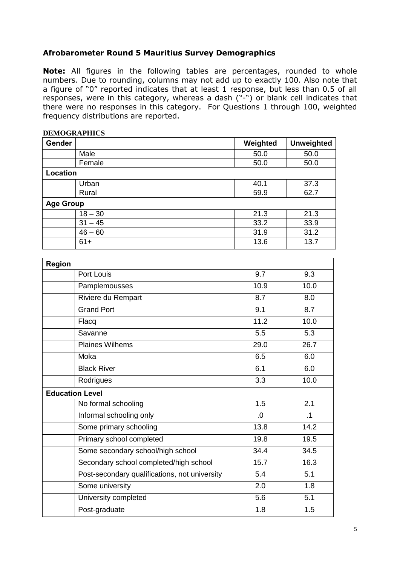## **Afrobarometer Round 5 Mauritius Survey Demographics**

**Note:** All figures in the following tables are percentages, rounded to whole numbers. Due to rounding, columns may not add up to exactly 100. Also note that a figure of "0" reported indicates that at least 1 response, but less than 0.5 of all responses, were in this category, whereas a dash ("-") or blank cell indicates that there were no responses in this category. For Questions 1 through 100, weighted frequency distributions are reported.

| Gender                 |                                               | Weighted     | <b>Unweighted</b> |
|------------------------|-----------------------------------------------|--------------|-------------------|
|                        | Male                                          | 50.0         | 50.0              |
|                        | Female                                        | 50.0         | 50.0              |
| <b>Location</b>        |                                               |              |                   |
|                        | Urban                                         | 40.1         | 37.3              |
|                        | Rural                                         | 59.9         | 62.7              |
| <b>Age Group</b>       |                                               |              |                   |
|                        | $18 - 30$                                     | 21.3         | 21.3              |
|                        | $31 - 45$                                     | 33.2         | 33.9              |
|                        | $46 - 60$<br>$61+$                            | 31.9<br>13.6 | 31.2<br>13.7      |
|                        |                                               |              |                   |
| <b>Region</b>          |                                               |              |                   |
|                        | Port Louis                                    | 9.7          | 9.3               |
|                        | Pamplemousses                                 | 10.9         | 10.0              |
|                        | Riviere du Rempart                            | 8.7          | 8.0               |
|                        | <b>Grand Port</b>                             | 9.1          | 8.7               |
|                        | Flacq                                         | 11.2         | 10.0              |
|                        | Savanne                                       | 5.5          | 5.3               |
|                        | <b>Plaines Wilhems</b>                        | 29.0         | 26.7              |
|                        | Moka                                          | 6.5          | 6.0               |
|                        | <b>Black River</b>                            | 6.1          | 6.0               |
|                        | Rodrigues                                     | 3.3          | 10.0              |
| <b>Education Level</b> |                                               |              |                   |
|                        | No formal schooling                           | 1.5          | 2.1               |
|                        | Informal schooling only                       | 0.           | .1                |
|                        | Some primary schooling                        | 13.8         | 14.2              |
|                        | Primary school completed                      | 19.8         | 19.5              |
|                        | Some secondary school/high school             | 34.4         | 34.5              |
|                        | Secondary school completed/high school        | 15.7         | 16.3              |
|                        | Post-secondary qualifications, not university | 5.4          | 5.1               |
|                        | Some university                               | 2.0          | 1.8               |
|                        | University completed                          | 5.6          | 5.1               |
|                        | Post-graduate                                 | 1.8          | 1.5               |

## **DEMOGRAPHICS**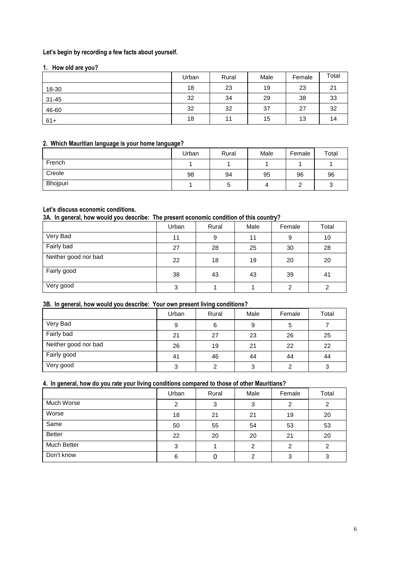## **Let's begin by recording a few facts about yourself.**

## **1. How old are you?**

|           | Urban | Rural | Male | Female | Total |
|-----------|-------|-------|------|--------|-------|
| 18-30     | 18    | 23    | 19   | 23     | 21    |
| $31 - 45$ | 32    | 34    | 29   | 38     | 33    |
| 46-60     | 32    | 32    | 37   | 27     | 32    |
| $61+$     | 18    | 11    | 15   | 13     | 14    |

## **2. Which Mauritian language is your home language?**

|          | Urban | Rural | Male | Female | Total |
|----------|-------|-------|------|--------|-------|
| French   |       |       |      |        |       |
| Creole   | 98    | 94    | 95   | 96     | 96    |
| Bhojpuri |       | э     |      |        |       |

## **Let's discuss economic conditions.**

**3A. In general, how would you describe: The present economic condition of this country?**

|                      | Urban | Rural | Male | Female | Total |
|----------------------|-------|-------|------|--------|-------|
| Very Bad             | 11    | 9     | 11   | 9      | 10    |
| Fairly bad           | 27    | 28    | 25   | 30     | 28    |
| Neither good nor bad | 22    | 18    | 19   | 20     | 20    |
| Fairly good          | 38    | 43    | 43   | 39     | 41    |
| Very good            | 3     |       |      | ົ      | 2     |

## **3B. In general, how would you describe: Your own present living conditions?**

|                      | Urban | Rural | Male | Female | Total |
|----------------------|-------|-------|------|--------|-------|
| Very Bad             | 9     | 6     | 9    |        |       |
| Fairly bad           | 21    | 27    | 23   | 26     | 25    |
| Neither good nor bad | 26    | 19    | 21   | 22     | 22    |
| Fairly good          | 41    | 46    | 44   | 44     | 44    |
| Very good            | ົ     | ົ     |      |        | 3     |

## **4. In general, how do you rate your living conditions compared to those of other Mauritians?**

| ___<br>$\overline{\phantom{a}}$ | Urban | Rural | Male | Female | Total |
|---------------------------------|-------|-------|------|--------|-------|
| Much Worse                      | ◠     | 3     |      |        | っ     |
| Worse                           | 18    | 21    | 21   | 19     | 20    |
| Same                            | 50    | 55    | 54   | 53     | 53    |
| <b>Better</b>                   | 22    | 20    | 20   | 21     | 20    |
| <b>Much Better</b>              | з     |       | ົ    |        | ົ     |
| Don't know                      | 6     |       | ◠    |        |       |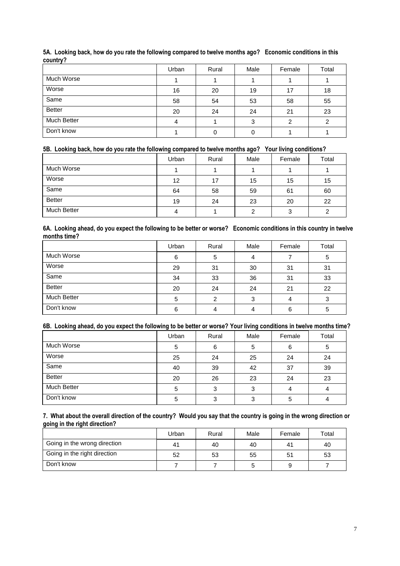| .             |       |       |      |        |       |
|---------------|-------|-------|------|--------|-------|
|               | Urban | Rural | Male | Female | Total |
| Much Worse    |       |       |      |        |       |
| Worse         | 16    | 20    | 19   | 17     | 18    |
| Same          | 58    | 54    | 53   | 58     | 55    |
| <b>Better</b> | 20    | 24    | 24   | 21     | 23    |
| Much Better   | Δ     |       | 3    | っ      | 2     |
| Don't know    |       |       |      |        |       |

## **5A. Looking back, how do you rate the following compared to twelve months ago? Economic conditions in this country?**

## **5B. Looking back, how do you rate the following compared to twelve months ago? Your living conditions?**

|                    | Urban | Rural | Male | Female | Total |
|--------------------|-------|-------|------|--------|-------|
| Much Worse         |       |       |      |        |       |
| Worse              | 12    | 17    | 15   | 15     | 15    |
| Same               | 64    | 58    | 59   | 61     | 60    |
| <b>Better</b>      | 19    | 24    | 23   | 20     | 22    |
| <b>Much Better</b> | 4     |       |      | ≏<br>v |       |

#### **6A. Looking ahead, do you expect the following to be better or worse? Economic conditions in this country in twelve months time?**  $\overline{a}$

|               | Urban | Rural | Male | Female | Total |
|---------------|-------|-------|------|--------|-------|
| Much Worse    | 6     | 5     |      |        | 5     |
| Worse         | 29    | 31    | 30   | 31     | 31    |
| Same          | 34    | 33    | 36   | 31     | 33    |
| <b>Better</b> | 20    | 24    | 24   | 21     | 22    |
| Much Better   | 5     | ⌒     | ≏    |        | 3     |
| Don't know    | 6     |       |      | 6      | 5     |

## **6B. Looking ahead, do you expect the following to be better or worse? Your living conditions in twelve months time?**

|                    | Urban | Rural | Male | Female | Total |
|--------------------|-------|-------|------|--------|-------|
| Much Worse         | 5     | 6     | 5    | 6      | 5     |
| Worse              | 25    | 24    | 25   | 24     | 24    |
| Same               | 40    | 39    | 42   | 37     | 39    |
| <b>Better</b>      | 20    | 26    | 23   | 24     | 23    |
| <b>Much Better</b> | 5     | 3     | 3    |        | 4     |
| Don't know         | 5     | 3     | ົ    | 5      | 4     |

## **7. What about the overall direction of the country? Would you say that the country is going in the wrong direction or going in the right direction?**

|                              | Urban       | Rural | Male | Female         | Total |
|------------------------------|-------------|-------|------|----------------|-------|
| Going in the wrong direction | $4^{\circ}$ | 40    | 40   | 4 <sup>′</sup> | 40    |
| Going in the right direction | 52          | 53    | 55   | 51             | 53    |
| Don't know                   |             |       |      |                |       |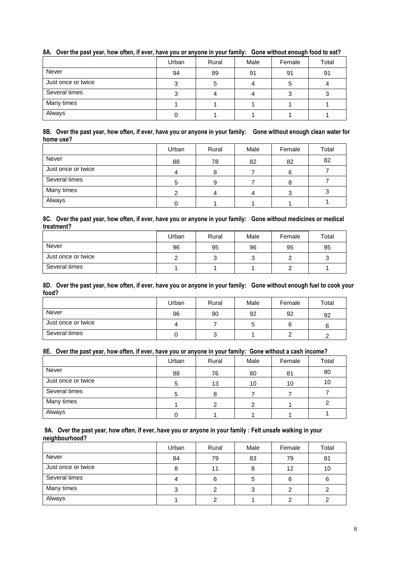|                    | Urban | Rural | Male | Female | Total |
|--------------------|-------|-------|------|--------|-------|
| Never              | 94    | 89    | 91   | 91     | 91    |
| Just once or twice |       |       |      |        |       |
| Several times      |       |       |      |        |       |
| Many times         |       |       |      |        |       |
| Always             |       |       |      |        |       |

## **8A. Over the past year, how often, if ever, have you or anyone in your family: Gone without enough food to eat?**

#### **8B. Over the past year, how often, if ever, have you or anyone in your family: Gone without enough clean water for home use?**

|                    | Urban | Rural | Male | Female | Total |
|--------------------|-------|-------|------|--------|-------|
| Never              | 88    | 78    | 82   | 82     | 82    |
| Just once or twice |       |       |      | 6      |       |
| Several times      |       | 9     |      |        |       |
| Many times         |       |       |      |        |       |
| Always             |       |       |      |        |       |

#### **8C. Over the past year, how often, if ever, have you or anyone in your family: Gone without medicines or medical treatment?**

|                    | Urban | Rural | Male | Female | Total  |
|--------------------|-------|-------|------|--------|--------|
| Never              | 96    | 95    | 96   | 95     | 95     |
| Just once or twice |       | ັ     |      |        | ◠<br>ບ |
| Several times      |       |       |      |        |        |

#### **8D. Over the past year, how often, if ever, have you or anyone in your family: Gone without enough fuel to cook your food?**

|                    | Urban | Rural | Male | Female | Total |
|--------------------|-------|-------|------|--------|-------|
| Never              | 96    | 90    | 92   | 92     | 92    |
| Just once or twice |       |       | G    |        |       |
| Several times      |       | ັ     |      |        |       |

## **8E. Over the past year, how often, if ever, have you or anyone in your family: Gone without a cash income?**

|                    | Urban | Rural | Male | Female | Total |
|--------------------|-------|-------|------|--------|-------|
| Never              | 88    | 76    | 80   | 81     | 80    |
| Just once or twice | 5     | 13    | 10   | 10     | 10    |
| Several times      |       |       |      |        |       |
| Many times         |       |       |      |        |       |
| Always             |       |       |      |        |       |

#### **9A. Over the past year, how often, if ever, have you or anyone in your family : Felt unsafe walking in your neighbourhood?**

|                    | Urban | Rural | Male | Female | Total |
|--------------------|-------|-------|------|--------|-------|
| Never              | 84    | 79    | 83   | 79     | 81    |
| Just once or twice |       | 11    |      | 12     | 10    |
| Several times      |       | 6     | Ð.   |        | b     |
| Many times         |       | ⌒     |      |        |       |
| Always             |       |       |      |        |       |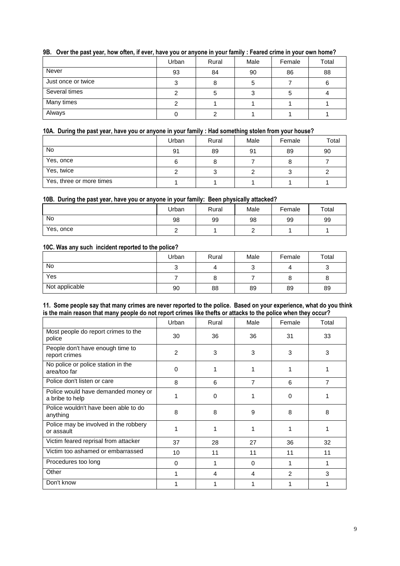| . .<br>$\sim$<br>$\sim$ | $\sim$ |       |      |        |       |
|-------------------------|--------|-------|------|--------|-------|
|                         | Urban  | Rural | Male | Female | Total |
| Never                   | 93     | 84    | 90   | 86     | 88    |
| Just once or twice      |        |       | G    |        | 6     |
| Several times           |        | b     |      |        |       |
| Many times              |        |       |      |        |       |
| Always                  |        |       |      |        |       |

## **9B. Over the past year, how often, if ever, have you or anyone in your family : Feared crime in your own home?**

## **10A. During the past year, have you or anyone in your family : Had something stolen from your house?**

|                          | Urban | Rural | Male | Female | Total |
|--------------------------|-------|-------|------|--------|-------|
| No                       | 91    | 89    | 91   | 89     | 90    |
| Yes, once                | 6     |       |      |        |       |
| Yes, twice               |       |       |      |        |       |
| Yes, three or more times |       |       |      |        |       |

## **10B. During the past year, have you or anyone in your family: Been physically attacked?**

|           | Urban | Rural | Male | Female | Total |
|-----------|-------|-------|------|--------|-------|
| No        | 98    | 99    | 98   | 99     | 99    |
| Yes, once |       |       |      |        |       |

## **10C. Was any such incident reported to the police?**

|                | Urban           | Rural | Male | Female | Total |
|----------------|-----------------|-------|------|--------|-------|
| No             | $\sqrt{2}$<br>w |       |      |        | ٮ     |
| Yes            |                 | o     |      |        | 8     |
| Not applicable | 90              | 88    | 89   | 89     | 89    |

#### **11. Some people say that many crimes are never reported to the police. Based on your experience, what do you think is the main reason that many people do not report crimes like thefts or attacks to the police when they occur?**

|                                                        | Urban    | Rural    | Male           | Female | Total |
|--------------------------------------------------------|----------|----------|----------------|--------|-------|
| Most people do report crimes to the<br>police          | 30       | 36       | 36             | 31     | 33    |
| People don't have enough time to<br>report crimes      | 2        | 3        | 3              | 3      | 3     |
| No police or police station in the<br>area/too far     | $\Omega$ |          |                |        |       |
| Police don't listen or care                            | 8        | 6        | $\overline{7}$ | 6      | 7     |
| Police would have demanded money or<br>a bribe to help |          | $\Omega$ | 1              | 0      |       |
| Police wouldn't have been able to do<br>anything       | 8        | 8        | 9              | 8      | 8     |
| Police may be involved in the robbery<br>or assault    |          | 1        | 1              | 1      |       |
| Victim feared reprisal from attacker                   | 37       | 28       | 27             | 36     | 32    |
| Victim too ashamed or embarrassed                      | 10       | 11       | 11             | 11     | 11    |
| Procedures too long                                    | $\Omega$ | 1        | $\Omega$       |        | 1     |
| Other                                                  |          | 4        | 4              | 2      | 3     |
| Don't know                                             |          |          |                |        |       |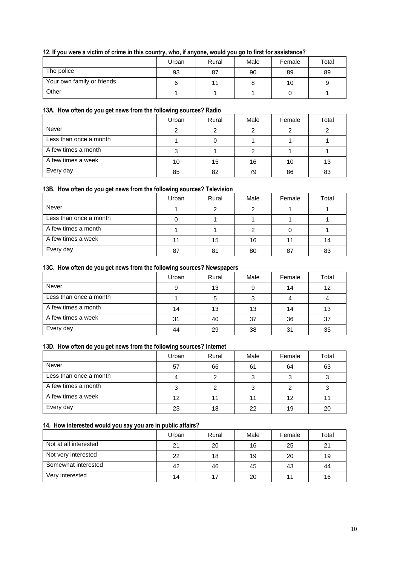## **12. If you were a victim of crime in this country, who, if anyone, would you go to first for assistance?**

|                            | Urban | Rural | Male | Female | Total |
|----------------------------|-------|-------|------|--------|-------|
| The police                 | 93    | 87    | 90   | 89     | 89    |
| Your own family or friends |       | 11    |      | 10     | 9     |
| Other                      |       |       |      |        |       |

## **13A. How often do you get news from the following sources? Radio**

|                        | Urban | Rural | Male | Female | Total |
|------------------------|-------|-------|------|--------|-------|
| <b>Never</b>           |       |       |      |        |       |
| Less than once a month |       |       |      |        |       |
| A few times a month    |       |       |      |        |       |
| A few times a week     | 10    | 15    | 16   | 10     | 13    |
| Every day              | 85    | 82    | 79   | 86     | 83    |

## **13B. How often do you get news from the following sources? Television**

|                        | Urban | Rural | Male | Female | Total |
|------------------------|-------|-------|------|--------|-------|
| Never                  |       |       |      |        |       |
| Less than once a month |       |       |      |        |       |
| A few times a month    |       |       |      |        |       |
| A few times a week     |       | 15    | 16   |        | 14    |
| Every day              | 87    | 81    | 80   | 87     | 83    |

#### **13C. How often do you get news from the following sources? Newspapers**

|                        | Urban | Rural | Male | Female | Total |
|------------------------|-------|-------|------|--------|-------|
| Never                  | Ω     | 13    |      | 14     | 12    |
| Less than once a month |       |       |      |        |       |
| A few times a month    | 14    | 13    | 13   | 14     | 13    |
| A few times a week     | 31    | 40    | 37   | 36     | 37    |
| Every day              | 44    | 29    | 38   | 31     | 35    |

## **13D. How often do you get news from the following sources? Internet**

|                        | Urban | Rural | Male | Female | Total |
|------------------------|-------|-------|------|--------|-------|
| Never                  | 57    | 66    | 61   | 64     | 63    |
| Less than once a month |       | າ     |      |        |       |
| A few times a month    |       |       |      |        |       |
| A few times a week     | 12    | 11    |      | 12     |       |
| Every day              | 23    | 18    | 22   | 19     | 20    |

## **14. How interested would you say you are in public affairs?**

|                       | Urban | Rural | Male | Female | Total |
|-----------------------|-------|-------|------|--------|-------|
| Not at all interested | 21    | 20    | 16   | 25     | 21    |
| Not very interested   | 22    | 18    | 19   | 20     | 19    |
| Somewhat interested   | 42    | 46    | 45   | 43     | 44    |
| Very interested       | 14    | 17    | 20   |        | 16    |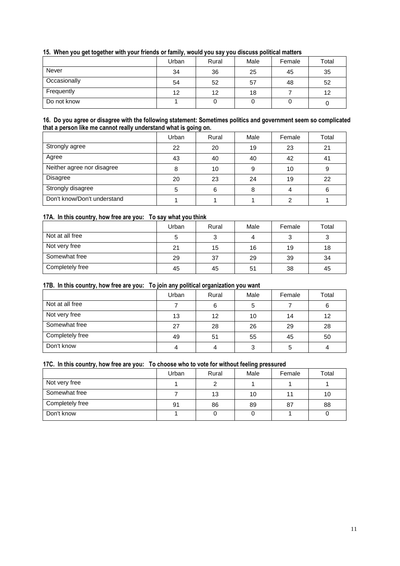| <u>, a community and the community of the community of the community of the community of the community of the community of the community of the community of the community of the community of the community of the community of</u> |       |       |      |        |       |  |  |
|--------------------------------------------------------------------------------------------------------------------------------------------------------------------------------------------------------------------------------------|-------|-------|------|--------|-------|--|--|
|                                                                                                                                                                                                                                      | Urban | Rural | Male | Female | Total |  |  |
| Never                                                                                                                                                                                                                                | 34    | 36    | 25   | 45     | 35    |  |  |
| Occasionally                                                                                                                                                                                                                         | 54    | 52    | 57   | 48     | 52    |  |  |
| Frequently                                                                                                                                                                                                                           | 12    | 12    | 18   |        | 12    |  |  |
| Do not know                                                                                                                                                                                                                          |       |       |      |        |       |  |  |

## **15. When you get together with your friends or family, would you say you discuss political matters**

#### **16. Do you agree or disagree with the following statement: Sometimes politics and government seem so complicated that a person like me cannot really understand what is going on.**

|                             | Urban | Rural | Male | Female | Total |
|-----------------------------|-------|-------|------|--------|-------|
| Strongly agree              | 22    | 20    | 19   | 23     | 21    |
| Agree                       | 43    | 40    | 40   | 42     | 41    |
| Neither agree nor disagree  |       | 10    | 9    | 10     | 9     |
| <b>Disagree</b>             | 20    | 23    | 24   | 19     | 22    |
| Strongly disagree           | 5     | 6     |      |        | 6     |
| Don't know/Don't understand |       |       |      |        |       |

## **17A. In this country, how free are you: To say what you think**

|                 | Urban | Rural | Male | Female | Total |
|-----------------|-------|-------|------|--------|-------|
| Not at all free |       | 3     |      |        | 3     |
| Not very free   | 21    | 15    | 16   | 19     | 18    |
| Somewhat free   | 29    | 37    | 29   | 39     | 34    |
| Completely free | 45    | 45    | 51   | 38     | 45    |

## **17B. In this country, how free are you: To join any political organization you want**

|                 | . .<br>Urban | Rural | Male | Female | Total |
|-----------------|--------------|-------|------|--------|-------|
| Not at all free |              | 6     | 5    |        | 6     |
| Not very free   | 13           | 12    | 10   | 14     | 12    |
| Somewhat free   | 27           | 28    | 26   | 29     | 28    |
| Completely free | 49           | 51    | 55   | 45     | 50    |
| Don't know      |              |       |      | 5      |       |

## **17C. In this country, how free are you: To choose who to vote for without feeling pressured**

|                 | Urban | Rural | Male | Female | Total |
|-----------------|-------|-------|------|--------|-------|
| Not very free   |       |       |      |        |       |
| Somewhat free   |       | 13    | 10   |        | 10    |
| Completely free | 91    | 86    | 89   | 87     | 88    |
| Don't know      |       |       |      |        |       |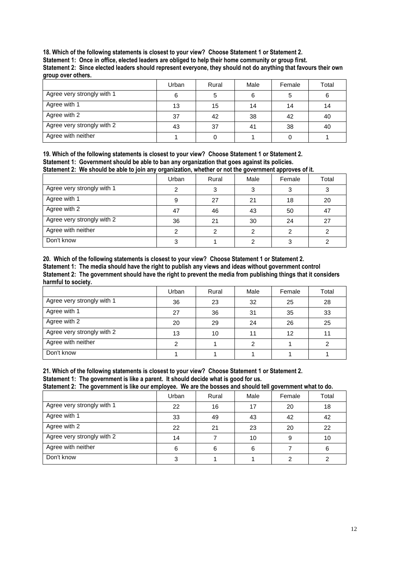**18. Which of the following statements is closest to your view? Choose Statement 1 or Statement 2. Statement 1: Once in office, elected leaders are obliged to help their home community or group first. Statement 2: Since elected leaders should represent everyone, they should not do anything that favours their own group over others.**

|                            | Urban | Rural | Male | Female | Total |
|----------------------------|-------|-------|------|--------|-------|
| Agree very strongly with 1 |       | 5     | 6    |        | 6     |
| Agree with 1               | 13    | 15    | 14   | 14     | 14    |
| Agree with 2               | 37    | 42    | 38   | 42     | 40    |
| Agree very strongly with 2 | 43    | 37    | 41   | 38     | 40    |
| Agree with neither         |       |       |      |        |       |

**19. Which of the following statements is closest to your view? Choose Statement 1 or Statement 2. Statement 1: Government should be able to ban any organization that goes against its policies. Statement 2: We should be able to join any organization, whether or not the government approves of it.**

|                            | Urban | Rural | Male | Female | Total |
|----------------------------|-------|-------|------|--------|-------|
| Agree very strongly with 1 |       |       |      |        |       |
| Agree with 1               |       | 27    | 21   | 18     | 20    |
| Agree with 2               | 47    | 46    | 43   | 50     | 47    |
| Agree very strongly with 2 | 36    | 21    | 30   | 24     | 27    |
| Agree with neither         |       | ⌒     |      | ົ      |       |
| Don't know                 |       |       |      |        |       |

**20. Which of the following statements is closest to your view? Choose Statement 1 or Statement 2. Statement 1: The media should have the right to publish any views and ideas without government control Statement 2: The government should have the right to prevent the media from publishing things that it considers harmful to society.**

|                            | Urban | Rural | Male | Female | Total |
|----------------------------|-------|-------|------|--------|-------|
| Agree very strongly with 1 | 36    | 23    | 32   | 25     | 28    |
| Agree with 1               | 27    | 36    | 31   | 35     | 33    |
| Agree with 2               | 20    | 29    | 24   | 26     | 25    |
| Agree very strongly with 2 | 13    | 10    |      | 12     |       |
| Agree with neither         |       |       |      |        |       |
| Don't know                 |       |       |      |        |       |

#### **21. Which of the following statements is closest to your view? Choose Statement 1 or Statement 2. Statement 1: The government is like a parent. It should decide what is good for us.**

**Statement 2: The government is like our employee. We are the bosses and should tell government what to do.**

|                            | Urban | Rural | Male | Female | Total |
|----------------------------|-------|-------|------|--------|-------|
| Agree very strongly with 1 | 22    | 16    | 17   | 20     | 18    |
| Agree with 1               | 33    | 49    | 43   | 42     | 42    |
| Agree with 2               | 22    | 21    | 23   | 20     | 22    |
| Agree very strongly with 2 | 14    |       | 10   | 9      | 10    |
| Agree with neither         | 6     | 6     | 6    |        | 6     |
| Don't know                 |       |       |      |        |       |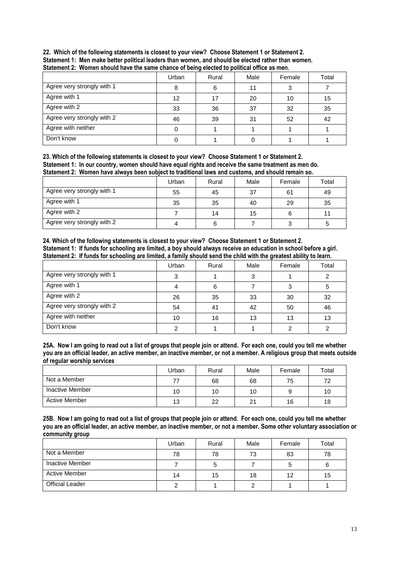| 22. Which of the following statements is closest to your view? Choose Statement 1 or Statement 2.   |
|-----------------------------------------------------------------------------------------------------|
| Statement 1: Men make better political leaders than women, and should be elected rather than women. |
| Statement 2: Women should have the same chance of being elected to political office as men.         |

|                            | Urban | Rural | Male | Female | Total |
|----------------------------|-------|-------|------|--------|-------|
| Agree very strongly with 1 | 8     | 6     | 11   |        |       |
| Agree with 1               | 12    | 17    | 20   | 10     | 15    |
| Agree with 2               | 33    | 36    | 37   | 32     | 35    |
| Agree very strongly with 2 | 46    | 39    | 31   | 52     | 42    |
| Agree with neither         |       |       |      |        |       |
| Don't know                 |       |       |      |        |       |

**23. Which of the following statements is closest to your view? Choose Statement 1 or Statement 2. Statement 1: In our country, women should have equal rights and receive the same treatment as men do. Statement 2: Women have always been subject to traditional laws and customs, and should remain so.**

|                            | Urban | Rural | Male | Female | Total |
|----------------------------|-------|-------|------|--------|-------|
| Agree very strongly with 1 | 55    | 45    | 37   | 61     | 49    |
| Agree with 1               | 35    | 35    | 40   | 29     | 35    |
| Agree with 2               |       | 14    | 15   |        |       |
| Agree very strongly with 2 |       | 6     |      |        | 5     |

**24. Which of the following statements is closest to your view? Choose Statement 1 or Statement 2. Statement 1: If funds for schooling are limited, a boy should always receive an education in school before a girl. Statement 2: If funds for schooling are limited, a family should send the child with the greatest ability to learn.**

|                            | Urban | Rural | Male | Female | Total |
|----------------------------|-------|-------|------|--------|-------|
| Agree very strongly with 1 |       |       |      |        |       |
| Agree with 1               |       | 6     |      |        | 5     |
| Agree with 2               | 26    | 35    | 33   | 30     | 32    |
| Agree very strongly with 2 | 54    | 41    | 42   | 50     | 46    |
| Agree with neither         | 10    | 16    | 13   | 13     | 13    |
| Don't know                 |       |       |      |        |       |

**25A. Now I am going to read out a list of groups that people join or attend. For each one, could you tell me whether you are an official leader, an active member, an inactive member, or not a member. A religious group that meets outside of regular worship services**

|                 | Urban | Rural | Male | Female | Total |
|-----------------|-------|-------|------|--------|-------|
| Not a Member    |       | 68    | 68   | 75     | 72    |
| Inactive Member | 10    | 10    | 10   |        | 10    |
| Active Member   | 13    | 22    | 21   | 16     | 18    |

**25B. Now I am going to read out a list of groups that people join or attend. For each one, could you tell me whether you are an official leader, an active member, an inactive member, or not a member. Some other voluntary association or community group**

|                        | Urban | Rural | Male | Female | Total |
|------------------------|-------|-------|------|--------|-------|
| Not a Member           | 78    | 78    | 73   | 83     | 78    |
| Inactive Member        |       | 5     |      |        | 6     |
| <b>Active Member</b>   | 14    | 15    | 18   | 12     | 15    |
| <b>Official Leader</b> |       |       |      |        |       |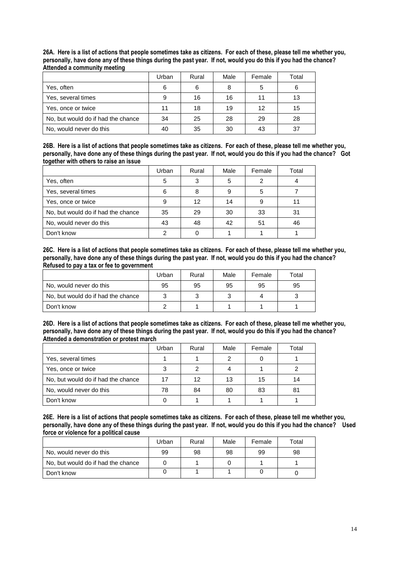**26A. Here is a list of actions that people sometimes take as citizens. For each of these, please tell me whether you, personally, have done any of these things during the past year. If not, would you do this if you had the chance? Attended a community meeting**

|                                    | Urban | Rural | Male | Female | Total |
|------------------------------------|-------|-------|------|--------|-------|
| Yes, often                         | 6     | 6     | 8    | 5      | 6     |
| Yes, several times                 | 9     | 16    | 16   | 11     | 13    |
| Yes, once or twice                 | 11    | 18    | 19   | 12     | 15    |
| No, but would do if had the chance | 34    | 25    | 28   | 29     | 28    |
| No, would never do this            | 40    | 35    | 30   | 43     | 37    |

**26B. Here is a list of actions that people sometimes take as citizens. For each of these, please tell me whether you, personally, have done any of these things during the past year. If not, would you do this if you had the chance? Got together with others to raise an issue**

|                                    | Urban | Rural | Male | Female | Total |
|------------------------------------|-------|-------|------|--------|-------|
| Yes, often                         | 5     | 3     | 5    | 2      |       |
| Yes, several times                 | 6     | 8     |      | 5      |       |
| Yes, once or twice                 | 9     | 12    | 14   | 9      |       |
| No, but would do if had the chance | 35    | 29    | 30   | 33     | 31    |
| No, would never do this            | 43    | 48    | 42   | 51     | 46    |
| Don't know                         | ◠     |       |      |        |       |

**26C. Here is a list of actions that people sometimes take as citizens. For each of these, please tell me whether you, personally, have done any of these things during the past year. If not, would you do this if you had the chance? Refused to pay a tax or fee to government**

|                                    | Urban | Rural | Male | Female | Total |
|------------------------------------|-------|-------|------|--------|-------|
| No, would never do this            | 95    | 95    | 95   | 95     | 95    |
| No, but would do if had the chance |       | ◠     |      | Δ      |       |
| Don't know                         |       |       |      |        |       |

**26D. Here is a list of actions that people sometimes take as citizens. For each of these, please tell me whether you, personally, have done any of these things during the past year. If not, would you do this if you had the chance? Attended a demonstration or protest march** 

|                                    | Urban | Rural | Male | Female | Total |
|------------------------------------|-------|-------|------|--------|-------|
| Yes, several times                 |       |       |      |        |       |
| Yes, once or twice                 |       |       |      |        |       |
| No, but would do if had the chance | 17    | 12    | 13   | 15     | 14    |
| No, would never do this            | 78    | 84    | 80   | 83     | 81    |
| Don't know                         |       |       |      |        |       |

**26E. Here is a list of actions that people sometimes take as citizens. For each of these, please tell me whether you, personally, have done any of these things during the past year. If not, would you do this if you had the chance? Used force or violence for a political cause**

|                                    | Urban | Rural | Male | Female | $\tau$ otal |
|------------------------------------|-------|-------|------|--------|-------------|
| No, would never do this            | 99    | 98    | 98   | 99     | 98          |
| No, but would do if had the chance |       |       |      |        |             |
| Don't know                         |       |       |      |        |             |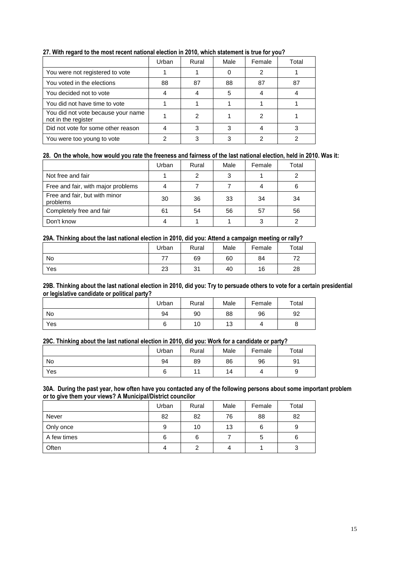|                                                           | Urban | Rural | Male | Female | Total |
|-----------------------------------------------------------|-------|-------|------|--------|-------|
| You were not registered to vote                           |       |       |      | 2      |       |
| You voted in the elections                                | 88    | 87    | 88   | 87     | 87    |
| You decided not to vote                                   |       |       | 5    |        |       |
| You did not have time to vote                             |       |       |      |        |       |
| You did not vote because your name<br>not in the register |       | 2     |      | 2      |       |
| Did not vote for some other reason                        |       | з     |      |        |       |
| You were too young to vote                                |       |       |      |        |       |

## **27. With regard to the most recent national election in 2010, which statement is true for you?**

## **28. On the whole, how would you rate the freeness and fairness of the last national election, held in 2010. Was it:**

|                                           | Urban | Rural | Male | Female | Total |
|-------------------------------------------|-------|-------|------|--------|-------|
| Not free and fair                         |       |       |      |        |       |
| Free and fair, with major problems        |       |       |      |        |       |
| Free and fair, but with minor<br>problems | 30    | 36    | 33   | 34     | 34    |
| Completely free and fair                  | 61    | 54    | 56   | 57     | 56    |
| Don't know                                |       |       |      |        |       |

#### **29A. Thinking about the last national election in 2010, did you: Attend a campaign meeting or rally?**

|     | Urban     | Rural      | Male | Female | Total    |
|-----|-----------|------------|------|--------|----------|
| No  | 77        | 69         | 60   | 84     | 70<br>74 |
| Yes | つつ<br>ں ے | 21<br>ູບ ເ | 40   | 16     | 28       |

**29B. Thinking about the last national election in 2010, did you: Try to persuade others to vote for a certain presidential or legislative candidate or political party?**

|     | Urban | Rural | Male | Female | Total |
|-----|-------|-------|------|--------|-------|
| No  | 94    | 90    | 88   | 96     | 92    |
| Yes |       | 10    | 13   |        | O     |

#### **29C. Thinking about the last national election in 2010, did you: Work for a candidate or party?**

|     | Urban | Rural          | Male | Female | Total |
|-----|-------|----------------|------|--------|-------|
| No  | 94    | 89             | 86   | 96     | 91    |
| Yes | ⌒     | $\overline{A}$ | 14   | Δ      | У     |

#### **30A. During the past year, how often have you contacted any of the following persons about some important problem or to give them your views? A Municipal/District councilor**

|             | Urban | Rural | Male | Female | Total |
|-------------|-------|-------|------|--------|-------|
| Never       | 82    | 82    | 76   | 88     | 82    |
| Only once   | 9     | 10    | 13   | 6      | 9     |
| A few times | 6     | 6     |      | 5      | 6     |
| Often       |       |       |      |        | 3     |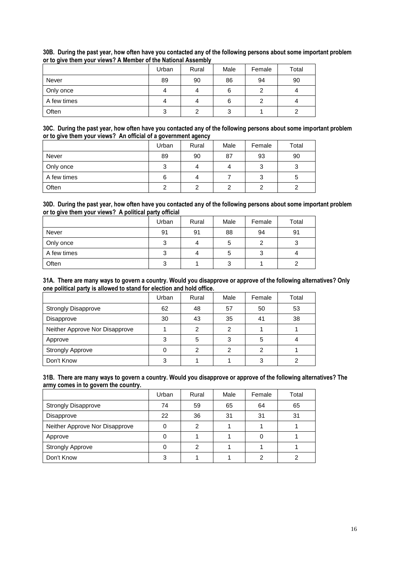|             | Urban | Rural | Male | Female | Total |
|-------------|-------|-------|------|--------|-------|
| Never       | 89    | 90    | 86   | 94     | 90    |
| Only once   | 4     | 4     | 6    |        | 4     |
| A few times |       | 4     | 6    | 2      |       |
| Often       | 3     | ົ     |      |        |       |

#### **30B. During the past year, how often have you contacted any of the following persons about some important problem or to give them your views? A Member of the National Assembly**

#### **30C. During the past year, how often have you contacted any of the following persons about some important problem or to give them your views? An official of a government agency**

|             |        | . .   |      |        |       |
|-------------|--------|-------|------|--------|-------|
|             | Urban  | Rural | Male | Female | Total |
| Never       | 89     | 90    | 87   | 93     | 90    |
| Only once   | ົ<br>J | 4     |      | っ<br>ت | ۰J    |
| A few times | 6      | 4     |      | 3      | G     |
| Often       |        | າ     |      | ⌒      |       |

#### **30D. During the past year, how often have you contacted any of the following persons about some important problem or to give them your views? A political party official**

|             | Urban | Rural | Male | Female | Total |
|-------------|-------|-------|------|--------|-------|
| Never       | 91    | 91    | 88   | 94     | 91    |
| Only once   | 3     | 4     | G    | 2      | 3     |
| A few times | 3     | 4     | G    | 3      | 4     |
| Often       | 3     |       | 3    |        |       |

#### **31A. There are many ways to govern a country. Would you disapprove or approve of the following alternatives? Only one political party is allowed to stand for election and hold office.**

|                                | Urban | Rural         | Male | Female | Total |
|--------------------------------|-------|---------------|------|--------|-------|
| <b>Strongly Disapprove</b>     | 62    | 48            | 57   | 50     | 53    |
| Disapprove                     | 30    | 43            | 35   | 41     | 38    |
| Neither Approve Nor Disapprove |       | $\mathcal{P}$ | っ    |        |       |
| Approve                        | 3     | 5             | ◠    | 5      |       |
| <b>Strongly Approve</b>        |       | 2             |      | 2      |       |
| Don't Know                     |       |               |      | 3      |       |

#### **31B. There are many ways to govern a country. Would you disapprove or approve of the following alternatives? The army comes in to govern the country.**

|                                | Urban | Rural | Male | Female | Total |
|--------------------------------|-------|-------|------|--------|-------|
| <b>Strongly Disapprove</b>     | 74    | 59    | 65   | 64     | 65    |
| Disapprove                     | 22    | 36    | 31   | 31     | 31    |
| Neither Approve Nor Disapprove |       | 2     |      |        |       |
| Approve                        |       |       |      | O      |       |
| <b>Strongly Approve</b>        |       | 2     |      |        |       |
| Don't Know                     | 2     |       |      | っ      |       |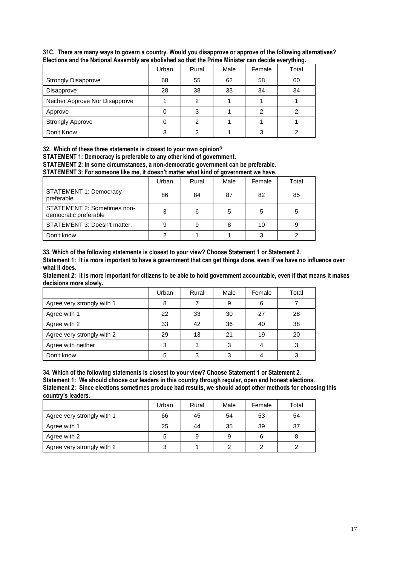|                                | Urban | Rural | Male | Female | Total |
|--------------------------------|-------|-------|------|--------|-------|
| <b>Strongly Disapprove</b>     | 68    | 55    | 62   | 58     | 60    |
| Disapprove                     | 28    | 38    | 33   | 34     | 34    |
| Neither Approve Nor Disapprove |       | 2     |      |        |       |
| Approve                        |       | 3     |      |        |       |
| <b>Strongly Approve</b>        |       | 2     |      |        |       |
| Don't Know                     |       | 2     |      |        |       |

**31C. There are many ways to govern a country. Would you disapprove or approve of the following alternatives? Elections and the National Assembly are abolished so that the Prime Minister can decide everything.**

**32. Which of these three statements is closest to your own opinion?** 

**STATEMENT 1: Democracy is preferable to any other kind of government.**

**STATEMENT 2: In some circumstances, a non-democratic government can be preferable.** 

**STATEMENT 3: For someone like me, it doesn't matter what kind of government we have.**

|                                                      | Urban | Rural | Male | Female | Total |
|------------------------------------------------------|-------|-------|------|--------|-------|
| <b>STATEMENT 1: Democracy</b><br>preferable.         | 86    | 84    | 87   | 82     | 85    |
| STATEMENT 2: Sometimes non-<br>democratic preferable | 3     | 6     | 5    | 5      | 5     |
| STATEMENT 3: Doesn't matter.                         |       | 9     |      | 10     |       |
| Don't know                                           | ◠     |       |      | 3      |       |

**33. Which of the following statements is closest to your view? Choose Statement 1 or Statement 2. Statement 1: It is more important to have a government that can get things done, even if we have no influence over what it does.**

**Statement 2: It is more important for citizens to be able to hold government accountable, even if that means it makes decisions more slowly.**

|                            | Urban | Rural | Male | Female | Total |
|----------------------------|-------|-------|------|--------|-------|
| Agree very strongly with 1 | 8     |       | 9    | 6      |       |
| Agree with 1               | 22    | 33    | 30   | 27     | 28    |
| Agree with 2               | 33    | 42    | 36   | 40     | 38    |
| Agree very strongly with 2 | 29    | 13    | 21   | 19     | 20    |
| Agree with neither         | 3     | 3     |      | 4      |       |
| Don't know                 | 5     | 3     |      |        |       |

**34. Which of the following statements is closest to your view? Choose Statement 1 or Statement 2.**

**Statement 1: We should choose our leaders in this country through regular, open and honest elections. Statement 2: Since elections sometimes produce bad results, we should adopt other methods for choosing this country's leaders.**

|                            | Urban | Rural | Male | Female | Total |
|----------------------------|-------|-------|------|--------|-------|
| Agree very strongly with 1 | 66    | 45    | 54   | 53     | 54    |
| Agree with 1               | 25    | 44    | 35   | 39     | 37    |
| Agree with 2               | 5     | 9     | 9    | 6      |       |
| Agree very strongly with 2 |       |       |      |        |       |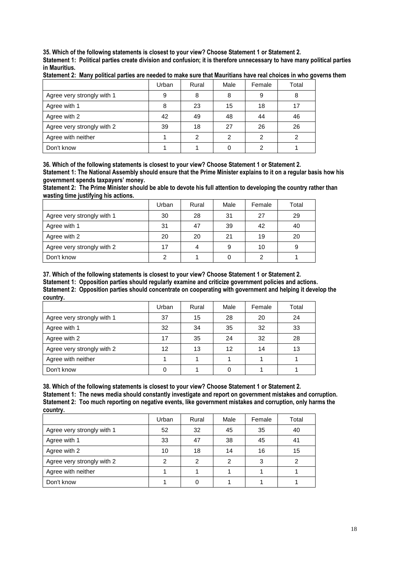**35. Which of the following statements is closest to your view? Choose Statement 1 or Statement 2.** 

**Statement 1: Political parties create division and confusion; it is therefore unnecessary to have many political parties in Mauritius.**

|                            | Urban | Rural | Male | Female | Total |
|----------------------------|-------|-------|------|--------|-------|
| Agree very strongly with 1 | 9     | 8     | 8    | 9      | 8     |
| Agree with 1               |       | 23    | 15   | 18     |       |
| Agree with 2               | 42    | 49    | 48   | 44     | 46    |
| Agree very strongly with 2 | 39    | 18    | 27   | 26     | 26    |
| Agree with neither         |       | 2     |      |        |       |
| Don't know                 |       |       |      |        |       |

**Statement 2: Many political parties are needed to make sure that Mauritians have real choices in who governs them**

**36. Which of the following statements is closest to your view? Choose Statement 1 or Statement 2. Statement 1: The National Assembly should ensure that the Prime Minister explains to it on a regular basis how his government spends taxpayers' money.**

**Statement 2: The Prime Minister should be able to devote his full attention to developing the country rather than wasting time justifying his actions.**

|                            | Urban | Rural | Male | Female | Total |
|----------------------------|-------|-------|------|--------|-------|
| Agree very strongly with 1 | 30    | 28    | 31   | 27     | 29    |
| Agree with 1               | 31    | 47    | 39   | 42     | 40    |
| Agree with 2               | 20    | 20    | 21   | 19     | 20    |
| Agree very strongly with 2 | 17    | 4     | 9    | 10     | 9     |
| Don't know                 |       |       |      | ◠      |       |

**37. Which of the following statements is closest to your view? Choose Statement 1 or Statement 2. Statement 1: Opposition parties should regularly examine and criticize government policies and actions. Statement 2: Opposition parties should concentrate on cooperating with government and helping it develop the country.**

|                            | Urban | Rural | Male | Female | Total |
|----------------------------|-------|-------|------|--------|-------|
| Agree very strongly with 1 | 37    | 15    | 28   | 20     | 24    |
| Agree with 1               | 32    | 34    | 35   | 32     | 33    |
| Agree with 2               | 17    | 35    | 24   | 32     | 28    |
| Agree very strongly with 2 | 12    | 13    | 12   | 14     | 13    |
| Agree with neither         |       |       |      |        |       |
| Don't know                 |       |       |      |        |       |

**38. Which of the following statements is closest to your view? Choose Statement 1 or Statement 2. Statement 1: The news media should constantly investigate and report on government mistakes and corruption. Statement 2: Too much reporting on negative events, like government mistakes and corruption, only harms the country.**

|                            | Urban | Rural | Male | Female | Total |
|----------------------------|-------|-------|------|--------|-------|
| Agree very strongly with 1 | 52    | 32    | 45   | 35     | 40    |
| Agree with 1               | 33    | 47    | 38   | 45     | 41    |
| Agree with 2               | 10    | 18    | 14   | 16     | 15    |
| Agree very strongly with 2 | っ     | 2     | ົ    | 3      | ົ     |
| Agree with neither         |       |       |      |        |       |
| Don't know                 |       |       |      |        |       |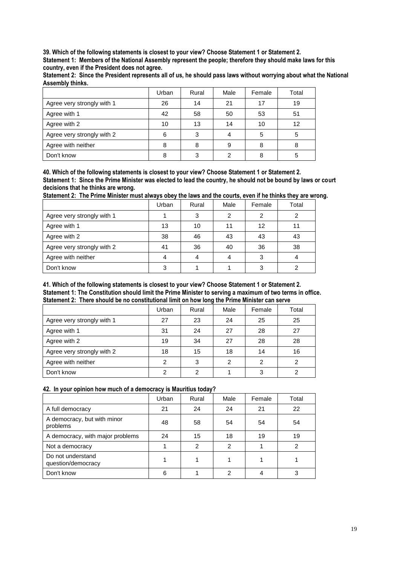**39. Which of the following statements is closest to your view? Choose Statement 1 or Statement 2.** 

**Statement 1: Members of the National Assembly represent the people; therefore they should make laws for this country, even if the President does not agree.** 

**Statement 2: Since the President represents all of us, he should pass laws without worrying about what the National Assembly thinks.**

|                            | Urban | Rural | Male | Female | Total |
|----------------------------|-------|-------|------|--------|-------|
| Agree very strongly with 1 | 26    | 14    | 21   | 17     | 19    |
| Agree with 1               | 42    | 58    | 50   | 53     | 51    |
| Agree with 2               | 10    | 13    | 14   | 10     | 12    |
| Agree very strongly with 2 | 6     | 3     |      | 5      |       |
| Agree with neither         | 8     | 8     | 9    | 8      |       |
| Don't know                 |       | 3     |      |        |       |

**40. Which of the following statements is closest to your view? Choose Statement 1 or Statement 2. Statement 1: Since the Prime Minister was elected to lead the country, he should not be bound by laws or court decisions that he thinks are wrong.** 

**Statement 2: The Prime Minister must always obey the laws and the courts, even if he thinks they are wrong.**

|                            | Urban | Rural | Male | Female | Total |
|----------------------------|-------|-------|------|--------|-------|
| Agree very strongly with 1 |       | 3     |      | 2      |       |
| Agree with 1               | 13    | 10    | 11   | 12     | 11    |
| Agree with 2               | 38    | 46    | 43   | 43     | 43    |
| Agree very strongly with 2 | 41    | 36    | 40   | 36     | 38    |
| Agree with neither         |       |       |      | 3      |       |
| Don't know                 | з     |       |      | 3      |       |

#### **41. Which of the following statements is closest to your view? Choose Statement 1 or Statement 2. Statement 1: The Constitution should limit the Prime Minister to serving a maximum of two terms in office. Statement 2: There should be no constitutional limit on how long the Prime Minister can serve**

|                            | Urban | Rural | Male | Female | Total |
|----------------------------|-------|-------|------|--------|-------|
| Agree very strongly with 1 | 27    | 23    | 24   | 25     | 25    |
| Agree with 1               | 31    | 24    | 27   | 28     | 27    |
| Agree with 2               | 19    | 34    | 27   | 28     | 28    |
| Agree very strongly with 2 | 18    | 15    | 18   | 14     | 16    |
| Agree with neither         | 2     | 3     | 2    | 2      | 2     |
| Don't know                 | C     | 2     |      | 3      | ົ     |

#### **42. In your opinion how much of a democracy is Mauritius today?**

|                                         | Urban | Rural          | Male | Female | Total |
|-----------------------------------------|-------|----------------|------|--------|-------|
| A full democracy                        | 21    | 24             | 24   | 21     | 22    |
| A democracy, but with minor<br>problems | 48    | 58             | 54   | 54     | 54    |
| A democracy, with major problems        | 24    | 15             | 18   | 19     | 19    |
| Not a democracy                         |       | $\overline{2}$ | っ    |        | 2     |
| Do not understand<br>question/democracy |       |                |      |        |       |
| Don't know                              | 6     |                | ົ    | 4      | 3     |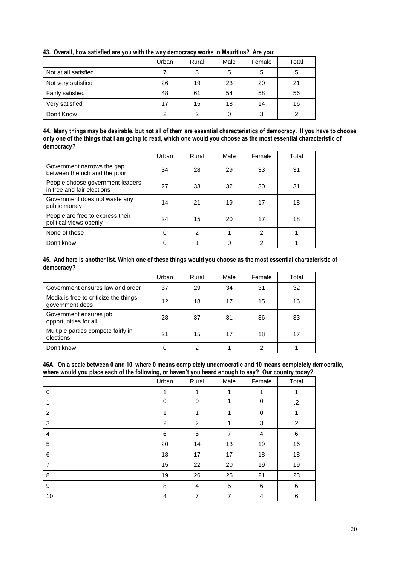|                      | .     |       |      |        |       |
|----------------------|-------|-------|------|--------|-------|
|                      | Urban | Rural | Male | Female | Total |
| Not at all satisfied |       | 3     |      | 5      |       |
| Not very satisfied   | 26    | 19    | 23   | 20     | 21    |
| Fairly satisfied     | 48    | 61    | 54   | 58     | 56    |
| Very satisfied       | 17    | 15    | 18   | 14     | 16    |
| Don't Know           | ົ     | ົ     |      | 3      |       |

## **43. Overall, how satisfied are you with the way democracy works in Mauritius? Are you:**

#### **44. Many things may be desirable, but not all of them are essential characteristics of democracy. If you have to choose only one of the things that I am going to read, which one would you choose as the most essential characteristic of democracy?**

|                                                                | Urban    | Rural          | Male | Female         | Total |
|----------------------------------------------------------------|----------|----------------|------|----------------|-------|
| Government narrows the gap<br>between the rich and the poor    | 34       | 28             | 29   | 33             | 31    |
| People choose government leaders<br>in free and fair elections | 27       | 33             | 32   | 30             | 31    |
| Government does not waste any<br>public money                  | 14       | 21             | 19   | 17             | 18    |
| People are free to express their<br>political views openly     | 24       | 15             | 20   | 17             | 18    |
| None of these                                                  | $\Omega$ | $\overline{2}$ |      | $\overline{2}$ |       |
| Don't know                                                     |          |                |      | $\overline{2}$ |       |

#### **45. And here is another list. Which one of these things would you choose as the most essential characteristic of democracy?**

|                                                          | Urban | Rural | Male | Female | Total |
|----------------------------------------------------------|-------|-------|------|--------|-------|
| Government ensures law and order                         | 37    | 29    | 34   | 31     | 32    |
| Media is free to criticize the things<br>government does | 12    | 18    | 17   | 15     | 16    |
| Government ensures job<br>opportunities for all          | 28    | 37    | 31   | 36     | 33    |
| Multiple parties compete fairly in<br>elections          | 21    | 15    | 17   | 18     | 17    |
| Don't know                                               |       | 2     |      | 2      |       |

#### **46A. On a scale between 0 and 10, where 0 means completely undemocratic and 10 means completely democratic, where would you place each of the following, or haven't you heard enough to say? Our country today?**

|                | $\cdot$<br>Urban | Rural          | Male | Female | Total          |
|----------------|------------------|----------------|------|--------|----------------|
| $\mathbf 0$    | 1                | 1              | 1    | 1      | 1              |
| 1              | $\mathbf 0$      | 0              | 1    | 0      | $\cdot$        |
| $\overline{2}$ | 1                | 1              | 1    | 0      | 1              |
| 3              | $\overline{c}$   | $\overline{c}$ | 1    | 3      | $\overline{c}$ |
| $\overline{4}$ | 6                | 5              | 7    | 4      | 6              |
| 5              | 20               | 14             | 13   | 19     | 16             |
| 6              | 18               | 17             | 17   | 18     | 18             |
| $\overline{7}$ | 15               | 22             | 20   | 19     | 19             |
| 8              | 19               | 26             | 25   | 21     | 23             |
| 9              | 8                | 4              | 5    | 6      | $\,6\,$        |
| 10             | 4                | $\overline{7}$ | 7    | 4      | 6              |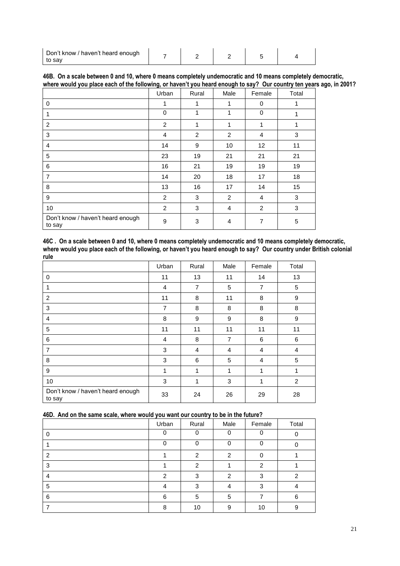| Don't know / haven't heard enough |  |  |  |
|-----------------------------------|--|--|--|
| to sav                            |  |  |  |

|  |  |  |  | 46B. On a scale between 0 and 10, where 0 means completely undemocratic and 10 means completely democratic,          |  |  |
|--|--|--|--|----------------------------------------------------------------------------------------------------------------------|--|--|
|  |  |  |  | where would you place each of the following, or haven't you heard enough to say? Our country ten years ago, in 2001? |  |  |

|                                             | Urban    | Rural | Male | Female         | Total        |
|---------------------------------------------|----------|-------|------|----------------|--------------|
| 0                                           | 1        | 1     | 1    | 0              | 1            |
|                                             | $\Omega$ | 1     | 1    | 0              | 1            |
| 2                                           | 2        | 1     | 1    | 1              | 1            |
| 3                                           | 4        | 2     | 2    | $\overline{4}$ | $\mathbf{3}$ |
| $\overline{4}$                              | 14       | 9     | 10   | 12             | 11           |
| 5                                           | 23       | 19    | 21   | 21             | 21           |
| 6                                           | 16       | 21    | 19   | 19             | 19           |
| $\overline{7}$                              | 14       | 20    | 18   | 17             | 18           |
| 8                                           | 13       | 16    | 17   | 14             | 15           |
| 9                                           | 2        | 3     | 2    | $\overline{4}$ | 3            |
| 10                                          | 2        | 3     | 4    | 2              | 3            |
| Don't know / haven't heard enough<br>to say | 9        | 3     | 4    | 7              | 5            |

**46C . On a scale between 0 and 10, where 0 means completely undemocratic and 10 means completely democratic, where would you place each of the following, or haven't you heard enough to say? Our country under British colonial rule**

|                                             | Urban          | Rural | Male | Female         | Total          |
|---------------------------------------------|----------------|-------|------|----------------|----------------|
| 0                                           | 11             | 13    | 11   | 14             | 13             |
| 1                                           | 4              | 7     | 5    | $\overline{7}$ | 5              |
| $\overline{2}$                              | 11             | 8     | 11   | 8              | 9              |
| 3                                           | $\overline{7}$ | 8     | 8    | 8              | 8              |
| $\overline{4}$                              | 8              | 9     | 9    | 8              | 9              |
| 5                                           | 11             | 11    | 11   | 11             | 11             |
| 6                                           | 4              | 8     | 7    | 6              | 6              |
| $\overline{7}$                              | 3              | 4     | 4    | $\overline{4}$ | $\overline{4}$ |
| 8                                           | 3              | 6     | 5    | $\overline{4}$ | 5              |
| 9                                           | 1              | 1     | 1    | 1              | 1              |
| 10                                          | 3              | 1     | 3    | 1              | $\overline{c}$ |
| Don't know / haven't heard enough<br>to say | 33             | 24    | 26   | 29             | 28             |

| 46D. And on the same scale, where would you want our country to be in the future? |  |  |
|-----------------------------------------------------------------------------------|--|--|
|                                                                                   |  |  |

| $\overline{\phantom{a}}$ | Urban    | Rural         | Male | Female   | Total |
|--------------------------|----------|---------------|------|----------|-------|
|                          | $\Omega$ | 0             |      | 0        |       |
|                          | ∩        | $\Omega$      |      | $\Omega$ |       |
| っ                        |          | $\mathcal{P}$ | ົ    | 0        |       |
| з                        |          | $\mathcal{P}$ |      | 2        |       |
| 4                        | 2        | 3             | ົ    | 3        | າ     |
| 5                        |          | 3             |      | 3        |       |
| 6                        | 6        | 5             | 5    |          | 6     |
|                          | 8        | 10            | 9    | 10       | 9     |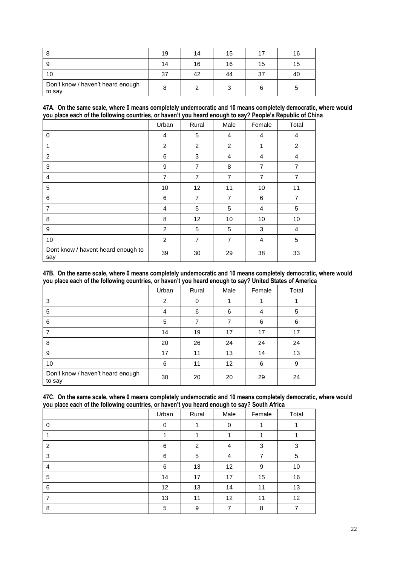|                                             | 19 | 14 | 15 |    | 16 |
|---------------------------------------------|----|----|----|----|----|
|                                             | 14 | 16 | 16 | 15 | 15 |
| 10                                          | 37 | 42 | 44 | 37 | 40 |
| Don't know / haven't heard enough<br>to say |    |    |    |    |    |

#### **47A. On the same scale, where 0 means completely undemocratic and 10 means completely democratic, where would you place each of the following countries, or haven't you heard enough to say? People's Republic of China**

|                                           | Urban          | Rural          | Male           | Female | Total          |
|-------------------------------------------|----------------|----------------|----------------|--------|----------------|
| 0                                         | 4              | 5              | 4              | 4      | 4              |
| 1                                         | 2              | 2              | 2              | 1      | $\overline{2}$ |
| 2                                         | 6              | 3              | 4              | 4      | 4              |
| 3                                         | 9              | $\overline{7}$ | 8              | 7      | $\overline{7}$ |
| $\overline{4}$                            | $\overline{7}$ | $\overline{7}$ | $\overline{7}$ | 7      | $\overline{7}$ |
| 5                                         | 10             | 12             | 11             | 10     | 11             |
| 6                                         | 6              | $\overline{7}$ | $\overline{7}$ | 6      | 7              |
| $\overline{7}$                            | 4              | 5              | 5              | 4      | 5              |
| 8                                         | 8              | 12             | 10             | 10     | 10             |
| 9                                         | 2              | 5              | 5              | 3      | 4              |
| 10                                        | 2              | $\overline{7}$ | $\overline{7}$ | 4      | 5              |
| Dont know / havent heard enough to<br>say | 39             | 30             | 29             | 38     | 33             |

#### **47B. On the same scale, where 0 means completely undemocratic and 10 means completely democratic, where would you place each of the following countries, or haven't you heard enough to say? United States of America**

|                                             | Urban | Rural | Male            | Female | Total |
|---------------------------------------------|-------|-------|-----------------|--------|-------|
| 3                                           | 2     | 0     |                 |        |       |
| 5                                           | 4     | 6     | 6               | 4      | 5     |
| 6                                           | 5     | 7     |                 | 6      | 6     |
| 7                                           | 14    | 19    | 17              | 17     | 17    |
| 8                                           | 20    | 26    | 24              | 24     | 24    |
| 9                                           | 17    | 11    | 13              | 14     | 13    |
| 10                                          | 6     | 11    | 12 <sup>2</sup> | 6      | 9     |
| Don't know / haven't heard enough<br>to say | 30    | 20    | 20              | 29     | 24    |

#### **47C. On the same scale, where 0 means completely undemocratic and 10 means completely democratic, where would you place each of the following countries, or haven't you heard enough to say? South Africa**

|   | Urban | Rural | Male | Female | Total |
|---|-------|-------|------|--------|-------|
| 0 | 0     |       | 0    |        |       |
|   |       |       |      |        |       |
| 2 | 6     | 2     | 4    | 3      | 3     |
| 3 | 6     | 5     | 4    | 7      | 5     |
| 4 | 6     | 13    | 12   | 9      | 10    |
| 5 | 14    | 17    | 17   | 15     | 16    |
| 6 | 12    | 13    | 14   | 11     | 13    |
|   | 13    | 11    | 12   | 11     | 12    |
| 8 | 5     | 9     | ⇁    | 8      | 7     |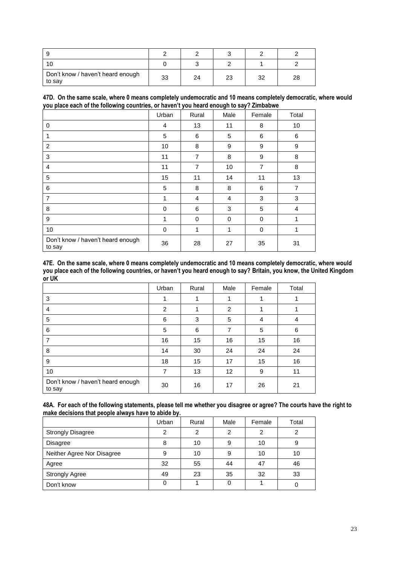| Don't know / haven't heard enough<br>to say | 33 | 24 | 23 | 32 | 28 |
|---------------------------------------------|----|----|----|----|----|

|                                                                                         |  | 47D. On the same scale, where 0 means completely undemocratic and 10 means completely democratic, where would |  |
|-----------------------------------------------------------------------------------------|--|---------------------------------------------------------------------------------------------------------------|--|
| you place each of the following countries, or haven't you heard enough to say? Zimbabwe |  |                                                                                                               |  |

|                                             | Urban | Rural          | Male | Female         | Total          |
|---------------------------------------------|-------|----------------|------|----------------|----------------|
| $\Omega$                                    | 4     | 13             | 11   | 8              | 10             |
|                                             | 5     | 6              | 5    | 6              | 6              |
| $\overline{c}$                              | 10    | 8              | 9    | 9              | 9              |
| 3                                           | 11    | $\overline{7}$ | 8    | 9              | 8              |
| $\overline{4}$                              | 11    | $\overline{7}$ | 10   | $\overline{7}$ | 8              |
| 5                                           | 15    | 11             | 14   | 11             | 13             |
| 6                                           | 5     | 8              | 8    | 6              | $\overline{7}$ |
| $\overline{7}$                              | 1     | 4              | 4    | 3              | 3              |
| 8                                           | 0     | 6              | 3    | 5              | $\overline{4}$ |
| 9                                           | 1     | 0              | 0    | $\Omega$       | 1              |
| 10                                          | 0     | $\mathbf{1}$   | 1    | 0              | 1              |
| Don't know / haven't heard enough<br>to say | 36    | 28             | 27   | 35             | 31             |

**47E. On the same scale, where 0 means completely undemocratic and 10 means completely democratic, where would you place each of the following countries, or haven't you heard enough to say? Britain, you know, the United Kingdom or UK**

|                                             | Urban | Rural | Male              | Female | Total |
|---------------------------------------------|-------|-------|-------------------|--------|-------|
| 3                                           |       |       |                   |        |       |
| 4                                           | 2     | 1     | 2                 | 1      |       |
| 5                                           | 6     | 3     | 5                 | 4      | 4     |
| 6                                           | 5     | 6     | 7                 | 5      | 6     |
| 7                                           | 16    | 15    | 16                | 15     | 16    |
| 8                                           | 14    | 30    | 24                | 24     | 24    |
| 9                                           | 18    | 15    | 17                | 15     | 16    |
| 10                                          | 7     | 13    | $12 \overline{ }$ | 9      | 11    |
| Don't know / haven't heard enough<br>to say | 30    | 16    | 17                | 26     | 21    |

| 48A. For each of the following statements, please tell me whether you disagree or agree? The courts have the right to |
|-----------------------------------------------------------------------------------------------------------------------|
| make decisions that people always have to abide by.                                                                   |

|                            | Urban | Rural | Male | Female | Total |
|----------------------------|-------|-------|------|--------|-------|
| <b>Strongly Disagree</b>   | っ     | 2     | ◠    | 2      |       |
| <b>Disagree</b>            | 8     | 10    |      | 10     | 9     |
| Neither Agree Nor Disagree | 9     | 10    | 9    | 10     | 10    |
| Agree                      | 32    | 55    | 44   | 47     | 46    |
| <b>Strongly Agree</b>      | 49    | 23    | 35   | 32     | 33    |
| Don't know                 |       |       |      |        |       |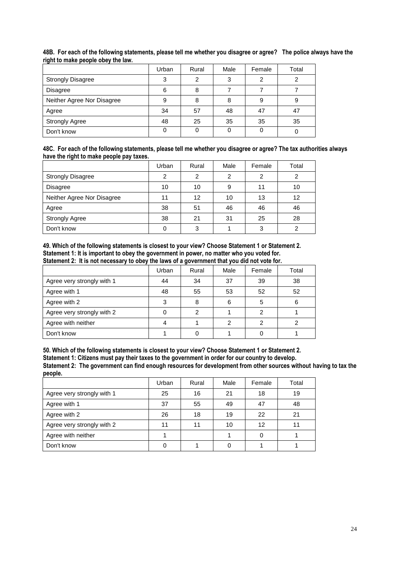|                            | Urban | Rural | Male | Female | Total |
|----------------------------|-------|-------|------|--------|-------|
| <b>Strongly Disagree</b>   | 3     | 2     | ≏    | 2      | っ     |
| <b>Disagree</b>            | 6     | 8     |      |        |       |
| Neither Agree Nor Disagree | 9     | 8     | 8    | 9      | 9     |
| Agree                      | 34    | 57    | 48   | 47     | 47    |
| <b>Strongly Agree</b>      | 48    | 25    | 35   | 35     | 35    |
| Don't know                 |       |       |      |        |       |

**48B. For each of the following statements, please tell me whether you disagree or agree? The police always have the right to make people obey the law.**

| 48C. For each of the following statements, please tell me whether you disagree or agree? The tax authorities always |  |
|---------------------------------------------------------------------------------------------------------------------|--|
| have the right to make people pay taxes.                                                                            |  |

|                            | Urban | Rural | Male | Female | Total |
|----------------------------|-------|-------|------|--------|-------|
| <b>Strongly Disagree</b>   | 2     | 2     | າ    | 2      | າ     |
| <b>Disagree</b>            | 10    | 10    | 9    | 11     | 10    |
| Neither Agree Nor Disagree | 11    | 12    | 10   | 13     | 12    |
| Agree                      | 38    | 51    | 46   | 46     | 46    |
| <b>Strongly Agree</b>      | 38    | 21    | 31   | 25     | 28    |
| Don't know                 |       | 3     |      | 3      |       |

**49. Which of the following statements is closest to your view? Choose Statement 1 or Statement 2. Statement 1: It is important to obey the government in power, no matter who you voted for.** 

|                            | Urban | Rural | Male | Female | Total |
|----------------------------|-------|-------|------|--------|-------|
| Agree very strongly with 1 | 44    | 34    | 37   | 39     | 38    |
| Agree with 1               | 48    | 55    | 53   | 52     | 52    |
| Agree with 2               | З     | 8     | 6    | 5      | 6     |
| Agree very strongly with 2 |       | 2     |      | 2      |       |
| Agree with neither         |       |       |      | າ      |       |
| Don't know                 |       |       |      |        |       |

**Statement 2: It is not necessary to obey the laws of a government that you did not vote for.** 

**50. Which of the following statements is closest to your view? Choose Statement 1 or Statement 2. Statement 1: Citizens must pay their taxes to the government in order for our country to develop. Statement 2: The government can find enough resources for development from other sources without having to tax the people.**

|                            | Urban | Rural | Male | Female | Total |
|----------------------------|-------|-------|------|--------|-------|
| Agree very strongly with 1 | 25    | 16    | 21   | 18     | 19    |
| Agree with 1               | 37    | 55    | 49   | 47     | 48    |
| Agree with 2               | 26    | 18    | 19   | 22     | 21    |
| Agree very strongly with 2 | 11    | 11    | 10   | 12     | 11    |
| Agree with neither         |       |       |      |        |       |
| Don't know                 |       |       |      |        |       |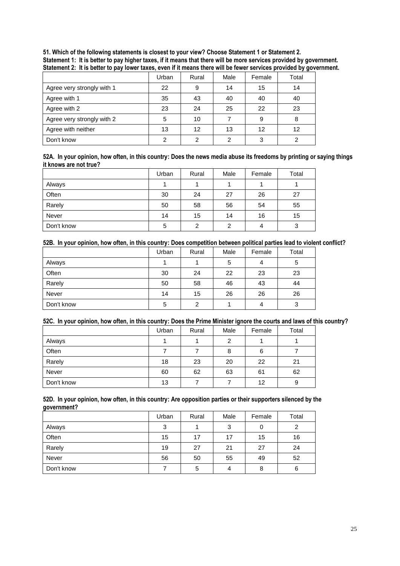| .                          |       |       |      |        | ۔ س ر |
|----------------------------|-------|-------|------|--------|-------|
|                            | Urban | Rural | Male | Female | Total |
| Agree very strongly with 1 | 22    | 9     | 14   | 15     | 14    |
| Agree with 1               | 35    | 43    | 40   | 40     | 40    |
| Agree with 2               | 23    | 24    | 25   | 22     | 23    |
| Agree very strongly with 2 | 5     | 10    |      | 9      | 8     |
| Agree with neither         | 13    | 12    | 13   | 12     | 12    |
| Don't know                 | ◠     |       | っ    | ≏      |       |

**51. Which of the following statements is closest to your view? Choose Statement 1 or Statement 2. Statement 1: It is better to pay higher taxes, if it means that there will be more services provided by government. Statement 2: It is better to pay lower taxes, even if it means there will be fewer services provided by government.**

#### **52A. In your opinion, how often, in this country: Does the news media abuse its freedoms by printing or saying things it knows are not true?**

|            | Urban | Rural | Male           | Female | Total |
|------------|-------|-------|----------------|--------|-------|
| Always     |       |       |                |        |       |
| Often      | 30    | 24    | 27             | 26     | 27    |
| Rarely     | 50    | 58    | 56             | 54     | 55    |
| Never      | 14    | 15    | 14             | 16     | 15    |
| Don't know | 5     | 2     | $\overline{2}$ | 4      | 3     |

#### **52B. In your opinion, how often, in this country: Does competition between political parties lead to violent conflict?**

|            | Urban | Rural         | Male | Female | Total |
|------------|-------|---------------|------|--------|-------|
| Always     |       |               | 5    | 4      | 5     |
| Often      | 30    | 24            | 22   | 23     | 23    |
| Rarely     | 50    | 58            | 46   | 43     | 44    |
| Never      | 14    | 15            | 26   | 26     | 26    |
| Don't know | 5     | $\mathcal{P}$ |      | 4      | 3     |

## **52C. In your opinion, how often, in this country: Does the Prime Minister ignore the courts and laws of this country?**

|            | Urban | Rural | Male           | Female | Total |
|------------|-------|-------|----------------|--------|-------|
| Always     |       |       | $\overline{2}$ |        |       |
| Often      |       |       | 8              | 6      |       |
| Rarely     | 18    | 23    | 20             | 22     | 21    |
| Never      | 60    | 62    | 63             | 61     | 62    |
| Don't know | 13    |       |                | 12     | 9     |

#### **52D. In your opinion, how often, in this country: Are opposition parties or their supporters silenced by the government?**

|            | Urban | Rural | Male   | Female | Total |
|------------|-------|-------|--------|--------|-------|
| Always     | 3     |       | ີ<br>ت | 0      | 2     |
| Often      | 15    | 17    | 17     | 15     | 16    |
| Rarely     | 19    | 27    | 21     | 27     | 24    |
| Never      | 56    | 50    | 55     | 49     | 52    |
| Don't know |       | 5     |        | 8      | 6     |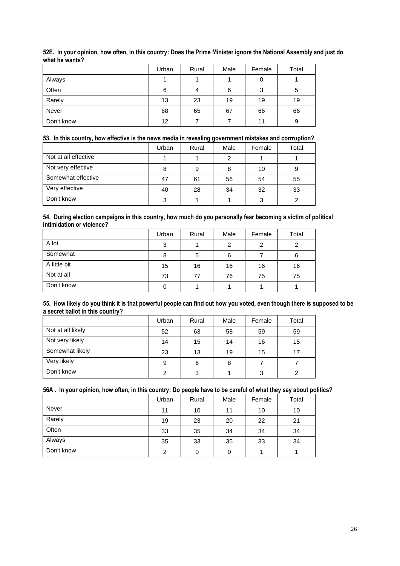|            | Urban             | Rural | Male | Female | Total |
|------------|-------------------|-------|------|--------|-------|
| Always     |                   |       |      | 0      |       |
| Often      | 6                 |       | 6    | 3      | 5     |
| Rarely     | 13                | 23    | 19   | 19     | 19    |
| Never      | 68                | 65    | 67   | 66     | 66    |
| Don't know | $12 \overline{ }$ |       |      | 11     | 9     |

## **52E. In your opinion, how often, in this country: Does the Prime Minister ignore the National Assembly and just do what he wants?**

## **53. In this country, how effective is the news media in revealing government mistakes and corrruption?**

|                      | Urban | Rural | Male | Female | Total |
|----------------------|-------|-------|------|--------|-------|
| Not at all effective |       |       |      |        |       |
| Not very effective   | 8     | 9     | 8    | 10     |       |
| Somewhat effective   | 47    | 61    | 56   | 54     | 55    |
| Very effective       | 40    | 28    | 34   | 32     | 33    |
| Don't know           | ◠     |       |      |        |       |

#### **54. During election campaigns in this country, how much do you personally fear becoming a victim of political intimidation or violence?**

|              | Urban | Rural | Male | Female | Total |
|--------------|-------|-------|------|--------|-------|
| A lot        | 3     |       | 2    | 2      |       |
| Somewhat     | 8     | 5     | 6    |        | 6     |
| A little bit | 15    | 16    | 16   | 16     | 16    |
| Not at all   | 73    | 77    | 76   | 75     | 75    |
| Don't know   |       |       |      |        |       |

#### **55. How likely do you think it is that powerful people can find out how you voted, even though there is supposed to be a secret ballot in this country?**

|                   | Urban | Rural | Male | Female | Total |
|-------------------|-------|-------|------|--------|-------|
| Not at all likely | 52    | 63    | 58   | 59     | 59    |
| Not very likely   | 14    | 15    | 14   | 16     | 15    |
| Somewhat likely   | 23    | 13    | 19   | 15     | 17    |
| Very likely       | 9     | 6     | 8    |        |       |
| Don't know        | ົ     | 3     |      | 3      | ົ     |

## **56A . In your opinion, how often, in this country: Do people have to be careful of what they say about politics?**

|            | Urban          | Rural | Male | Female | Total |
|------------|----------------|-------|------|--------|-------|
| Never      | 11             | 10    | 11   | 10     | 10    |
| Rarely     | 19             | 23    | 20   | 22     | 21    |
| Often      | 33             | 35    | 34   | 34     | 34    |
| Always     | 35             | 33    | 35   | 33     | 34    |
| Don't know | $\overline{2}$ | 0     | 0    |        |       |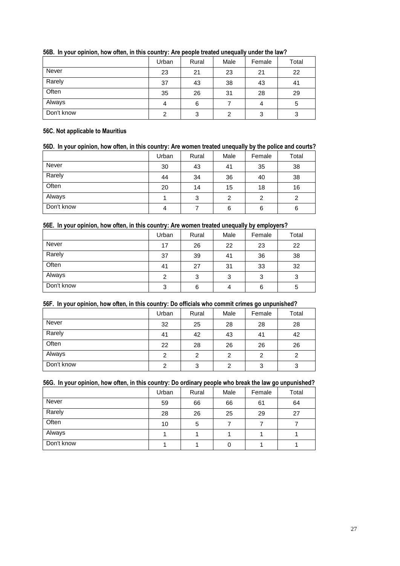|            | Urban | Rural | Male | Female | Total |
|------------|-------|-------|------|--------|-------|
| Never      | 23    | 21    | 23   | 21     | 22    |
| Rarely     | 37    | 43    | 38   | 43     | 41    |
| Often      | 35    | 26    | 31   | 28     | 29    |
| Always     |       | 6     |      | 4      | 5     |
| Don't know | ⌒     | 3     |      | 3      | 3     |

## **56B. In your opinion, how often, in this country: Are people treated unequally under the law?**

#### **56C. Not applicable to Mauritius**

## **56D. In your opinion, how often, in this country: Are women treated unequally by the police and courts?**

|            | Urban | Rural | Male | Female | Total |
|------------|-------|-------|------|--------|-------|
| Never      | 30    | 43    | 41   | 35     | 38    |
| Rarely     | 44    | 34    | 36   | 40     | 38    |
| Often      | 20    | 14    | 15   | 18     | 16    |
| Always     |       | 3     | 2    | 2      |       |
| Don't know | 4     |       | 6    | 6      | 6     |

## **56E. In your opinion, how often, in this country: Are women treated unequally by employers?**

|            | Urban | Rural | Male | Female | Total |
|------------|-------|-------|------|--------|-------|
| Never      | 17    | 26    | 22   | 23     | 22    |
| Rarely     | 37    | 39    | 41   | 36     | 38    |
| Often      | 41    | 27    | 31   | 33     | 32    |
| Always     | 2     | 3     | 3    | 3      | 3     |
| Don't know | 3     | 6     |      | 6      | 5     |

## **56F. In your opinion, how often, in this country: Do officials who commit crimes go unpunished?**

|            | Urban | Rural | Male | Female | Total |
|------------|-------|-------|------|--------|-------|
| Never      | 32    | 25    | 28   | 28     | 28    |
| Rarely     | 41    | 42    | 43   | 41     | 42    |
| Often      | 22    | 28    | 26   | 26     | 26    |
| Always     | 2     | 2     | 2    | 2      | 2     |
| Don't know | 2     | 3     | 2    | 3      | 3     |

#### **56G. In your opinion, how often, in this country: Do ordinary people who break the law go unpunished?**

|            | Urban | Rural | Male | Female | Total |
|------------|-------|-------|------|--------|-------|
| Never      | 59    | 66    | 66   | 61     | 64    |
| Rarely     | 28    | 26    | 25   | 29     | 27    |
| Often      | 10    | 5     |      |        |       |
| Always     |       |       |      |        |       |
| Don't know |       |       | 0    |        |       |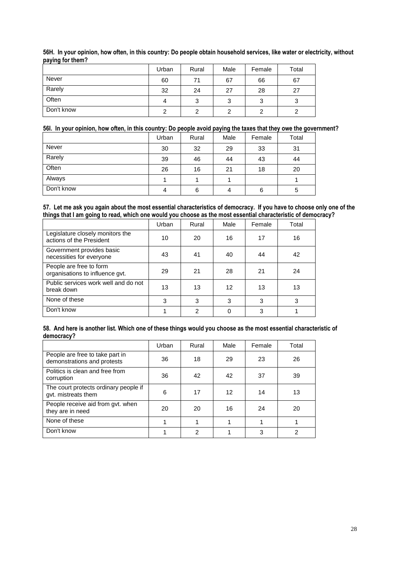|            | Urban | Rural | Male | Female | Total  |
|------------|-------|-------|------|--------|--------|
| Never      | 60    | 71    | 67   | 66     | 67     |
| Rarely     | 32    | 24    | 27   | 28     | 27     |
| Often      |       | 3     | ື    | 3      | ◠<br>د |
| Don't know |       |       |      | 2      |        |

**56H. In your opinion, how often, in this country: Do people obtain household services, like water or electricity, without paying for them?**

## **56I. In your opinion, how often, in this country: Do people avoid paying the taxes that they owe the government?**

|            | Urban | Rural | Male | Female | Total |
|------------|-------|-------|------|--------|-------|
| Never      | 30    | 32    | 29   | 33     | 31    |
| Rarely     | 39    | 46    | 44   | 43     | 44    |
| Often      | 26    | 16    | 21   | 18     | 20    |
| Always     |       |       |      |        |       |
| Don't know | 4     | 6     | 4    | 6      | 5     |

**57. Let me ask you again about the most essential characteristics of democracy. If you have to choose only one of the things that I am going to read, which one would you choose as the most essential characteristic of democracy?**

|                                                              | Urban | Rural          | Male | Female | Total |
|--------------------------------------------------------------|-------|----------------|------|--------|-------|
| Legislature closely monitors the<br>actions of the President | 10    | 20             | 16   | 17     | 16    |
| Government provides basic<br>necessities for everyone        | 43    | 41             | 40   | 44     | 42    |
| People are free to form<br>organisations to influence gvt.   | 29    | 21             | 28   | 21     | 24    |
| Public services work well and do not<br>break down           | 13    | 13             | 12   | 13     | 13    |
| None of these                                                | 3     | 3              | 3    | 3      | 3     |
| Don't know                                                   |       | $\overline{2}$ |      | 3      |       |

#### **58. And here is another list. Which one of these things would you choose as the most essential characteristic of democracy?**

|                                                                | Urban | Rural          | Male | Female | Total         |
|----------------------------------------------------------------|-------|----------------|------|--------|---------------|
| People are free to take part in<br>demonstrations and protests | 36    | 18             | 29   | 23     | 26            |
| Politics is clean and free from<br>corruption                  | 36    | 42             | 42   | 37     | 39            |
| The court protects ordinary people if<br>gyt. mistreats them   | 6     | 17             | 12   | 14     | 13            |
| People receive aid from gvt. when<br>they are in need          | 20    | 20             | 16   | 24     | 20            |
| None of these                                                  |       |                |      |        |               |
| Don't know                                                     |       | $\overline{2}$ |      | 3      | $\mathcal{P}$ |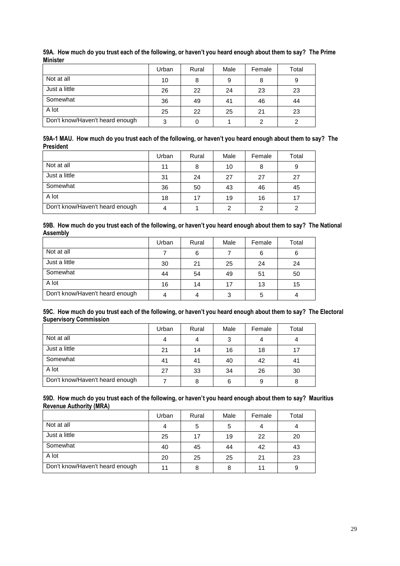|                                 | Urban | Rural | Male | Female | Total |
|---------------------------------|-------|-------|------|--------|-------|
| Not at all                      | 10    | 8     | റ    | 8      | 9     |
| Just a little                   | 26    | 22    | 24   | 23     | 23    |
| Somewhat                        | 36    | 49    | 41   | 46     | 44    |
| A lot                           | 25    | 22    | 25   | 21     | 23    |
| Don't know/Haven't heard enough | 3     | 0     |      | 2      |       |

**59A. How much do you trust each of the following, or haven't you heard enough about them to say? The Prime Minister**

|                  | 59A-1 MAU. How much do you trust each of the following, or haven't you heard enough about them to say? The |  |
|------------------|------------------------------------------------------------------------------------------------------------|--|
| <b>President</b> |                                                                                                            |  |

|                                 | Urban | Rural | Male | Female | Total |
|---------------------------------|-------|-------|------|--------|-------|
| Not at all                      | 11    | 8     | 10   | 8      | 9     |
| Just a little                   | 31    | 24    | 27   | 27     | 27    |
| Somewhat                        | 36    | 50    | 43   | 46     | 45    |
| A lot                           | 18    | 17    | 19   | 16     | 17    |
| Don't know/Haven't heard enough |       |       | ⌒    | 2      |       |

| 59B. How much do you trust each of the following, or haven't you heard enough about them to say? The National |  |
|---------------------------------------------------------------------------------------------------------------|--|
| Assembly                                                                                                      |  |

|                                 | Urban | Rural | Male | Female | Total |
|---------------------------------|-------|-------|------|--------|-------|
| Not at all                      |       | 6     |      | 6      |       |
| Just a little                   | 30    | 21    | 25   | 24     | 24    |
| Somewhat                        | 44    | 54    | 49   | 51     | 50    |
| A lot                           | 16    | 14    |      | 13     | 15    |
| Don't know/Haven't heard enough |       | 4     | ີ    | 5      |       |

### **59C. How much do you trust each of the following, or haven't you heard enough about them to say? The Electoral Supervisory Commission**

|                                 | Urban | Rural | Male | Female | Total |
|---------------------------------|-------|-------|------|--------|-------|
| Not at all                      |       | 4     | 3    | 4      |       |
| Just a little                   | 21    | 14    | 16   | 18     | 17    |
| Somewhat                        | 41    | 41    | 40   | 42     | 41    |
| A lot                           | 27    | 33    | 34   | 26     | 30    |
| Don't know/Haven't heard enough |       | 8     | 6    | 9      | 8     |

#### **59D. How much do you trust each of the following, or haven't you heard enough about them to say? Mauritius Revenue Authority (MRA)**

|                                 | Urban | Rural | Male | Female | Total |
|---------------------------------|-------|-------|------|--------|-------|
| Not at all                      |       | 5     |      |        |       |
| Just a little                   | 25    | 17    | 19   | 22     | 20    |
| Somewhat                        | 40    | 45    | 44   | 42     | 43    |
| A lot                           | 20    | 25    | 25   | 21     | 23    |
| Don't know/Haven't heard enough | 11    | 8     |      | 11     | 9     |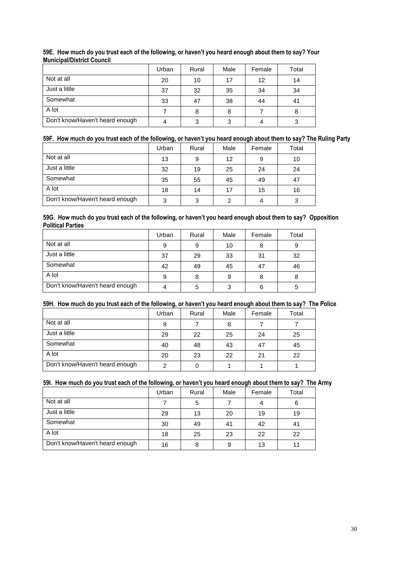|                                 | Urban | Rural | Male | Female | Total |
|---------------------------------|-------|-------|------|--------|-------|
| Not at all                      | 20    | 10    | 17   | 12     | 14    |
| Just a little                   | 37    | 32    | 35   | 34     | 34    |
| Somewhat                        | 33    | 47    | 38   | 44     | 41    |
| A lot                           |       | 8     | 8    |        | 8     |
| Don't know/Haven't heard enough |       | 3     |      |        |       |

## **59E. How much do you trust each of the following, or haven't you heard enough about them to say? Your Municipal/District Council**

## **59F. How much do you trust each of the following, or haven't you heard enough about them to say? The Ruling Party**

|                                 | Urban | Rural | Male | Female | Total |
|---------------------------------|-------|-------|------|--------|-------|
| Not at all                      | 13    | 9     | 12   | 9      | 10    |
| Just a little                   | 32    | 19    | 25   | 24     | 24    |
| Somewhat                        | 35    | 55    | 45   | 49     | 47    |
| A lot                           | 18    | 14    | 17   | 15     | 16    |
| Don't know/Haven't heard enough | 3     | 3     |      |        |       |

#### **59G. How much do you trust each of the following, or haven't you heard enough about them to say? Opposition Political Parties**

|                                 | Urban | Rural | Male | Female | Total |
|---------------------------------|-------|-------|------|--------|-------|
| Not at all                      | 9     | 9     | 10   | 8      | 9     |
| Just a little                   | 37    | 29    | 33   | 31     | 32    |
| Somewhat                        | 42    | 49    | 45   | 47     | 46    |
| A lot                           | 9     | 8     |      | 8      | 8     |
| Don't know/Haven't heard enough |       | 5     | 3    | 6      | 5     |

## **59H. How much do you trust each of the following, or haven't you heard enough about them to say? The Police**

|                                 | Urban | Rural | Male | Female | Total |
|---------------------------------|-------|-------|------|--------|-------|
| Not at all                      | 9     |       | 8    |        |       |
| Just a little                   | 29    | 22    | 25   | 24     | 25    |
| Somewhat                        | 40    | 48    | 43   | 47     | 45    |
| A lot                           | 20    | 23    | 22   | 21     | 22    |
| Don't know/Haven't heard enough |       |       |      |        |       |

## **59I. How much do you trust each of the following, or haven't you heard enough about them to say? The Army**

|                                 | Urban | Rural | Male | Female | Total |
|---------------------------------|-------|-------|------|--------|-------|
| Not at all                      |       | 5     |      | 4      | 6     |
| Just a little                   | 29    | 13    | 20   | 19     | 19    |
| Somewhat                        | 30    | 49    | 41   | 42     | 41    |
| A lot                           | 18    | 25    | 23   | 22     | 22    |
| Don't know/Haven't heard enough | 16    | 8     | 9    | 13     | 11    |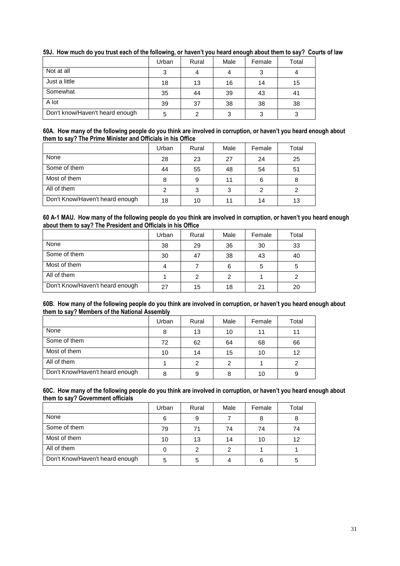|                                 | Urban | Rural | Male | Female | Total |
|---------------------------------|-------|-------|------|--------|-------|
| Not at all                      | ◠     |       |      |        |       |
| Just a little                   | 18    | 13    | 16   | 14     | 15    |
| Somewhat                        | 35    | 44    | 39   | 43     | 41    |
| A lot                           | 39    | 37    | 38   | 38     | 38    |
| Don't know/Haven't heard enough | 5     | っ     | ີ    | 3      |       |

## **59J. How much do you trust each of the following, or haven't you heard enough about them to say? Courts of law**

#### **60A. How many of the following people do you think are involved in corruption, or haven't you heard enough about them to say? The Prime Minister and Officials in his Office**

|                                 | Urban | Rural | Male | Female | Total |
|---------------------------------|-------|-------|------|--------|-------|
| None                            | 28    | 23    | 27   | 24     | 25    |
| Some of them                    | 44    | 55    | 48   | 54     | 51    |
| Most of them                    | 8     | 9     | 11   | 6      |       |
| All of them                     | ົ     | 3     | 2    | 2      |       |
| Don't Know/Haven't heard enough | 18    | 10    |      | 14     | 13    |

#### **60 A-1 MAU. How many of the following people do you think are involved in corruption, or haven't you heard enough about them to say? The President and Officials in his Office**

|                                 | Urban | Rural | Male | Female | Total |
|---------------------------------|-------|-------|------|--------|-------|
| None                            | 38    | 29    | 36   | 30     | 33    |
| Some of them                    | 30    | 47    | 38   | 43     | 40    |
| Most of them                    |       |       | 6    | 5      | 5     |
| All of them                     |       | 2     |      |        |       |
| Don't Know/Haven't heard enough | 27    | 15    | 18   | 21     | 20    |

#### 60B. How many of the following people do you think are involved in corruption, or haven't you heard enough about **them to say? Members of the National Assembly**

|                                 | Urban | Rural | Male | Female | Total |
|---------------------------------|-------|-------|------|--------|-------|
| None                            | 8     | 13    | 10   | 11     | 11    |
| Some of them                    | 72    | 62    | 64   | 68     | 66    |
| Most of them                    | 10    | 14    | 15   | 10     | 12    |
| All of them                     |       | 2     | ົ    |        |       |
| Don't Know/Haven't heard enough | 8     | 9     |      | 10     | 9     |

#### **60C. How many of the following people do you think are involved in corruption, or haven't you heard enough about them to say? Government officials**

|                                 | Urban | Rural | Male | Female | Total |
|---------------------------------|-------|-------|------|--------|-------|
| None                            | 6     | 9     |      | 8      |       |
| Some of them                    | 79    | 71    | 74   | 74     | 74    |
| Most of them                    | 10    | 13    | 14   | 10     | 12    |
| All of them                     |       |       | ◠    |        |       |
| Don't Know/Haven't heard enough | 5     | 5     |      | 6      | 5     |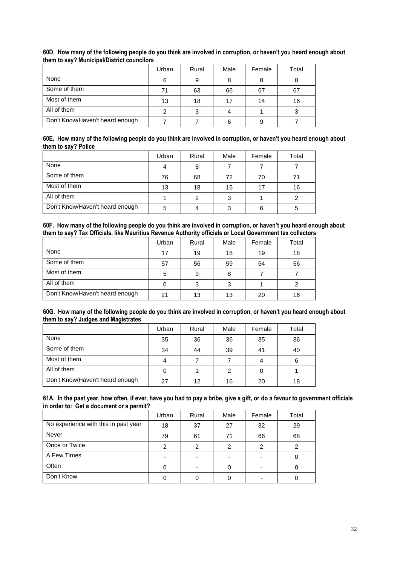|                                 | Urban | Rural | Male | Female | Total |
|---------------------------------|-------|-------|------|--------|-------|
| None                            | 6     | 9     |      |        |       |
| Some of them                    | 71    | 63    | 66   | 67     | 67    |
| Most of them                    | 13    | 18    |      | 14     | 16    |
| All of them                     |       | 3     |      |        |       |
| Don't Know/Haven't heard enough |       |       |      | 9      |       |

## **60D. How many of the following people do you think are involved in corruption, or haven't you heard enough about them to say? Municipal/District councilors**

#### **60E. How many of the following people do you think are involved in corruption, or haven't you heard enough about them to say? Police**

|                                 | Urban | Rural | Male | Female | Total |
|---------------------------------|-------|-------|------|--------|-------|
| None                            |       | 8     |      |        |       |
| Some of them                    | 76    | 68    | 72   | 70     |       |
| Most of them                    | 13    | 18    | 15   | 17     | 16    |
| All of them                     |       |       |      |        |       |
| Don't Know/Haven't heard enough | 5     |       |      | 6      | 5     |

#### **60F. How many of the following people do you think are involved in corruption, or haven't you heard enough about them to say? Tax Officials, like Mauritius Revenue Authority officials or Local Government tax collectors**

|                                 | Urban | Rural | Male | Female | Total |
|---------------------------------|-------|-------|------|--------|-------|
| None                            | 17    | 19    | 18   | 19     | 18    |
| Some of them                    | 57    | 56    | 59   | 54     | 56    |
| Most of them                    | 5     | 9     |      |        |       |
| All of them                     |       | 3     | 3    |        |       |
| Don't Know/Haven't heard enough | 21    | 13    | 13   | 20     | 16    |

#### **60G. How many of the following people do you think are involved in corruption, or haven't you heard enough about them to say? Judges and Magistrates**

|                                 | Urban | Rural | Male | Female | Total |
|---------------------------------|-------|-------|------|--------|-------|
| None                            | 35    | 36    | 36   | 35     | 36    |
| Some of them                    | 34    | 44    | 39   | 41     | 40    |
| Most of them                    |       |       |      |        | 6     |
| All of them                     |       |       |      |        |       |
| Don't Know/Haven't heard enough | 27    | 12    | 16   | 20     | 18    |

#### **61A. In the past year, how often, if ever, have you had to pay a bribe, give a gift, or do a favour to government officials in order to: Get a document or a permit?**

|                                      | Urban | Rural                    | Male | Female | Total |
|--------------------------------------|-------|--------------------------|------|--------|-------|
| No experience with this in past year | 18    | 37                       | 27   | 32     | 29    |
| Never                                | 79    | 61                       | 71   | 66     | 68    |
| Once or Twice                        |       | 2                        | っ    | 2      |       |
| A Few Times                          |       | $\overline{\phantom{0}}$ |      |        |       |
| Often                                |       |                          |      |        |       |
| Don't Know                           |       |                          |      |        |       |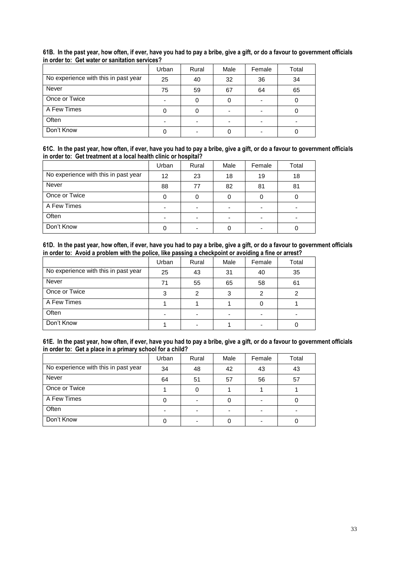|                                      | Urban | Rural | Male | Female | Total |
|--------------------------------------|-------|-------|------|--------|-------|
| No experience with this in past year | 25    | 40    | 32   | 36     | 34    |
| Never                                | 75    | 59    | 67   | 64     | 65    |
| Once or Twice                        | ۰     | 0     |      |        |       |
| A Few Times                          |       |       |      |        |       |
| Often                                |       |       |      |        |       |
| Don't Know                           |       |       |      |        |       |

## **61B. In the past year, how often, if ever, have you had to pay a bribe, give a gift, or do a favour to government officials in order to: Get water or sanitation services?**

|  |                                                                  |  |  | 61C. In the past year, how often, if ever, have you had to pay a bribe, give a gift, or do a favour to government officials |  |
|--|------------------------------------------------------------------|--|--|-----------------------------------------------------------------------------------------------------------------------------|--|
|  | in order to: Get treatment at a local health clinic or hospital? |  |  |                                                                                                                             |  |

|                                      | Urban | Rural                    | Male | Female | Total |
|--------------------------------------|-------|--------------------------|------|--------|-------|
| No experience with this in past year | 12    | 23                       | 18   | 19     | 18    |
| <b>Never</b>                         | 88    | 77                       | 82   | 81     | 81    |
| Once or Twice                        |       |                          |      |        |       |
| A Few Times                          |       |                          |      |        |       |
| Often                                |       | $\overline{\phantom{0}}$ |      |        |       |
| Don't Know                           |       | -                        |      |        |       |

|  |  |                                                                                                       |  |  |  | 61D. In the past year, how often, if ever, have you had to pay a bribe, give a gift, or do a favour to government officials |  |
|--|--|-------------------------------------------------------------------------------------------------------|--|--|--|-----------------------------------------------------------------------------------------------------------------------------|--|
|  |  | in order to: Avoid a problem with the police, like passing a checkpoint or avoiding a fine or arrest? |  |  |  |                                                                                                                             |  |

|                                      | Urban | Rural                    | Male | Female | Total |
|--------------------------------------|-------|--------------------------|------|--------|-------|
| No experience with this in past year | 25    | 43                       | 31   | 40     | 35    |
| Never                                | 71    | 55                       | 65   | 58     | 61    |
| Once or Twice                        |       | 2                        |      | 2      |       |
| A Few Times                          |       |                          |      |        |       |
| Often                                |       | $\overline{\phantom{0}}$ |      |        |       |
| Don't Know                           |       |                          |      |        |       |

|  | 61E. In the past year, how often, if ever, have you had to pay a bribe, give a gift, or do a favour to government officials |  |  |  |  |
|--|-----------------------------------------------------------------------------------------------------------------------------|--|--|--|--|
|  | in order to: Get a place in a primary school for a child?                                                                   |  |  |  |  |

|                                      | Urban | Rural | Male | Female | Total |
|--------------------------------------|-------|-------|------|--------|-------|
| No experience with this in past year | 34    | 48    | 42   | 43     | 43    |
| <b>Never</b>                         | 64    | 51    | 57   | 56     | 57    |
| Once or Twice                        |       |       |      |        |       |
| A Few Times                          |       |       |      |        |       |
| Often                                |       |       |      |        |       |
| Don't Know                           |       |       |      |        |       |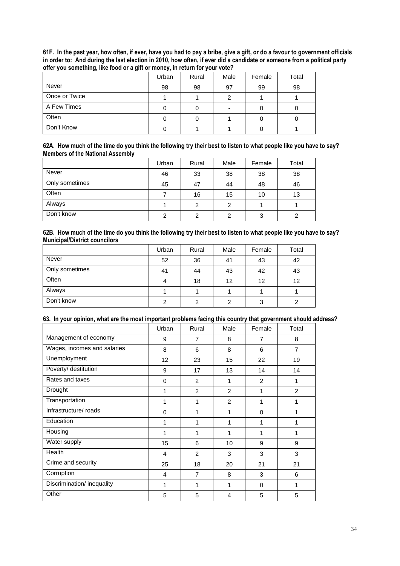| 61F. In the past year, how often, if ever, have you had to pay a bribe, give a gift, or do a favour to government officials |  |
|-----------------------------------------------------------------------------------------------------------------------------|--|
| in order to: And during the last election in 2010, how often, if ever did a candidate or someone from a political party     |  |
| offer you something, like food or a gift or money, in return for your vote?                                                 |  |

| $-$           | . .<br>Urban | Rural | Male | Female | Total |
|---------------|--------------|-------|------|--------|-------|
| Never         | 98           | 98    | 97   | 99     | 98    |
| Once or Twice |              |       | ົ    |        |       |
| A Few Times   |              |       |      |        |       |
| Often         |              |       |      |        |       |
| Don't Know    |              |       |      |        |       |

|                                         | 62A. How much of the time do you think the following try their best to listen to what people like you have to say? |
|-----------------------------------------|--------------------------------------------------------------------------------------------------------------------|
| <b>Members of the National Assembly</b> |                                                                                                                    |

|                | Urban | Rural | Male | Female | Total |
|----------------|-------|-------|------|--------|-------|
| Never          | 46    | 33    | 38   | 38     | 38    |
| Only sometimes | 45    | 47    | 44   | 48     | 46    |
| Often          |       | 16    | 15   | 10     | 13    |
| Always         |       | 2     | 2    |        |       |
| Don't know     | ົ     | 2     | 2    | 3      |       |

#### **62B. How much of the time do you think the following try their best to listen to what people like you have to say? Municipal/District councilors**

|                | Urban | Rural | Male | Female | Total |
|----------------|-------|-------|------|--------|-------|
| Never          | 52    | 36    | 41   | 43     | 42    |
| Only sometimes | 41    | 44    | 43   | 42     | 43    |
| Often          |       | 18    | 12   | 12     | 12    |
| Always         |       |       |      |        |       |
| Don't know     | ⌒     | 2     | ົ    | 3      |       |

## **63. In your opinion, what are the most important problems facing this country that government should address?**

|                             | Urban    | Rural          | Male | Female         | Total          |
|-----------------------------|----------|----------------|------|----------------|----------------|
| Management of economy       | 9        | 7              | 8    | $\overline{7}$ | 8              |
| Wages, incomes and salaries | 8        | 6              | 8    | 6              | $\overline{7}$ |
| Unemployment                | 12       | 23             | 15   | 22             | 19             |
| Poverty/ destitution        | 9        | 17             | 13   | 14             | 14             |
| Rates and taxes             | $\Omega$ | 2              | 1    | 2              | 1              |
| Drought                     | 1        | $\overline{2}$ | 2    | 1              | 2              |
| Transportation              | 1        | 1              | 2    | 1              | 1              |
| Infrastructure/roads        | $\Omega$ | 1              | 1    | $\Omega$       | 1              |
| Education                   | 1        | 1              | 1    | 1              | 1              |
| Housing                     | 1        | 1              | 1    | 1              | 1              |
| Water supply                | 15       | 6              | 10   | 9              | 9              |
| Health                      | 4        | 2              | 3    | 3              | 3              |
| Crime and security          | 25       | 18             | 20   | 21             | 21             |
| Corruption                  | 4        | 7              | 8    | 3              | 6              |
| Discrimination/ inequality  | 1        | 1              | 1    | $\Omega$       | $\mathbf{1}$   |
| Other                       | 5        | 5              | 4    | 5              | 5              |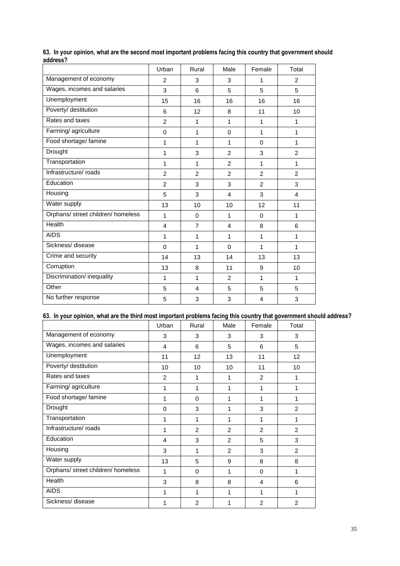|                                    | Urban          | Rural          | Male           | Female                  | Total           |
|------------------------------------|----------------|----------------|----------------|-------------------------|-----------------|
| Management of economy              | $\overline{2}$ | 3              | 3              | 1                       | $\overline{2}$  |
| Wages, incomes and salaries        | 3              | 6              | 5              | 5                       | 5               |
| Unemployment                       | 15             | 16             | 16             | 16                      | 16              |
| Poverty/ destitution               | 6              | 12             | 8              | 11                      | 10              |
| Rates and taxes                    | $\overline{2}$ | 1              | $\mathbf{1}$   | 1                       | $\mathbf{1}$    |
| Farming/agriculture                | $\mathbf 0$    | 1              | $\mathbf 0$    | 1                       | $\mathbf{1}$    |
| Food shortage/ famine              | 1              | 1              | $\mathbf{1}$   | $\Omega$                | $\mathbf{1}$    |
| Drought                            | 1              | 3              | $\overline{2}$ | 3                       | $\overline{2}$  |
| Transportation                     | 1              | 1              | $\overline{2}$ | 1                       | 1               |
| Infrastructure/ roads              | $\overline{2}$ | $\overline{2}$ | $\overline{2}$ | $\overline{2}$          | $\overline{2}$  |
| Education                          | $\overline{2}$ | 3              | 3              | $\overline{2}$          | 3               |
| Housing                            | 5              | 3              | 4              | 3                       | 4               |
| Water supply                       | 13             | 10             | 10             | 12                      | 11              |
| Orphans/ street children/ homeless | 1              | $\mathbf 0$    | 1              | $\Omega$                | 1               |
| Health                             | $\overline{4}$ | $\overline{7}$ | $\overline{4}$ | 8                       | 6               |
| <b>AIDS</b>                        | 1              | 1              | $\mathbf{1}$   | 1                       | $\mathbf{1}$    |
| Sickness/disease                   | $\Omega$       | 1              | $\Omega$       | 1                       | $\mathbf{1}$    |
| Crime and security                 | 14             | 13             | 14             | 13                      | 13              |
| Corruption                         | 13             | 8              | 11             | 9                       | 10 <sup>1</sup> |
| Discrimination/ inequality         | 1              | 1              | 2              | 1                       | $\mathbf{1}$    |
| Other                              | 5              | 4              | 5              | 5                       | 5               |
| No further response                | 5              | 3              | 3              | $\overline{\mathbf{4}}$ | 3               |

|          |  |  |  | 63. In your opinion, what are the second most important problems facing this country that government should |  |  |  |  |
|----------|--|--|--|-------------------------------------------------------------------------------------------------------------|--|--|--|--|
| address? |  |  |  |                                                                                                             |  |  |  |  |

## **63. In your opinion, what are the third most important problems facing this country that government should address?**

|                                    | Urban    | Rural    | Male | Female   | Total           |
|------------------------------------|----------|----------|------|----------|-----------------|
| Management of economy              | 3        | 3        | 3    | 3        | 3               |
| Wages, incomes and salaries        | 4        | 6        | 5    | 6        | 5               |
| Unemployment                       | 11       | 12       | 13   | 11       | 12 <sup>2</sup> |
| Poverty/ destitution               | 10       | 10       | 10   | 11       | 10              |
| Rates and taxes                    | 2        | 1        | 1    | 2        | 1               |
| Farming/agriculture                | 1        | 1        | 1    | 1        | 1               |
| Food shortage/ famine              | 1        | $\Omega$ | 1    | 1        | 1               |
| Drought                            | $\Omega$ | 3        | 1    | 3        | 2               |
| Transportation                     | 1        | 1        | 1    | 1        | 1               |
| Infrastructure/roads               | 1        | 2        | 2    | 2        | 2               |
| Education                          | 4        | 3        | 2    | 5        | 3               |
| Housing                            | 3        | 1        | 2    | 3        | 2               |
| Water supply                       | 13       | 5        | 9    | 8        | 8               |
| Orphans/ street children/ homeless | 1        | $\Omega$ | 1    | $\Omega$ | 1               |
| Health                             | 3        | 8        | 8    | 4        | 6               |
| <b>AIDS</b>                        | 1        | 1        | 1    | 1        | 1               |
| Sickness/disease                   |          | 2        |      | 2        | $\overline{2}$  |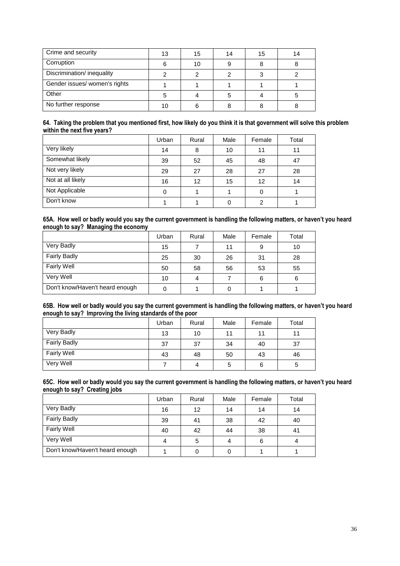| Crime and security            | 13 | 15 | 14 | 15 | 14 |
|-------------------------------|----|----|----|----|----|
| Corruption                    |    | 10 |    |    |    |
| Discrimination/ inequality    |    |    |    |    |    |
| Gender issues/ women's rights |    |    |    |    |    |
| Other                         |    |    |    |    |    |
| No further response           |    |    |    |    |    |

#### **64. Taking the problem that you mentioned first, how likely do you think it is that government will solve this problem within the next five years?**

|                   | Urban | Rural | Male | Female | Total |
|-------------------|-------|-------|------|--------|-------|
| Very likely       | 14    | 8     | 10   | 11     | 11    |
| Somewhat likely   | 39    | 52    | 45   | 48     | 47    |
| Not very likely   | 29    | 27    | 28   | 27     | 28    |
| Not at all likely | 16    | 12    | 15   | 12     | 14    |
| Not Applicable    | 0     |       |      | 0      |       |
| Don't know        |       |       |      | 2      |       |

#### **65A. How well or badly would you say the current government is handling the following matters, or haven't you heard enough to say? Managing the economy**

|                                 | Urban | Rural | Male | Female | Total |
|---------------------------------|-------|-------|------|--------|-------|
| Very Badly                      | 15    |       | 11   | 9      | 10    |
| <b>Fairly Badly</b>             | 25    | 30    | 26   | 31     | 28    |
| <b>Fairly Well</b>              | 50    | 58    | 56   | 53     | 55    |
| Very Well                       | 10    | 4     |      | 6      | 6     |
| Don't know/Haven't heard enough |       |       |      |        |       |

## **65B. How well or badly would you say the current government is handling the following matters, or haven't you heard enough to say? Improving the living standards of the poor**

|                     | Urban | Rural | Male | Female | Total |
|---------------------|-------|-------|------|--------|-------|
| Very Badly          | 13    | 10    | 11   | 11     |       |
| <b>Fairly Badly</b> | 37    | 37    | 34   | 40     | 37    |
| <b>Fairly Well</b>  | 43    | 48    | 50   | 43     | 46    |
| Very Well           |       | 4     | 5    | 6      | 5     |

#### **65C. How well or badly would you say the current government is handling the following matters, or haven't you heard enough to say? Creating jobs**

|                                 | Urban | Rural | Male | Female | Total |
|---------------------------------|-------|-------|------|--------|-------|
| Very Badly                      | 16    | 12    | 14   | 14     | 14    |
| <b>Fairly Badly</b>             | 39    | 41    | 38   | 42     | 40    |
| <b>Fairly Well</b>              | 40    | 42    | 44   | 38     | 41    |
| Very Well                       | 4     | 5     |      | 6      |       |
| Don't know/Haven't heard enough |       |       |      |        |       |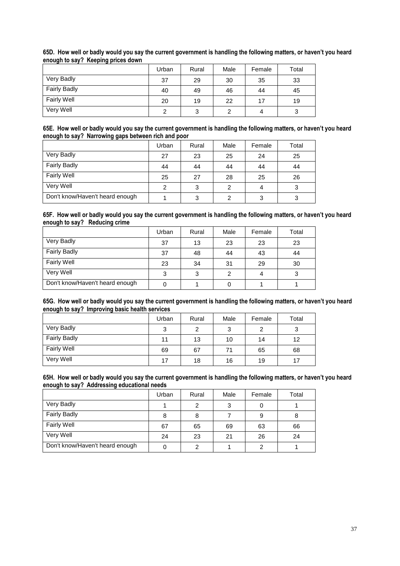| . .                 |       |       |      |        |       |
|---------------------|-------|-------|------|--------|-------|
|                     | Urban | Rural | Male | Female | Total |
| Very Badly          | 37    | 29    | 30   | 35     | 33    |
| <b>Fairly Badly</b> | 40    | 49    | 46   | 44     | 45    |
| <b>Fairly Well</b>  | 20    | 19    | 22   | 17     | 19    |
| Very Well           |       | 3     |      | 4      | 3     |

## **65D. How well or badly would you say the current government is handling the following matters, or haven't you heard enough to say? Keeping prices down**

#### **65E. How well or badly would you say the current government is handling the following matters, or haven't you heard enough to say? Narrowing gaps between rich and poor**

|                                 | Urban | Rural | Male | Female | Total |
|---------------------------------|-------|-------|------|--------|-------|
| Very Badly                      | 27    | 23    | 25   | 24     | 25    |
| <b>Fairly Badly</b>             | 44    | 44    | 44   | 44     | 44    |
| <b>Fairly Well</b>              | 25    | 27    | 28   | 25     | 26    |
| Very Well                       |       | 3     | ◠    | 4      |       |
| Don't know/Haven't heard enough |       | 3     |      | 3      |       |

#### **65F. How well or badly would you say the current government is handling the following matters, or haven't you heard enough to say? Reducing crime**

|                                 | Urban | Rural | Male | Female | Total |
|---------------------------------|-------|-------|------|--------|-------|
| Very Badly                      | 37    | 13    | 23   | 23     | 23    |
| <b>Fairly Badly</b>             | 37    | 48    | 44   | 43     | 44    |
| <b>Fairly Well</b>              | 23    | 34    | 31   | 29     | 30    |
| Very Well                       | 3     | 3     | າ    | 4      | 3     |
| Don't know/Haven't heard enough |       |       |      |        |       |

#### **65G. How well or badly would you say the current government is handling the following matters, or haven't you heard enough to say? Improving basic health services**

|                     | Urban | Rural | Male | Female | Total |
|---------------------|-------|-------|------|--------|-------|
| Very Badly          | 3     | 2     | 3    | 2      | 3     |
| <b>Fairly Badly</b> | 11    | 13    | 10   | 14     | 12    |
| <b>Fairly Well</b>  | 69    | 67    | 71   | 65     | 68    |
| Very Well           | 17    | 18    | 16   | 19     | 17    |

#### **65H. How well or badly would you say the current government is handling the following matters, or haven't you heard enough to say? Addressing educational needs**

|                                 | Urban | Rural | Male | Female | Total |
|---------------------------------|-------|-------|------|--------|-------|
| Very Badly                      |       | 2     | ≏    | 0      |       |
| <b>Fairly Badly</b>             | 8     | 8     |      | 9      | 8     |
| Fairly Well                     | 67    | 65    | 69   | 63     | 66    |
| Very Well                       | 24    | 23    | 21   | 26     | 24    |
| Don't know/Haven't heard enough |       | 2     |      | 2      |       |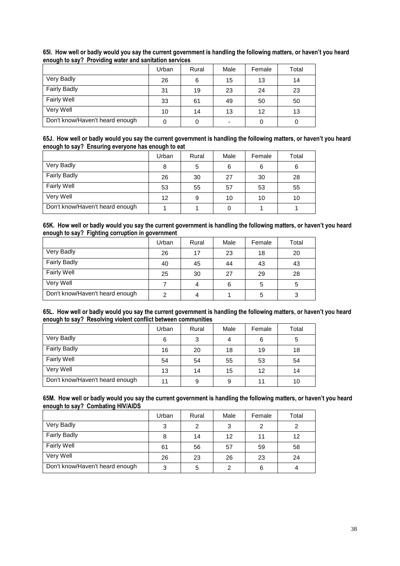|                                 | Urban | Rural | Male | Female | Total |
|---------------------------------|-------|-------|------|--------|-------|
| Very Badly                      | 26    | 6     | 15   | 13     | 14    |
| <b>Fairly Badly</b>             | 31    | 19    | 23   | 24     | 23    |
| <b>Fairly Well</b>              | 33    | 61    | 49   | 50     | 50    |
| Very Well                       | 10    | 14    | 13   | 12     | 13    |
| Don't know/Haven't heard enough |       |       |      |        |       |

## **65I. How well or badly would you say the current government is handling the following matters, or haven't you heard enough to say? Providing water and sanitation services**

#### **65J. How well or badly would you say the current government is handling the following matters, or haven't you heard enough to say? Ensuring everyone has enough to eat**

|                                 | Urban             | Rural | Male | Female | Total |
|---------------------------------|-------------------|-------|------|--------|-------|
| Very Badly                      |                   | 5     | 6    | 6      | 6     |
| <b>Fairly Badly</b>             | 26                | 30    | 27   | 30     | 28    |
| <b>Fairly Well</b>              | 53                | 55    | 57   | 53     | 55    |
| Very Well                       | $12 \overline{ }$ | 9     | 10   | 10     | 10    |
| Don't know/Haven't heard enough |                   |       |      |        |       |

#### **65K. How well or badly would you say the current government is handling the following matters, or haven't you heard enough to say? Fighting corruption in government**

|                                 | Urban | Rural | Male | Female | Total |
|---------------------------------|-------|-------|------|--------|-------|
| Very Badly                      | 26    | 17    | 23   | 18     | 20    |
| <b>Fairly Badly</b>             | 40    | 45    | 44   | 43     | 43    |
| <b>Fairly Well</b>              | 25    | 30    | 27   | 29     | 28    |
| Very Well                       |       | 4     | 6    | 5      | 5     |
| Don't know/Haven't heard enough |       | 4     |      | 5      |       |

#### **65L. How well or badly would you say the current government is handling the following matters, or haven't you heard enough to say? Resolving violent conflict between communities**

|                                 | Urban | Rural | Male | Female | Total |
|---------------------------------|-------|-------|------|--------|-------|
| Very Badly                      | 6     | 3     |      | 6      | 5     |
| <b>Fairly Badly</b>             | 16    | 20    | 18   | 19     | 18    |
| <b>Fairly Well</b>              | 54    | 54    | 55   | 53     | 54    |
| Very Well                       | 13    | 14    | 15   | 12     | 14    |
| Don't know/Haven't heard enough |       | 9     | 9    | 11     | 10    |

#### **65M. How well or badly would you say the current government is handling the following matters, or haven't you heard enough to say? Combating HIV/AIDS**

|                                 | Urban | Rural | Male | Female | Total |
|---------------------------------|-------|-------|------|--------|-------|
| Very Badly                      | 3     | 2     | ◠    | 2      | ົ     |
| <b>Fairly Badly</b>             | 8     | 14    | 12   | 11     | 12    |
| Fairly Well                     | 61    | 56    | 57   | 59     | 58    |
| Very Well                       | 26    | 23    | 26   | 23     | 24    |
| Don't know/Haven't heard enough | 3     | 5     | ົ    | 6      |       |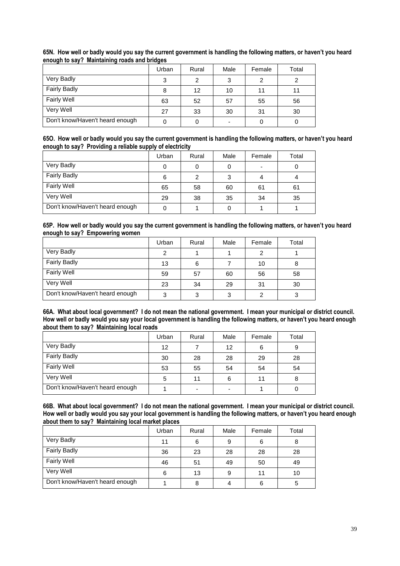|                                 | Urban | Rural | Male | Female | Total |
|---------------------------------|-------|-------|------|--------|-------|
| Very Badly                      | 3     | 2     | 3    | 2      | っ     |
| <b>Fairly Badly</b>             | 8     | 12    | 10   | 11     | 11    |
| Fairly Well                     | 63    | 52    | 57   | 55     | 56    |
| Very Well                       | 27    | 33    | 30   | 31     | 30    |
| Don't know/Haven't heard enough |       | 0     |      |        |       |

## **65N. How well or badly would you say the current government is handling the following matters, or haven't you heard enough to say? Maintaining roads and bridges**

| 650. How well or badly would you say the current government is handling the following matters, or haven't you heard |
|---------------------------------------------------------------------------------------------------------------------|
| enough to say? Providing a reliable supply of electricity                                                           |

|                                 | Urban | Rural | Male | Female | Total |
|---------------------------------|-------|-------|------|--------|-------|
| Very Badly                      |       |       |      | -      |       |
| <b>Fairly Badly</b>             |       | 2     |      |        |       |
| <b>Fairly Well</b>              | 65    | 58    | 60   | 61     | 61    |
| Very Well                       | 29    | 38    | 35   | 34     | 35    |
| Don't know/Haven't heard enough |       |       |      |        |       |

#### **65P. How well or badly would you say the current government is handling the following matters, or haven't you heard enough to say? Empowering women**

|                                 | Urban | Rural | Male | Female | Total |
|---------------------------------|-------|-------|------|--------|-------|
| Very Badly                      |       |       |      |        |       |
| <b>Fairly Badly</b>             | 13    | 6     |      | 10     |       |
| <b>Fairly Well</b>              | 59    | 57    | 60   | 56     | 58    |
| Very Well                       | 23    | 34    | 29   | 31     | 30    |
| Don't know/Haven't heard enough | ◠     | 3     | ◠    |        |       |

#### **66A. What about local government? I do not mean the national government. I mean your municipal or district council. How well or badly would you say your local government is handling the following matters, or haven't you heard enough about them to say? Maintaining local roads**

|                                 | Urban | Rural | Male | Female | Total |
|---------------------------------|-------|-------|------|--------|-------|
| Very Badly                      | 12    |       | 12   | 6      |       |
| <b>Fairly Badly</b>             | 30    | 28    | 28   | 29     | 28    |
| <b>Fairly Well</b>              | 53    | 55    | 54   | 54     | 54    |
| Very Well                       | 5     | 11    | 6    | 11     |       |
| Don't know/Haven't heard enough |       | ۰     |      |        |       |

**66B. What about local government? I do not mean the national government. I mean your municipal or district council. How well or badly would you say your local government is handling the following matters, or haven't you heard enough about them to say? Maintaining local market places**

|                                 | Urban | Rural | Male | Female | Total |
|---------------------------------|-------|-------|------|--------|-------|
| Very Badly                      | 11    | 6     | 9    | 6      |       |
| <b>Fairly Badly</b>             | 36    | 23    | 28   | 28     | 28    |
| Fairly Well                     | 46    | 51    | 49   | 50     | 49    |
| Very Well                       | 6     | 13    | 9    | 11     | 10    |
| Don't know/Haven't heard enough |       | 8     |      | 6      |       |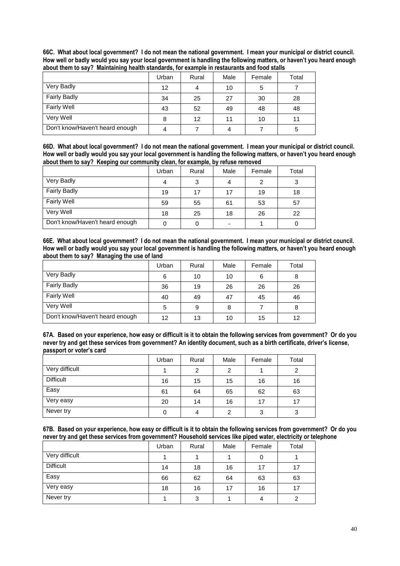| 66C. What about local government? I do not mean the national government. I mean your municipal or district council.  |
|----------------------------------------------------------------------------------------------------------------------|
| How well or badly would you say your local government is handling the following matters, or haven't you heard enough |
| about them to say? Maintaining health standards, for example in restaurants and food stalls                          |

|                                 | Urban | Rural | Male | Female | Total |
|---------------------------------|-------|-------|------|--------|-------|
| Very Badly                      | 12    | 4     | 10   | 5      |       |
| <b>Fairly Badly</b>             | 34    | 25    | 27   | 30     | 28    |
| <b>Fairly Well</b>              | 43    | 52    | 49   | 48     | 48    |
| Very Well                       | 8     | 12    | 11   | 10     | 11    |
| Don't know/Haven't heard enough |       |       |      |        | 5     |

**66D. What about local government? I do not mean the national government. I mean your municipal or district council. How well or badly would you say your local government is handling the following matters, or haven't you heard enough about them to say? Keeping our community clean, for example, by refuse removed**

|                                 | Urban | Rural | Male | Female | Total |
|---------------------------------|-------|-------|------|--------|-------|
| Very Badly                      |       | 3     |      | 2      | ◠     |
| <b>Fairly Badly</b>             | 19    | 17    | 17   | 19     | 18    |
| <b>Fairly Well</b>              | 59    | 55    | 61   | 53     | 57    |
| Very Well                       | 18    | 25    | 18   | 26     | 22    |
| Don't know/Haven't heard enough |       |       |      |        |       |

**66E. What about local government? I do not mean the national government. I mean your municipal or district council. How well or badly would you say your local government is handling the following matters, or haven't you heard enough about them to say? Managing the use of land**

|                                 | Urban | Rural | Male | Female | Total |
|---------------------------------|-------|-------|------|--------|-------|
| Very Badly                      | 6     | 10    | 10   | 6      | 8     |
| <b>Fairly Badly</b>             | 36    | 19    | 26   | 26     | 26    |
| <b>Fairly Well</b>              | 40    | 49    | 47   | 45     | 46    |
| Very Well                       | 5     | 9     | 8    |        | 8     |
| Don't know/Haven't heard enough | 12    | 13    | 10   | 15     | 12    |

**67A. Based on your experience, how easy or difficult is it to obtain the following services from government? Or do you never try and get these services from government? An identity document, such as a birth certificate, driver's license, passport or voter's card**

|                  | Urban | Rural | Male | Female | Total |
|------------------|-------|-------|------|--------|-------|
| Very difficult   |       | 2     | 2    |        |       |
| <b>Difficult</b> | 16    | 15    | 15   | 16     | 16    |
| Easy             | 61    | 64    | 65   | 62     | 63    |
| Very easy        | 20    | 14    | 16   | 17     | 17    |
| Never try        |       | 4     | ົ    | 3      | 3     |

**67B. Based on your experience, how easy or difficult is it to obtain the following services from government? Or do you never try and get these services from government? Household services like piped water, electricity or telephone**

|                  | Urban | Rural | Male | Female | Total |
|------------------|-------|-------|------|--------|-------|
| Very difficult   |       |       |      | 0      |       |
| <b>Difficult</b> | 14    | 18    | 16   | 17     | 17    |
| Easy             | 66    | 62    | 64   | 63     | 63    |
| Very easy        | 18    | 16    | 17   | 16     | 17    |
| Never try        |       | 3     |      | 4      | ົ     |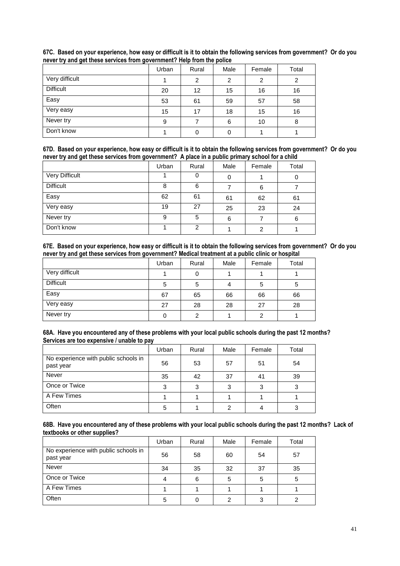|                  | Urban | Rural | Male | Female | Total |
|------------------|-------|-------|------|--------|-------|
| Very difficult   |       | 2     | 2    | 2      | 2     |
| <b>Difficult</b> | 20    | 12    | 15   | 16     | 16    |
| Easy             | 53    | 61    | 59   | 57     | 58    |
| Very easy        | 15    | 17    | 18   | 15     | 16    |
| Never try        | 9     |       | 6    | 10     | 8     |
| Don't know       |       | 0     | 0    |        |       |

**67C. Based on your experience, how easy or difficult is it to obtain the following services from government? Or do you never try and get these services from government? Help from the police**

| 67D. Based on your experience, how easy or difficult is it to obtain the following services from government? Or do you |  |  |  |
|------------------------------------------------------------------------------------------------------------------------|--|--|--|
| never try and get these services from government? A place in a public primary school for a child                       |  |  |  |

| . .<br>ັ         |       |       |      |        |       |
|------------------|-------|-------|------|--------|-------|
|                  | Urban | Rural | Male | Female | Total |
| Very Difficult   |       | 0     | 0    |        | 0     |
| <b>Difficult</b> | 8     | 6     |      | 6      |       |
| Easy             | 62    | 61    | 61   | 62     | 61    |
| Very easy        | 19    | 27    | 25   | 23     | 24    |
| Never try        | 9     | 5     | 6    |        | 6     |
| Don't know       |       | 2     |      | 2      |       |

**67E. Based on your experience, how easy or difficult is it to obtain the following services from government? Or do you never try and get these services from government? Medical treatment at a public clinic or hospital**

|                  | Urban | Rural          | Male | Female | Total |
|------------------|-------|----------------|------|--------|-------|
| Very difficult   |       | 0              |      |        |       |
| <b>Difficult</b> | 5     | 5              |      | 5      | 5     |
| Easy             | 67    | 65             | 66   | 66     | 66    |
| Very easy        | 27    | 28             | 28   | 27     | 28    |
| Never try        |       | $\overline{2}$ |      | 2      |       |

| 68A. Have you encountered any of these problems with your local public schools during the past 12 months? |
|-----------------------------------------------------------------------------------------------------------|
| Services are too expensive / unable to pay                                                                |

|                                                   | Urban | Rural | Male | Female | Total |
|---------------------------------------------------|-------|-------|------|--------|-------|
| No experience with public schools in<br>past year | 56    | 53    | 57   | 51     | 54    |
| <b>Never</b>                                      | 35    | 42    | 37   | 41     | 39    |
| Once or Twice                                     | ◠     | 3     | ◠    | 3      | ◠     |
| A Few Times                                       |       |       |      |        |       |
| Often                                             | 5     |       |      |        |       |

**68B. Have you encountered any of these problems with your local public schools during the past 12 months? Lack of textbooks or other supplies?**

|                                                   | Urban | Rural | Male | Female | Total |
|---------------------------------------------------|-------|-------|------|--------|-------|
| No experience with public schools in<br>past year | 56    | 58    | 60   | 54     | 57    |
| Never                                             | 34    | 35    | 32   | 37     | 35    |
| Once or Twice                                     |       | 6     |      | 5      | 5     |
| A Few Times                                       |       |       |      |        |       |
| Often                                             | 5     |       |      | 3      |       |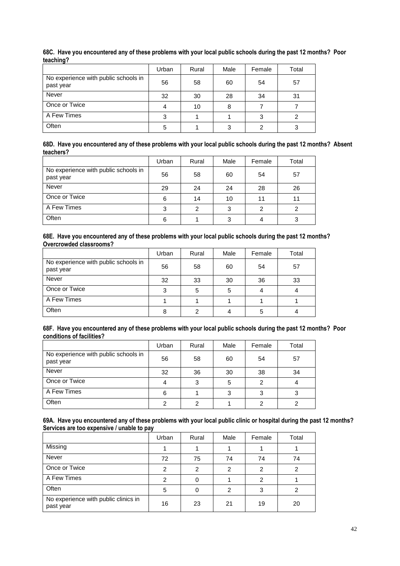|                                                   | Urban | Rural | Male | Female | Total |
|---------------------------------------------------|-------|-------|------|--------|-------|
| No experience with public schools in<br>past year | 56    | 58    | 60   | 54     | 57    |
| <b>Never</b>                                      | 32    | 30    | 28   | 34     | 31    |
| Once or Twice                                     |       | 10    | 8    |        |       |
| A Few Times                                       |       |       |      |        |       |
| Often                                             | 5     |       | 3    |        |       |

**68C. Have you encountered any of these problems with your local public schools during the past 12 months? Poor teaching?**

| 68D. Have you encountered any of these problems with your local public schools during the past 12 months? Absent |  |
|------------------------------------------------------------------------------------------------------------------|--|
| teachers?                                                                                                        |  |

|                                                   | Urban | Rural | Male | Female | Total |
|---------------------------------------------------|-------|-------|------|--------|-------|
| No experience with public schools in<br>past year | 56    | 58    | 60   | 54     | 57    |
| Never                                             | 29    | 24    | 24   | 28     | 26    |
| Once or Twice                                     | 6     | 14    | 10   | 11     | 11    |
| A Few Times                                       | 3     | 2     | 3    | 2      | ົ     |
| Often                                             | 6     |       |      | 4      |       |

**68E. Have you encountered any of these problems with your local public schools during the past 12 months? Overcrowded classrooms?**

|                                                   | Urban | Rural | Male | Female | Total |
|---------------------------------------------------|-------|-------|------|--------|-------|
| No experience with public schools in<br>past year | 56    | 58    | 60   | 54     | 57    |
| Never                                             | 32    | 33    | 30   | 36     | 33    |
| Once or Twice                                     | 3     | 5     |      | 4      |       |
| A Few Times                                       |       |       |      |        |       |
| Often                                             | 8     | っ     |      | 5      |       |

| 68F. Have you encountered any of these problems with your local public schools during the past 12 months? Poor |  |
|----------------------------------------------------------------------------------------------------------------|--|
| conditions of facilities?                                                                                      |  |

|                                                   | Urban | Rural | Male | Female | Total |
|---------------------------------------------------|-------|-------|------|--------|-------|
| No experience with public schools in<br>past year | 56    | 58    | 60   | 54     | 57    |
| <b>Never</b>                                      | 32    | 36    | 30   | 38     | 34    |
| Once or Twice                                     |       | 3     |      | 2      |       |
| A Few Times                                       | 6     |       |      | 3      |       |
| Often                                             |       | 2     |      | 2      |       |

| 69A. Have you encountered any of these problems with your local public clinic or hospital during the past 12 months? |
|----------------------------------------------------------------------------------------------------------------------|
| Services are too expensive / unable to pay                                                                           |

|                                                   | Urban         | Rural          | Male | Female | Total          |
|---------------------------------------------------|---------------|----------------|------|--------|----------------|
| Missing                                           |               |                |      |        |                |
| <b>Never</b>                                      | 72            | 75             | 74   | 74     | 74             |
| Once or Twice                                     | $\mathcal{P}$ | $\overline{2}$ | 2    | 2      | $\mathfrak{p}$ |
| A Few Times                                       | 2             | 0              |      | 2      |                |
| Often                                             | 5             | 0              | 2    | 3      |                |
| No experience with public clinics in<br>past year | 16            | 23             | 21   | 19     | 20             |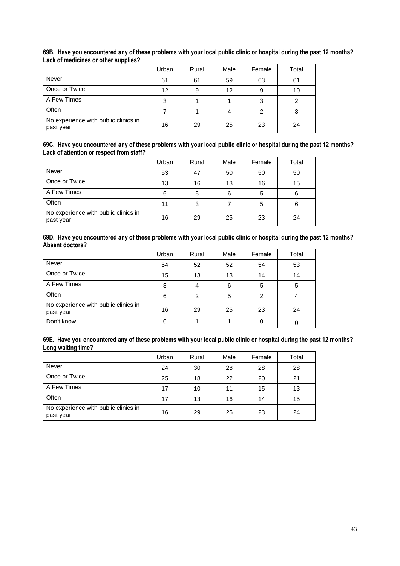|                                                   | Urban | Rural | Male | Female | Total |
|---------------------------------------------------|-------|-------|------|--------|-------|
| <b>Never</b>                                      | 61    | 61    | 59   | 63     | 61    |
| Once or Twice                                     | 12    | 9     | 12   | 9      | 10    |
| A Few Times                                       | 3     |       |      | 3      |       |
| Often                                             |       |       |      | 2      | 3     |
| No experience with public clinics in<br>past year | 16    | 29    | 25   | 23     | 24    |

## **69B. Have you encountered any of these problems with your local public clinic or hospital during the past 12 months? Lack of medicines or other supplies?**

#### **69C. Have you encountered any of these problems with your local public clinic or hospital during the past 12 months? Lack of attention or respect from staff?**

|                                                   | Urban | Rural | Male | Female | Total |
|---------------------------------------------------|-------|-------|------|--------|-------|
| Never                                             | 53    | 47    | 50   | 50     | 50    |
| Once or Twice                                     | 13    | 16    | 13   | 16     | 15    |
| A Few Times                                       | 6     | 5     | 6    | 5      | 6     |
| Often                                             | 11    | 3     |      | 5      | 6     |
| No experience with public clinics in<br>past year | 16    | 29    | 25   | 23     | 24    |

#### **69D. Have you encountered any of these problems with your local public clinic or hospital during the past 12 months? Absent doctors?**

|                                                   | Urban | Rural | Male | Female | Total |
|---------------------------------------------------|-------|-------|------|--------|-------|
| Never                                             | 54    | 52    | 52   | 54     | 53    |
| Once or Twice                                     | 15    | 13    | 13   | 14     | 14    |
| A Few Times                                       | 8     | 4     | 6    | 5      | 5     |
| Often                                             | 6     | 2     | 5    | 2      | 4     |
| No experience with public clinics in<br>past year | 16    | 29    | 25   | 23     | 24    |
| Don't know                                        | 0     |       |      | 0      |       |

#### **69E. Have you encountered any of these problems with your local public clinic or hospital during the past 12 months? Long waiting time?**

|                                                   | Urban | Rural | Male | Female | Total |
|---------------------------------------------------|-------|-------|------|--------|-------|
| Never                                             | 24    | 30    | 28   | 28     | 28    |
| Once or Twice                                     | 25    | 18    | 22   | 20     | 21    |
| A Few Times                                       | 17    | 10    | 11   | 15     | 13    |
| Often                                             | 17    | 13    | 16   | 14     | 15    |
| No experience with public clinics in<br>past year | 16    | 29    | 25   | 23     | 24    |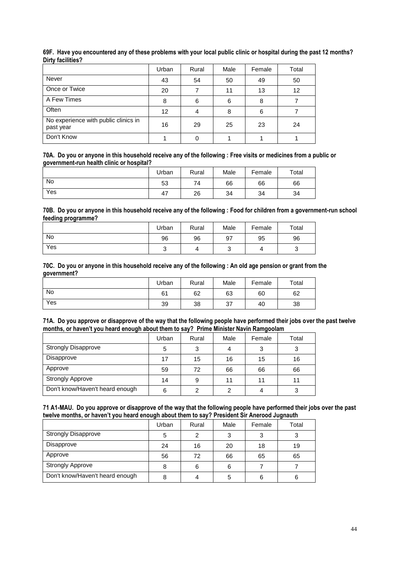|                                                   | Urban             | Rural | Male | Female | Total |
|---------------------------------------------------|-------------------|-------|------|--------|-------|
| <b>Never</b>                                      | 43                | 54    | 50   | 49     | 50    |
| Once or Twice                                     | 20                |       | 11   | 13     | 12    |
| A Few Times                                       | 8                 | 6     | 6    | 8      |       |
| Often                                             | $12 \overline{ }$ | 4     | 8    | 6      |       |
| No experience with public clinics in<br>past year | 16                | 29    | 25   | 23     | 24    |
| Don't Know                                        |                   | 0     |      |        |       |

## **69F. Have you encountered any of these problems with your local public clinic or hospital during the past 12 months? Dirty facilities?**

**70A. Do you or anyone in this household receive any of the following : Free visits or medicines from a public or government-run health clinic or hospital?**

|     | Urban     | Rural | Male | Female | Total |
|-----|-----------|-------|------|--------|-------|
| No  | 53        | 74    | 66   | 66     | 66    |
| Yes | . –<br>4, | 26    | 34   | 34     | 34    |

**70B. Do you or anyone in this household receive any of the following : Food for children from a government-run school feeding programme?**

|     | Urban | Rural | Male | Female | Total |
|-----|-------|-------|------|--------|-------|
| No  | 96    | 96    | 97   | 95     | 96    |
| Yes | ັ     | 4     |      |        | ັ     |

#### **70C. Do you or anyone in this household receive any of the following : An old age pension or grant from the government?**

|           | Urban | Rural | Male | Female | Total |
|-----------|-------|-------|------|--------|-------|
| <b>No</b> | 61    | 62    | 63   | 60     | 62    |
| Yes       | 39    | 38    | 37   | 40     | 38    |

|  | 71A. Do you approve or disapprove of the way that the following people have performed their jobs over the past twelve |  |  |
|--|-----------------------------------------------------------------------------------------------------------------------|--|--|
|  | months, or haven't you heard enough about them to say? Prime Minister Navin Ramgoolam                                 |  |  |

|                                 | Urban | Rural | Male | Female | Total |
|---------------------------------|-------|-------|------|--------|-------|
| <b>Strongly Disapprove</b>      |       | 3     |      |        | ົ     |
| Disapprove                      | 17    | 15    | 16   | 15     | 16    |
| Approve                         | 59    | 72    | 66   | 66     | 66    |
| <b>Strongly Approve</b>         | 14    | 9     | 11   | 11     | 11    |
| Don't know/Haven't heard enough | 6     | ◠     | ◠    | 4      | ◠     |

|  |  | 71 A1-MAU. Do you approve or disapprove of the way that the following people have performed their jobs over the past |  |
|--|--|----------------------------------------------------------------------------------------------------------------------|--|
|  |  | twelve months, or haven't you heard enough about them to say? President Sir Anerood Jugnauth                         |  |

| .                               |       |       |      |        |       |
|---------------------------------|-------|-------|------|--------|-------|
|                                 | Urban | Rural | Male | Female | Total |
| <b>Strongly Disapprove</b>      | 5     | 2     |      | 3      |       |
| Disapprove                      | 24    | 16    | 20   | 18     | 19    |
| Approve                         | 56    | 72    | 66   | 65     | 65    |
| <b>Strongly Approve</b>         | 8     | 6     | 6    |        |       |
| Don't know/Haven't heard enough |       | 4     |      | 6      | 6     |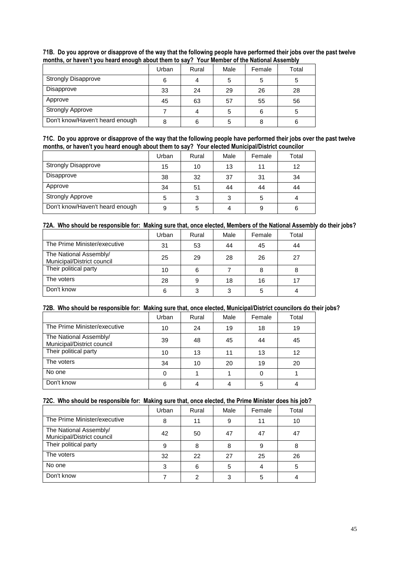|                                 | Urban | Rural | Male | Female | Total |
|---------------------------------|-------|-------|------|--------|-------|
| <b>Strongly Disapprove</b>      | 6     |       |      | 5      |       |
| Disapprove                      | 33    | 24    | 29   | 26     | 28    |
| Approve                         | 45    | 63    | 57   | 55     | 56    |
| <b>Strongly Approve</b>         |       |       | 5    | 6      | 5     |
| Don't know/Haven't heard enough | 8     | 6     |      | 8      | 6     |

**71B. Do you approve or disapprove of the way that the following people have performed their jobs over the past twelve months, or haven't you heard enough about them to say? Your Member of the National Assembly**

| 71C. Do you approve or disapprove of the way that the following people have performed their jobs over the past twelve |
|-----------------------------------------------------------------------------------------------------------------------|
| months, or haven't you heard enough about them to say? Your elected Municipal/District councilor                      |

|                                 | Urban | Rural | Male | Female | Total |
|---------------------------------|-------|-------|------|--------|-------|
| <b>Strongly Disapprove</b>      | 15    | 10    | 13   | 11     | 12    |
| Disapprove                      | 38    | 32    | 37   | 31     | 34    |
| Approve                         | 34    | 51    | 44   | 44     | 44    |
| <b>Strongly Approve</b>         | 5     | 3     | 3    | 5      | 4     |
| Don't know/Haven't heard enough | 9     | 5     |      | 9      | 6     |

## **72A. Who should be responsible for: Making sure that, once elected, Members of the National Assembly do their jobs?**

|                                                      | Urban | Rural | Male | Female | Total |
|------------------------------------------------------|-------|-------|------|--------|-------|
| The Prime Minister/executive                         | 31    | 53    | 44   | 45     | 44    |
| The National Assembly/<br>Municipal/District council | 25    | 29    | 28   | 26     | 27    |
| Their political party                                | 10    | 6     |      | 8      |       |
| The voters                                           | 28    | 9     | 18   | 16     |       |
| Don't know                                           | 6     | 3     | ◠    | 5      |       |

## **72B. Who should be responsible for: Making sure that, once elected, Municipal/District councilors do their jobs?**

|                                                      | Urban | Rural | Male | Female | Total |
|------------------------------------------------------|-------|-------|------|--------|-------|
| The Prime Minister/executive                         | 10    | 24    | 19   | 18     | 19    |
| The National Assembly/<br>Municipal/District council | 39    | 48    | 45   | 44     | 45    |
| Their political party                                | 10    | 13    | 11   | 13     | 12    |
| The voters                                           | 34    | 10    | 20   | 19     | 20    |
| No one                                               |       |       |      |        |       |
| Don't know                                           | 6     |       |      | 5      |       |

## **72C. Who should be responsible for: Making sure that, once elected, the Prime Minister does his job?**

|                                                      | Urban | Rural | Male | Female | Total |
|------------------------------------------------------|-------|-------|------|--------|-------|
| The Prime Minister/executive                         | 8     | 11    | 9    | 11     | 10    |
| The National Assembly/<br>Municipal/District council | 42    | 50    | 47   | 47     | 47    |
| Their political party                                | 9     | 8     |      | 9      | 8     |
| The voters                                           | 32    | 22    | 27   | 25     | 26    |
| No one                                               | 3     | 6     |      | 4      | 5     |
| Don't know                                           |       |       |      | 5      |       |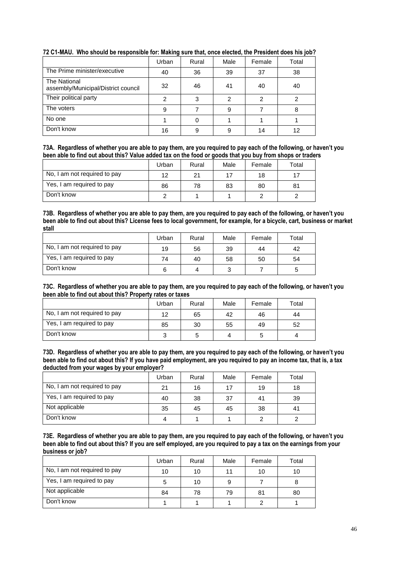|                                                     | Urban | Rural | Male | Female | Total |
|-----------------------------------------------------|-------|-------|------|--------|-------|
| The Prime minister/executive                        | 40    | 36    | 39   | 37     | 38    |
| The National<br>assembly/Municipal/District council | 32    | 46    | 41   | 40     | 40    |
| Their political party                               | 2     | 3     | 2    | 2      | 2     |
| The voters                                          | 9     |       | 9    |        | 8     |
| No one                                              |       |       |      |        |       |
| Don't know                                          | 16    | 9     | 9    | 14     | 12    |

## **72 C1-MAU. Who should be responsible for: Making sure that, once elected, the President does his job?**

**73A. Regardless of whether you are able to pay them, are you required to pay each of the following, or haven't you been able to find out about this? Value added tax on the food or goods that you buy from shops or traders**

|                              | Urban | Rural | Male | Female | Total |
|------------------------------|-------|-------|------|--------|-------|
| No, I am not required to pay | 12    | 21    |      | 18     |       |
| Yes, I am required to pay    | 86    | 78    | 83   | 80     | 81    |
| Don't know                   |       |       |      |        |       |

**73B. Regardless of whether you are able to pay them, are you required to pay each of the following, or haven't you been able to find out about this? License fees to local government, for example, for a bicycle, cart, business or market stall**

|                              | Urban | Rural | Male | Female | Total |
|------------------------------|-------|-------|------|--------|-------|
| No, I am not required to pay | 19    | 56    | 39   | 44     | 42    |
| Yes, I am required to pay    | 74    | 40    | 58   | 50     | 54    |
| Don't know                   | 6     | 4     |      |        | 5     |

**73C. Regardless of whether you are able to pay them, are you required to pay each of the following, or haven't you been able to find out about this? Property rates or taxes**

|                              | Urban | Rural | Male | Female | Total |
|------------------------------|-------|-------|------|--------|-------|
| No, I am not required to pay | 12    | 65    | 42   | 46     | 44    |
| Yes, I am required to pay    | 85    | 30    | 55   | 49     | 52    |
| Don't know                   |       |       |      |        |       |

**73D. Regardless of whether you are able to pay them, are you required to pay each of the following, or haven't you been able to find out about this? If you have paid employment, are you required to pay an income tax, that is, a tax deducted from your wages by your employer?**

|                              | Urban | Rural | Male | Female | Total |
|------------------------------|-------|-------|------|--------|-------|
| No, I am not required to pay | 21    | 16    |      | 19     | 18    |
| Yes, I am required to pay    | 40    | 38    | 37   | 41     | 39    |
| Not applicable               | 35    | 45    | 45   | 38     | 41    |
| Don't know                   |       |       |      |        |       |

**73E. Regardless of whether you are able to pay them, are you required to pay each of the following, or haven't you been able to find out about this? If you are self employed, are you required to pay a tax on the earnings from your business or job?**

|                              | Urban | Rural | Male | Female | Total |
|------------------------------|-------|-------|------|--------|-------|
| No, I am not required to pay | 10    | 10    |      | 10     | 10    |
| Yes, I am required to pay    |       | 10    |      |        |       |
| Not applicable               | 84    | 78    | 79   | 81     | 80    |
| Don't know                   |       |       |      |        |       |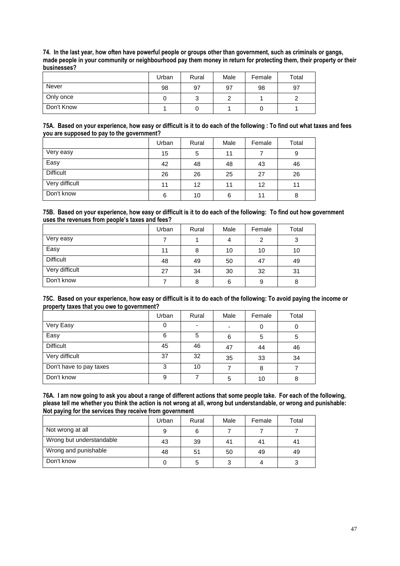**74. In the last year, how often have powerful people or groups other than government, such as criminals or gangs, made people in your community or neighbourhood pay them money in return for protecting them, their property or their businesses?** 

|            | Urban | Rural  | Male | Female | Total |
|------------|-------|--------|------|--------|-------|
| Never      | 98    | 97     | 97   | 98     | 97    |
| Only once  |       | ົ<br>◡ |      |        |       |
| Don't Know |       |        |      | U      |       |

#### **75A. Based on your experience, how easy or difficult is it to do each of the following : To find out what taxes and fees you are supposed to pay to the government?**

|                  | Urban | Rural | Male | Female | Total |
|------------------|-------|-------|------|--------|-------|
| Very easy        | 15    | 5     | 11   |        | 9     |
| Easy             | 42    | 48    | 48   | 43     | 46    |
| <b>Difficult</b> | 26    | 26    | 25   | 27     | 26    |
| Very difficult   | 11    | 12    | 11   | 12     | 11    |
| Don't know       | 6     | 10    | 6    | 11     | 8     |

#### **75B. Based on your experience, how easy or difficult is it to do each of the following: To find out how government uses the revenues from people's taxes and fees?**

|                  | Urban | Rural | Male | Female | Total |
|------------------|-------|-------|------|--------|-------|
| Very easy        |       |       | 4    | 2      | 3     |
| Easy             | 11    | 8     | 10   | 10     | 10    |
| <b>Difficult</b> | 48    | 49    | 50   | 47     | 49    |
| Very difficult   | 27    | 34    | 30   | 32     | 31    |
| Don't know       |       | 8     | 6    | 9      | 8     |

#### **75C. Based on your experience, how easy or difficult is it to do each of the following: To avoid paying the income or property taxes that you owe to government?**

|                         | Urban | Rural                    | Male | Female | Total |
|-------------------------|-------|--------------------------|------|--------|-------|
| Very Easy               | 0     | $\overline{\phantom{0}}$ |      | 0      |       |
| Easy                    | 6     | 5                        | 6    | 5      | 5     |
| <b>Difficult</b>        | 45    | 46                       | 47   | 44     | 46    |
| Very difficult          | 37    | 32                       | 35   | 33     | 34    |
| Don't have to pay taxes | 3     | 10                       |      | 8      |       |
| Don't know              | 9     |                          | 5    | 10     | 8     |

**76A. I am now going to ask you about a range of different actions that some people take. For each of the following, please tell me whether you think the action is not wrong at all, wrong but understandable, or wrong and punishable: Not paying for the services they receive from government**

|                          | Urban | Rural | Male | Female | Total |
|--------------------------|-------|-------|------|--------|-------|
| Not wrong at all         | 9     | 6     |      |        |       |
| Wrong but understandable | 43    | 39    | 41   | 41     | 41    |
| Wrong and punishable     | 48    | 51    | 50   | 49     | 49    |
| Don't know               |       | 5     |      | 4      |       |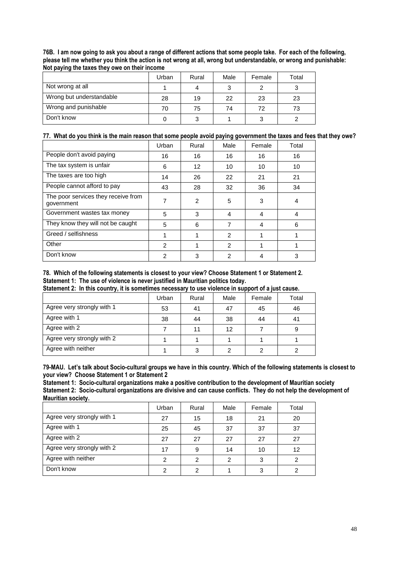| 76B. I am now going to ask you about a range of different actions that some people take. For each of the following, |  |
|---------------------------------------------------------------------------------------------------------------------|--|
| please tell me whether you think the action is not wrong at all, wrong but understandable, or wrong and punishable: |  |
| Not paying the taxes they owe on their income                                                                       |  |

|                          | Urban | Rural | Male | Female | Total |
|--------------------------|-------|-------|------|--------|-------|
| Not wrong at all         |       | 4     |      |        |       |
| Wrong but understandable | 28    | 19    | 22   | 23     | 23    |
| Wrong and punishable     | 70    | 75    | 74   | 72     | 73    |
| Don't know               |       |       |      |        |       |

## **77. What do you think is the main reason that some people avoid paying government the taxes and fees that they owe?**

|                                                   | Urban         | Rural          | Male           | Female | Total |
|---------------------------------------------------|---------------|----------------|----------------|--------|-------|
| People don't avoid paying                         | 16            | 16             | 16             | 16     | 16    |
| The tax system is unfair                          | 6             | 12             | 10             | 10     | 10    |
| The taxes are too high                            | 14            | 26             | 22             | 21     | 21    |
| People cannot afford to pay                       | 43            | 28             | 32             | 36     | 34    |
| The poor services they receive from<br>government | 7             | $\overline{2}$ | 5              | 3      | 4     |
| Government wastes tax money                       | 5             | 3              | 4              | 4      | 4     |
| They know they will not be caught                 | 5             | 6              |                | 4      | 6     |
| Greed / selfishness                               |               |                | $\mathfrak{p}$ | 1      |       |
| Other                                             | $\mathcal{P}$ |                | $\mathcal{P}$  |        |       |
| Don't know                                        | 2             | 3              | 2              | 4      | 3     |

**78. Which of the following statements is closest to your view? Choose Statement 1 or Statement 2. Statement 1: The use of violence is never justified in Mauritian politics today.**

**Statement 2: In this country, it is sometimes necessary to use violence in support of a just cause.**

|                            | Urban | Rural | Male | Female | Total |
|----------------------------|-------|-------|------|--------|-------|
| Agree very strongly with 1 | 53    | 41    | 47   | 45     | 46    |
| Agree with 1               | 38    | 44    | 38   | 44     | 41    |
| Agree with 2               |       | 11    | 12   |        |       |
| Agree very strongly with 2 |       |       |      |        |       |
| Agree with neither         |       | 3     |      | ⌒      |       |

**79-MAU. Let's talk about Socio-cultural groups we have in this country. Which of the following statements is closest to your view? Choose Statement 1 or Statement 2**

**Statement 1: Socio-cultural organizations make a positive contribution to the development of Mauritian society Statement 2: Socio-cultural organizations are divisive and can cause conflicts. They do not help the development of Mauritian society.**

|                            | Urban | Rural | Male | Female | Total |
|----------------------------|-------|-------|------|--------|-------|
| Agree very strongly with 1 | 27    | 15    | 18   | 21     | 20    |
| Agree with 1               | 25    | 45    | 37   | 37     | 37    |
| Agree with 2               | 27    | 27    | 27   | 27     | 27    |
| Agree very strongly with 2 | 17    | 9     | 14   | 10     | 12    |
| Agree with neither         | っ     | 2     | 2    | 3      |       |
| Don't know                 |       | 2     |      | 3      |       |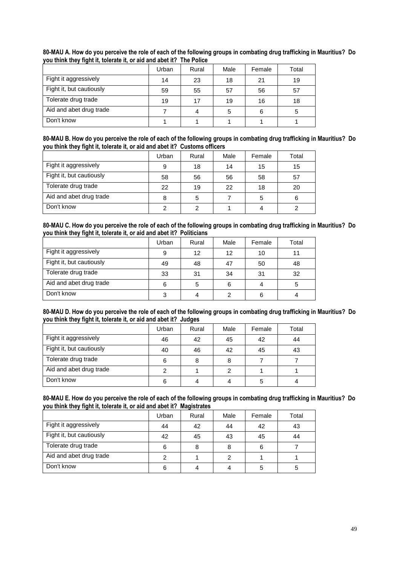|                          | Urban | Rural | Male | Female | Total |
|--------------------------|-------|-------|------|--------|-------|
| Fight it aggressively    | 14    | 23    | 18   | 21     | 19    |
| Fight it, but cautiously | 59    | 55    | 57   | 56     | 57    |
| Tolerate drug trade      | 19    | 17    | 19   | 16     | 18    |
| Aid and abet drug trade  |       |       | b    | 6      |       |
| Don't know               |       |       |      |        |       |

**80-MAU A. How do you perceive the role of each of the following groups in combating drug trafficking in Mauritius? Do you think they fight it, tolerate it, or aid and abet it? The Police**

| 80-MAU B. How do you perceive the role of each of the following groups in combating drug trafficking in Mauritius? Do |  |
|-----------------------------------------------------------------------------------------------------------------------|--|
| you think they fight it, tolerate it, or aid and abet it? Customs officers                                            |  |

|                          | Urban | Rural | Male | Female | Total |
|--------------------------|-------|-------|------|--------|-------|
| Fight it aggressively    | 9     | 18    | 14   | 15     | 15    |
| Fight it, but cautiously | 58    | 56    | 56   | 58     | 57    |
| Tolerate drug trade      | 22    | 19    | 22   | 18     | 20    |
| Aid and abet drug trade  | 8     | 5     |      | 5      | 6     |
| Don't know               |       | າ     |      |        |       |

#### **80-MAU C. How do you perceive the role of each of the following groups in combating drug trafficking in Mauritius? Do you think they fight it, tolerate it, or aid and abet it? Politicians**

|                          | Urban | Rural | Male | Female | Total |
|--------------------------|-------|-------|------|--------|-------|
| Fight it aggressively    | 9     | 12    | 12   | 10     | 11    |
| Fight it, but cautiously | 49    | 48    | 47   | 50     | 48    |
| Tolerate drug trade      | 33    | 31    | 34   | 31     | 32    |
| Aid and abet drug trade  | 6     | 5     |      | 4      | 5     |
| Don't know               |       |       |      | 6      |       |

#### **80-MAU D. How do you perceive the role of each of the following groups in combating drug trafficking in Mauritius? Do you think they fight it, tolerate it, or aid and abet it? Judges**

|                          | Urban | Rural | Male | Female | Total |
|--------------------------|-------|-------|------|--------|-------|
| Fight it aggressively    | 46    | 42    | 45   | 42     | 44    |
| Fight it, but cautiously | 40    | 46    | 42   | 45     | 43    |
| Tolerate drug trade      |       | 8     |      |        |       |
| Aid and abet drug trade  |       |       |      |        |       |
| Don't know               | 6     |       |      | 5      |       |

#### **80-MAU E. How do you perceive the role of each of the following groups in combating drug trafficking in Mauritius? Do you think they fight it, tolerate it, or aid and abet it? Magistrates**

|                          | Urban | Rural | Male | Female | Total |
|--------------------------|-------|-------|------|--------|-------|
| Fight it aggressively    | 44    | 42    | 44   | 42     | 43    |
| Fight it, but cautiously | 42    | 45    | 43   | 45     | 44    |
| Tolerate drug trade      | 6     | 8     |      | 6      |       |
| Aid and abet drug trade  |       |       | ◠    |        |       |
| Don't know               | 6     |       |      | 5      |       |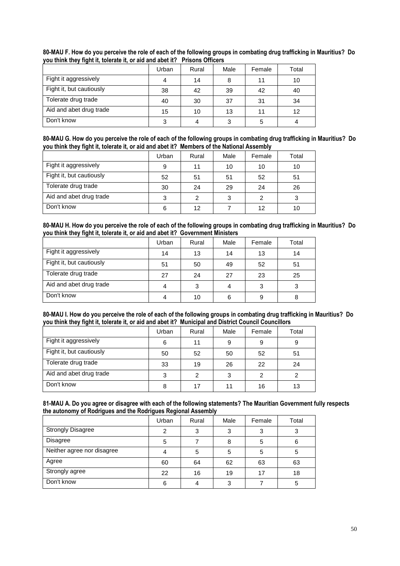|                          | Urban | Rural | Male | Female | Total |
|--------------------------|-------|-------|------|--------|-------|
| Fight it aggressively    |       | 14    | 8    | 11     | 10    |
| Fight it, but cautiously | 38    | 42    | 39   | 42     | 40    |
| Tolerate drug trade      | 40    | 30    | 37   | 31     | 34    |
| Aid and abet drug trade  | 15    | 10    | 13   | 11     | 12    |
| Don't know               | 3     |       |      | 5      |       |

**80-MAU F. How do you perceive the role of each of the following groups in combating drug trafficking in Mauritius? Do you think they fight it, tolerate it, or aid and abet it? Prisons Officers**

| 80-MAU G. How do you perceive the role of each of the following groups in combating drug trafficking in Mauritius? Do |  |
|-----------------------------------------------------------------------------------------------------------------------|--|
| you think they fight it, tolerate it, or aid and abet it? Members of the National Assembly                            |  |

|                          | Urban | Rural | Male | Female | Total |
|--------------------------|-------|-------|------|--------|-------|
| Fight it aggressively    | 9     | 11    | 10   | 10     | 10    |
| Fight it, but cautiously | 52    | 51    | 51   | 52     | 51    |
| Tolerate drug trade      | 30    | 24    | 29   | 24     | 26    |
| Aid and abet drug trade  | 3     | 2     |      | 2      | 3     |
| Don't know               | 6     | 12    |      | 12     | 10    |

#### **80-MAU H. How do you perceive the role of each of the following groups in combating drug trafficking in Mauritius? Do you think they fight it, tolerate it, or aid and abet it? Government Ministers**

|                          | Urban | Rural | Male | Female | Total |
|--------------------------|-------|-------|------|--------|-------|
| Fight it aggressively    | 14    | 13    | 14   | 13     | 14    |
| Fight it, but cautiously | 51    | 50    | 49   | 52     | 51    |
| Tolerate drug trade      | 27    | 24    | 27   | 23     | 25    |
| Aid and abet drug trade  |       | 3     |      | 3      | 3     |
| Don't know               |       | 10    | 6    | 9      |       |

#### **80-MAU I. How do you perceive the role of each of the following groups in combating drug trafficking in Mauritius? Do you think they fight it, tolerate it, or aid and abet it? Municipal and District Council Councillors**

| . .                      |       |       |      |        |       |
|--------------------------|-------|-------|------|--------|-------|
|                          | Urban | Rural | Male | Female | Total |
| Fight it aggressively    | 6     | 11    | 9    | 9      | 9     |
| Fight it, but cautiously | 50    | 52    | 50   | 52     | 51    |
| Tolerate drug trade      | 33    | 19    | 26   | 22     | 24    |
| Aid and abet drug trade  | 3     | 2     | 3    | 2      |       |
| Don't know               | 8     | 17    |      | 16     | 13    |

| the autonomy of Rodrigues and the Rodrigues Regional Assembly | 81-MAU A. Do you agree or disagree with each of the following statements? The Mauritian Government fully respects |  |  |  |  |
|---------------------------------------------------------------|-------------------------------------------------------------------------------------------------------------------|--|--|--|--|
|                                                               |                                                                                                                   |  |  |  |  |

|                            | Urban | Rural | Male | Female | Total |
|----------------------------|-------|-------|------|--------|-------|
| <b>Strongly Disagree</b>   | 2     | 3     | ົ    | 3      | 3     |
| <b>Disagree</b>            | 5     |       |      | 5      |       |
| Neither agree nor disagree |       | 5     | 5    | 5      | 5     |
| Agree                      | 60    | 64    | 62   | 63     | 63    |
| Strongly agree             | 22    | 16    | 19   | 17     | 18    |
| Don't know                 | 6     | 4     | າ    |        | 5     |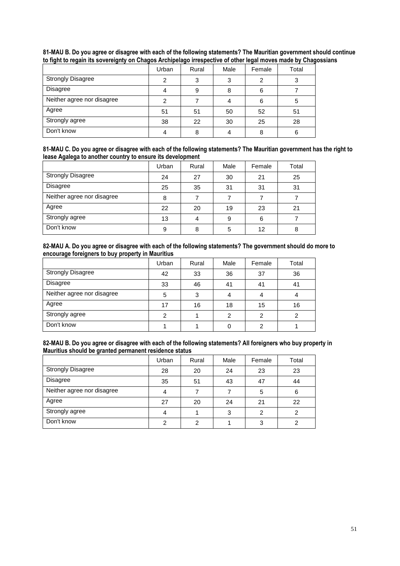|                            | Urban | Rural | Male | Female | Total |
|----------------------------|-------|-------|------|--------|-------|
| <b>Strongly Disagree</b>   |       | 3     | ≏    |        |       |
| <b>Disagree</b>            |       | 9     | 8    | 6      |       |
| Neither agree nor disagree |       |       |      | 6      |       |
| Agree                      | 51    | 51    | 50   | 52     | 51    |
| Strongly agree             | 38    | 22    | 30   | 25     | 28    |
| Don't know                 |       | 8     |      | 8      | 6     |

**81-MAU B. Do you agree or disagree with each of the following statements? The Mauritian government should continue to fight to regain its sovereignty on Chagos Archipelago irrespective of other legal moves made by Chagossians**

|                                                            | 81-MAU C. Do you agree or disagree with each of the following statements? The Mauritian government has the right to |
|------------------------------------------------------------|---------------------------------------------------------------------------------------------------------------------|
| lease Agalega to another country to ensure its development |                                                                                                                     |

|                            | Urban | Rural | Male | Female | Total |
|----------------------------|-------|-------|------|--------|-------|
| <b>Strongly Disagree</b>   | 24    | 27    | 30   | 21     | 25    |
| Disagree                   | 25    | 35    | 31   | 31     | 31    |
| Neither agree nor disagree | 8     |       |      |        |       |
| Agree                      | 22    | 20    | 19   | 23     | 21    |
| Strongly agree             | 13    | 4     | 9    | 6      |       |
| Don't know                 | 9     | 8     | 5    | 12     | 8     |

| 82-MAU A. Do you agree or disagree with each of the following statements? The government should do more to |
|------------------------------------------------------------------------------------------------------------|
| encourage foreigners to buy property in Mauritius                                                          |

|                            | Urban | Rural | Male | Female | Total |
|----------------------------|-------|-------|------|--------|-------|
| <b>Strongly Disagree</b>   | 42    | 33    | 36   | 37     | 36    |
| <b>Disagree</b>            | 33    | 46    | 41   | 41     | 41    |
| Neither agree nor disagree | 5     | 3     |      | 4      |       |
| Agree                      | 17    | 16    | 18   | 15     | 16    |
| Strongly agree             |       |       | ⌒    | 2      |       |
| Don't know                 |       |       |      | 2      |       |

**82-MAU B. Do you agree or disagree with each of the following statements? All foreigners who buy property in Mauritius should be granted permanent residence status**

|                            | Urban | Rural | Male | Female | Total |
|----------------------------|-------|-------|------|--------|-------|
| <b>Strongly Disagree</b>   | 28    | 20    | 24   | 23     | 23    |
| <b>Disagree</b>            | 35    | 51    | 43   | 47     | 44    |
| Neither agree nor disagree |       |       |      | 5      | 6     |
| Agree                      | 27    | 20    | 24   | 21     | 22    |
| Strongly agree             |       |       | ◠    |        |       |
| Don't know                 |       | 2     |      | 3      |       |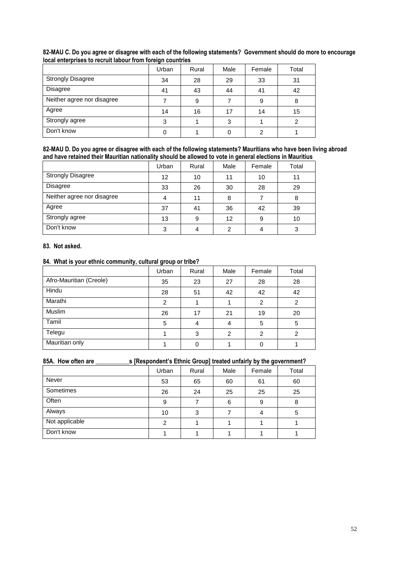|                            | Urban | Rural | Male | Female | Total |
|----------------------------|-------|-------|------|--------|-------|
| <b>Strongly Disagree</b>   | 34    | 28    | 29   | 33     | 31    |
| <b>Disagree</b>            | 41    | 43    | 44   | 41     | 42    |
| Neither agree nor disagree |       | 9     |      | 9      | 8     |
| Agree                      | 14    | 16    | 17   | 14     | 15    |
| Strongly agree             | 3     |       | 3    |        | ົ     |
| Don't know                 |       |       |      | 2      |       |

## **82-MAU C. Do you agree or disagree with each of the following statements? Government should do more to encourage local enterprises to recruit labour from foreign countries**

**82-MAU D. Do you agree or disagree with each of the following statements? Mauritians who have been living abroad and have retained their Mauritian nationality should be allowed to vote in general elections in Mauritius**

|                            | Urban | Rural | Male | Female | Total |
|----------------------------|-------|-------|------|--------|-------|
| <b>Strongly Disagree</b>   | 12    | 10    | 11   | 10     | 11    |
| <b>Disagree</b>            | 33    | 26    | 30   | 28     | 29    |
| Neither agree nor disagree |       | 11    | 8    |        |       |
| Agree                      | 37    | 41    | 36   | 42     | 39    |
| Strongly agree             | 13    | 9     | 12   | 9      | 10    |
| Don't know                 | 3     | 4     | っ    |        |       |

#### **83. Not asked.**

## **84. What is your ethnic community, cultural group or tribe?**

| . .                     | Urban | Rural | Male          | Female | Total |
|-------------------------|-------|-------|---------------|--------|-------|
| Afro-Mauritian (Creole) | 35    | 23    | 27            | 28     | 28    |
| Hindu                   | 28    | 51    | 42            | 42     | 42    |
| Marathi                 | 2     |       |               | 2      | 2     |
| Muslim                  | 26    | 17    | 21            | 19     | 20    |
| Tamil                   | 5     | 4     | 4             | 5      | 5     |
| Telegu                  |       | 3     | $\mathcal{P}$ | 2      | 2     |
| Mauritian only          |       | 0     |               | 0      |       |

## **85A. How often are \_\_\_\_\_\_\_\_\_\_\_s [Respondent's Ethnic Group] treated unfairly by the government?**

|                | Urban | Rural | Male | Female | Total |
|----------------|-------|-------|------|--------|-------|
| <b>Never</b>   | 53    | 65    | 60   | 61     | 60    |
| Sometimes      | 26    | 24    | 25   | 25     | 25    |
| Often          | 9     |       | 6    | 9      | 8     |
| Always         | 10    | 3     |      | 4      | 5     |
| Not applicable | 2     |       |      |        |       |
| Don't know     |       |       |      |        |       |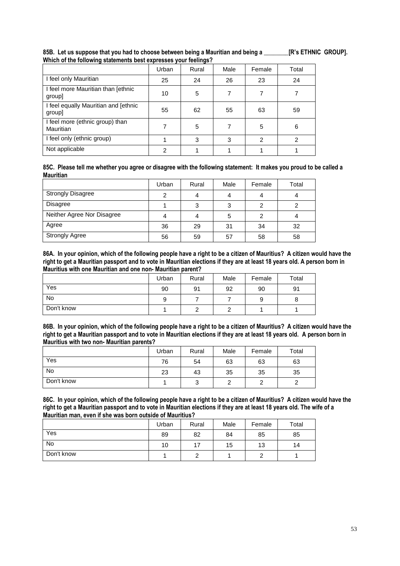|                                                | Urban | Rural | Male | Female        | Total |
|------------------------------------------------|-------|-------|------|---------------|-------|
| I feel only Mauritian                          | 25    | 24    | 26   | 23            | 24    |
| I feel more Mauritian than [ethnic<br>group]   | 10    | 5     | 7    |               |       |
| I feel equally Mauritian and [ethnic<br>group] | 55    | 62    | 55   | 63            | 59    |
| I feel more (ethnic group) than<br>Mauritian   |       | 5     |      | 5             | 6     |
| I feel only (ethnic group)                     |       | 3     | 3    | $\mathcal{P}$ | 2     |
| Not applicable                                 | ົ     |       |      |               |       |

**85B. Let us suppose that you had to choose between being a Mauritian and being a \_\_\_\_\_\_\_\_[R's ETHNIC GROUP]. Which of the following statements best expresses your feelings?**

**85C. Please tell me whether you agree or disagree with the following statement: It makes you proud to be called a Mauritian** 

|                            | Urban | Rural | Male | Female | Total |
|----------------------------|-------|-------|------|--------|-------|
| <b>Strongly Disagree</b>   |       | 4     |      |        |       |
| <b>Disagree</b>            |       | 3     | 2    | 2      |       |
| Neither Agree Nor Disagree |       | 4     | 5    |        |       |
| Agree                      | 36    | 29    | 31   | 34     | 32    |
| <b>Strongly Agree</b>      | 56    | 59    | 57   | 58     | 58    |

**86A. In your opinion, which of the following people have a right to be a citizen of Mauritius? A citizen would have the right to get a Mauritian passport and to vote in Mauritian elections if they are at least 18 years old. A person born in Mauritius with one Mauritian and one non- Mauritian parent?**

|            | Urban | Rural | Male | Female | Total |
|------------|-------|-------|------|--------|-------|
| Yes        | 90    | 91    | 92   | 90     | 91    |
| No         |       |       |      | 9      |       |
| Don't know |       |       |      |        |       |

**86B. In your opinion, which of the following people have a right to be a citizen of Mauritius? A citizen would have the right to get a Mauritian passport and to vote in Mauritian elections if they are at least 18 years old. A person born in Mauritius with two non- Mauritian parents?**

|            | Urban | Rural  | Male | Female | Total |
|------------|-------|--------|------|--------|-------|
| Yes        | 76    | 54     | 63   | 63     | 63    |
| <b>No</b>  | 23    | 43     | 35   | 35     | 35    |
| Don't know |       | ົ<br>J |      | ົ      |       |

**86C. In your opinion, which of the following people have a right to be a citizen of Mauritius? A citizen would have the right to get a Mauritian passport and to vote in Mauritian elections if they are at least 18 years old. The wife of a Mauritian man, even if she was born outside of Mauritius?**

|            | Urban | Rural | Male | Female | Total |
|------------|-------|-------|------|--------|-------|
| Yes        | 89    | 82    | 84   | 85     | 85    |
| <b>No</b>  | 10    | 17    | 15   | 13     | 14    |
| Don't know |       |       |      |        |       |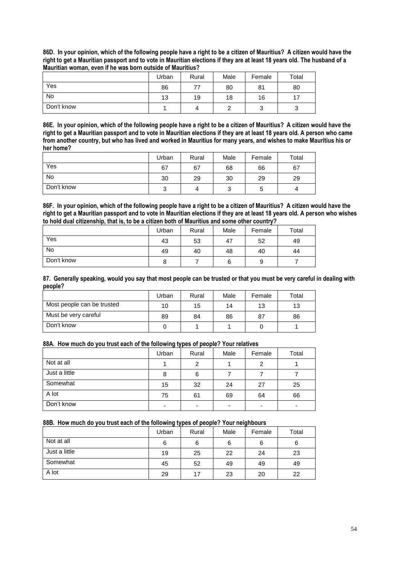**86D. In your opinion, which of the following people have a right to be a citizen of Mauritius? A citizen would have the right to get a Mauritian passport and to vote in Mauritian elections if they are at least 18 years old. The husband of a Mauritian woman, even if he was born outside of Mauritius?**

|            | Urban | Rural | Male | Female | Total |
|------------|-------|-------|------|--------|-------|
| Yes        | 86    | 77    | 80   | 81     | 80    |
| <b>No</b>  | 13    | 19    | 18   | 16     |       |
| Don't know |       |       |      | ບ      |       |

**86E. In your opinion, which of the following people have a right to be a citizen of Mauritius? A citizen would have the right to get a Mauritian passport and to vote in Mauritian elections if they are at least 18 years old. A person who came from another country, but who has lived and worked in Mauritius for many years, and wishes to make Mauritius his or her home?**

|            | Urban  | Rural | Male | Female | Total |
|------------|--------|-------|------|--------|-------|
| Yes        | 67     | 67    | 68   | 66     | 67    |
| No         | 30     | 29    | 30   | 29     | 29    |
| Don't know | ◠<br>ບ | 4     | ບ    | 5      | 4     |

**86F. In your opinion, which of the following people have a right to be a citizen of Mauritius? A citizen would have the right to get a Mauritian passport and to vote in Mauritian elections if they are at least 18 years old. A person who wishes to hold dual citizenship, that is, to be a citizen both of Mauritius and some other country?**

|            | Urban | Rural | Male | Female | Total |
|------------|-------|-------|------|--------|-------|
| Yes        | 43    | 53    | 47   | 52     | 49    |
| <b>No</b>  | 49    | 40    | 48   | 40     | 44    |
| Don't know | o     |       |      | 9      |       |

**87. Generally speaking, would you say that most people can be trusted or that you must be very careful in dealing with people?**

|                            | Urban | Rural | Male | Female | Total |
|----------------------------|-------|-------|------|--------|-------|
| Most people can be trusted | 10    | 15    | 14   | 13     | 13    |
| Must be very careful       | 89    | 84    | 86   | 87     | 86    |
| Don't know                 |       |       |      |        |       |

## **88A. How much do you trust each of the following types of people? Your relatives**

|               | Urban | Rural                    | Male                     | Female | Total |
|---------------|-------|--------------------------|--------------------------|--------|-------|
| Not at all    |       | 2                        |                          | 2      |       |
| Just a little | 8     | 6                        |                          |        |       |
| Somewhat      | 15    | 32                       | 24                       | 27     | 25    |
| A lot         | 75    | 61                       | 69                       | 64     | 66    |
| Don't know    | -     | $\overline{\phantom{a}}$ | $\overline{\phantom{0}}$ | -      |       |

## **88B. How much do you trust each of the following types of people? Your neighbours**

|               | Urban | Rural | Male | Female | Total |
|---------------|-------|-------|------|--------|-------|
| Not at all    | 6     | 6     | 6    | 6      | 6     |
| Just a little | 19    | 25    | 22   | 24     | 23    |
| Somewhat      | 45    | 52    | 49   | 49     | 49    |
| A lot         | 29    | 17    | 23   | 20     | 22    |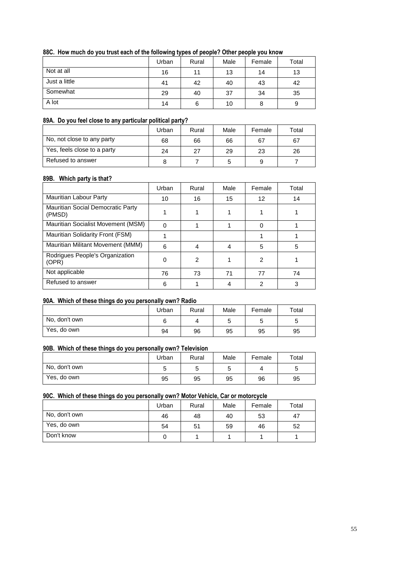## **88C. How much do you trust each of the following types of people? Other people you know**

|               | Urban | Rural | Male | Female | Total |
|---------------|-------|-------|------|--------|-------|
| Not at all    | 16    | 11    | 13   | 14     | 13    |
| Just a little | 41    | 42    | 40   | 43     | 42    |
| Somewhat      | 29    | 40    | 37   | 34     | 35    |
| A lot         | 14    | 6     | 10   | 8      | 9     |

#### **89A. Do you feel close to any particular political party?**

|                             | Urban | Rural | Male | Female | Total |
|-----------------------------|-------|-------|------|--------|-------|
| No, not close to any party  | 68    | 66    | 66   | 67     | 67    |
| Yes, feels close to a party | 24    | 27    | 29   | 23     | 26    |
| Refused to answer           |       |       |      | 9      |       |

#### **89B. Which party is that?**

|                                             | Urban | Rural | Male | Female | Total |
|---------------------------------------------|-------|-------|------|--------|-------|
| Mauritian Labour Party                      | 10    | 16    | 15   | 12     | 14    |
| Mauritian Social Democratic Party<br>(PMSD) |       |       |      |        |       |
| Mauritian Socialist Movement (MSM)          | O     |       |      |        |       |
| Mauritian Solidarity Front (FSM)            |       |       |      |        |       |
| Mauritian Militant Movement (MMM)           | 6     | 4     | 4    | 5      | 5     |
| Rodrigues People's Organization<br>(OPR)    | 0     | 2     |      | 2      |       |
| Not applicable                              | 76    | 73    | 71   | 77     | 74    |
| Refused to answer                           | 6     |       |      | 2      | 3     |

#### **90A. Which of these things do you personally own? Radio**

|               | Urban | Rural | Male | Female | Total |
|---------------|-------|-------|------|--------|-------|
| No, don't own |       |       |      | ັ      | ັ     |
| Yes, do own   | 94    | 96    | 95   | 95     | 95    |

#### **90B. Which of these things do you personally own? Television**

|               | Urban | Rural | Male | Female | Total |
|---------------|-------|-------|------|--------|-------|
| No, don't own |       | J     | ັ    |        |       |
| Yes, do own   | 95    | 95    | 95   | 96     | 95    |

#### **90C. Which of these things do you personally own? Motor Vehicle, Car or motorcycle**

|               | Urban | Rural | Male | Female | Total |
|---------------|-------|-------|------|--------|-------|
| No, don't own | 46    | 48    | 40   | 53     | 47    |
| Yes, do own   | 54    | 51    | 59   | 46     | 52    |
| Don't know    |       |       |      |        |       |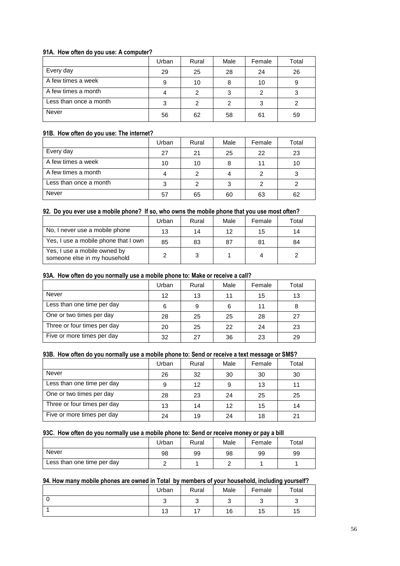## **91A. How often do you use: A computer?**

|                        | Urban | Rural | Male | Female | Total |
|------------------------|-------|-------|------|--------|-------|
| Every day              | 29    | 25    | 28   | 24     | 26    |
| A few times a week     | 9     | 10    |      | 10     | 9     |
| A few times a month    |       | 2     | ົ    | 2      |       |
| Less than once a month | ≏     |       |      | 3      |       |
| Never                  | 56    | 62    | 58   | 61     | 59    |

## **91B. How often do you use: The internet?**

|                        | Urban | Rural | Male | Female | Total |
|------------------------|-------|-------|------|--------|-------|
| Every day              | 27    | 21    | 25   | 22     | 23    |
| A few times a week     | 10    | 10    | 8    |        | 10    |
| A few times a month    |       | 2     |      |        |       |
| Less than once a month |       |       | ົ    |        |       |
| Never                  | 57    | 65    | 60   | 63     | 62    |

## **92. Do you ever use a mobile phone? If so, who owns the mobile phone that you use most often?**

|                                                              | Urban | Rural | Male | Female | Total |
|--------------------------------------------------------------|-------|-------|------|--------|-------|
| No, I never use a mobile phone                               | 13    | 14    | 12   | 15     | 14    |
| Yes, I use a mobile phone that I own                         | 85    | 83    | 87   | 81     | 84    |
| Yes, I use a mobile owned by<br>someone else in my household |       | 3     |      |        |       |

#### **93A. How often do you normally use a mobile phone to: Make or receive a call?**

|                             | Urban | Rural | Male | Female | Total |
|-----------------------------|-------|-------|------|--------|-------|
| Never                       | 12    | 13    |      | 15     | 13    |
| Less than one time per day  | 6     | 9     | 6    | 11     |       |
| One or two times per day    | 28    | 25    | 25   | 28     | 27    |
| Three or four times per day | 20    | 25    | 22   | 24     | 23    |
| Five or more times per day  | 32    | 27    | 36   | 23     | 29    |

### **93B. How often do you normally use a mobile phone to: Send or receive a text message or SMS?**

|                             | Urban | Rural | Male | Female | Total |
|-----------------------------|-------|-------|------|--------|-------|
| Never                       | 26    | 32    | 30   | 30     | 30    |
| Less than one time per day  | 9     | 12    |      | 13     | 11    |
| One or two times per day    | 28    | 23    | 24   | 25     | 25    |
| Three or four times per day | 13    | 14    | 12   | 15     | 14    |
| Five or more times per day  | 24    | 19    | 24   | 18     | 21    |

#### **93C. How often do you normally use a mobile phone to: Send or receive money or pay a bill**

|                            | Urban | Rural | Male | Female | $\tau$ otal |
|----------------------------|-------|-------|------|--------|-------------|
| Never                      | 98    | 99    | 98   | 99     | 99          |
| Less than one time per day |       |       |      |        |             |

#### **94. How many mobile phones are owned in Total by members of your household, including yourself?**

|    | Urban | Rural    | Male | Female | Total |
|----|-------|----------|------|--------|-------|
| ⊾. |       |          |      |        |       |
|    | 13    | -<br>. . | 16   | 15     | 15    |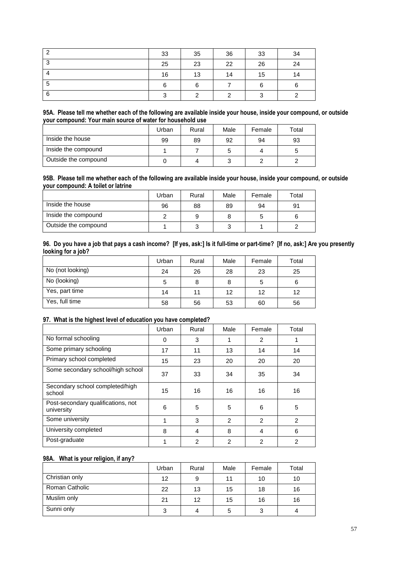| ົ      | 33 | 35  | 36 | 33 | 34 |
|--------|----|-----|----|----|----|
| ີ<br>v | 25 | 23  | 22 | 26 | 24 |
|        | 16 | 13  | 14 | 15 | 14 |
| 5      | 6  | ี่ค |    | 6  |    |
| -6     | ◠  | ົ   |    | っ  |    |

#### **95A. Please tell me whether each of the following are available inside your house, inside your compound, or outside your compound: Your main source of water for household use**

|                      | Urban | Rural | Male | Female | Total |
|----------------------|-------|-------|------|--------|-------|
| Inside the house     | 99    | 89    | 92   | 94     | 93    |
| Inside the compound  |       |       |      | Λ      | b     |
| Outside the compound |       |       |      |        |       |

#### **95B. Please tell me whether each of the following are available inside your house, inside your compound, or outside your compound: A toilet or latrine**

|                      | Urban | Rural | Male | Female | Total |
|----------------------|-------|-------|------|--------|-------|
| Inside the house     | 96    | 88    | 89   | 94     | 91    |
| Inside the compound  |       | 9     |      |        |       |
| Outside the compound |       |       |      |        |       |

#### **96. Do you have a job that pays a cash income? [If yes, ask:] Is it full-time or part-time? [If no, ask:] Are you presently looking for a job?**

|                  | Urban | Rural | Male | Female | Total |
|------------------|-------|-------|------|--------|-------|
| No (not looking) | 24    | 26    | 28   | 23     | 25    |
| No (looking)     | 5     | 8     |      | 5      | 6     |
| Yes, part time   | 14    | 11    | 12   | 12     | 12    |
| Yes, full time   | 58    | 56    | 53   | 60     | 56    |

## **97. What is the highest level of education you have completed?**

|                                                  | Urban | Rural          | Male           | Female         | Total          |
|--------------------------------------------------|-------|----------------|----------------|----------------|----------------|
| No formal schooling                              | 0     | 3              |                | 2              |                |
| Some primary schooling                           | 17    | 11             | 13             | 14             | 14             |
| Primary school completed                         | 15    | 23             | 20             | 20             | 20             |
| Some secondary school/high school                | 37    | 33             | 34             | 35             | 34             |
| Secondary school completed/high<br>school        | 15    | 16             | 16             | 16             | 16             |
| Post-secondary qualifications, not<br>university | 6     | 5              | 5              | 6              | 5              |
| Some university                                  | 4     | 3              | $\mathfrak{p}$ | 2              | $\mathfrak{p}$ |
| University completed                             | 8     | $\overline{4}$ | 8              | 4              | 6              |
| Post-graduate                                    |       | $\overline{2}$ | $\overline{2}$ | $\overline{2}$ | 2              |

## **98A. What is your religion, if any?**

|                | Urban | Rural | Male | Female | Total |
|----------------|-------|-------|------|--------|-------|
| Christian only | 12    | 9     | 11   | 10     | 10    |
| Roman Catholic | 22    | 13    | 15   | 18     | 16    |
| Muslim only    | 21    | 12    | 15   | 16     | 16    |
| Sunni only     | 3     | 4     |      | 3      |       |